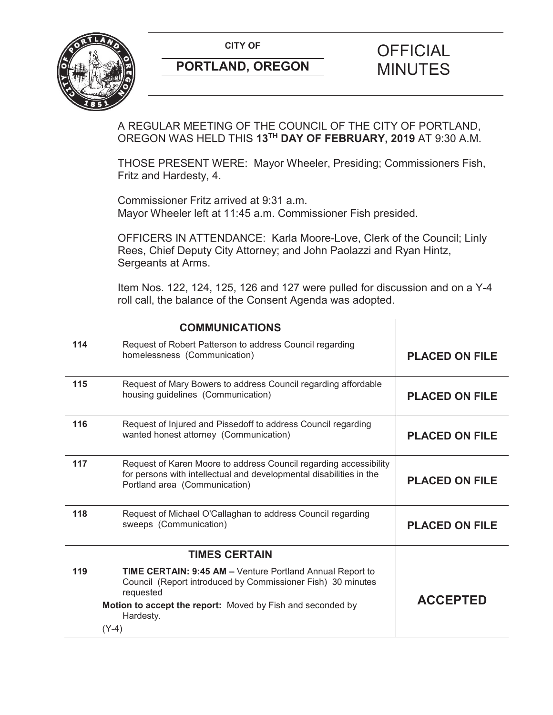**CITY OF CITY OF PICIAL** 



# **PORTLAND, OREGON MINUTES**

## A REGULAR MEETING OF THE COUNCIL OF THE CITY OF PORTLAND, OREGON WAS HELD THIS **13TH DAY OF FEBRUARY, 2019** AT 9:30 A.M.

THOSE PRESENT WERE: Mayor Wheeler, Presiding; Commissioners Fish, Fritz and Hardesty, 4.

Commissioner Fritz arrived at 9:31 a.m. Mayor Wheeler left at 11:45 a.m. Commissioner Fish presided.

OFFICERS IN ATTENDANCE: Karla Moore-Love, Clerk of the Council; Linly Rees, Chief Deputy City Attorney; and John Paolazzi and Ryan Hintz, Sergeants at Arms.

Item Nos. 122, 124, 125, 126 and 127 were pulled for discussion and on a Y-4 roll call, the balance of the Consent Agenda was adopted.

 $\mathbf{I}$ 

|     | <b>COMMUNICATIONS</b>                                                                                                                                                     |                       |
|-----|---------------------------------------------------------------------------------------------------------------------------------------------------------------------------|-----------------------|
| 114 | Request of Robert Patterson to address Council regarding<br>homelessness (Communication)                                                                                  | <b>PLACED ON FILE</b> |
| 115 | Request of Mary Bowers to address Council regarding affordable<br>housing guidelines (Communication)                                                                      | <b>PLACED ON FILE</b> |
| 116 | Request of Injured and Pissedoff to address Council regarding<br>wanted honest attorney (Communication)                                                                   | <b>PLACED ON FILE</b> |
| 117 | Request of Karen Moore to address Council regarding accessibility<br>for persons with intellectual and developmental disabilities in the<br>Portland area (Communication) | <b>PLACED ON FILE</b> |
| 118 | Request of Michael O'Callaghan to address Council regarding<br>sweeps (Communication)                                                                                     | <b>PLACED ON FILE</b> |
|     | <b>TIMES CERTAIN</b>                                                                                                                                                      |                       |
| 119 | <b>TIME CERTAIN: 9:45 AM - Venture Portland Annual Report to</b><br>Council (Report introduced by Commissioner Fish) 30 minutes<br>requested                              |                       |
|     | Motion to accept the report: Moved by Fish and seconded by<br>Hardesty.                                                                                                   | <b>ACCEPTED</b>       |
|     | $(Y-4)$                                                                                                                                                                   |                       |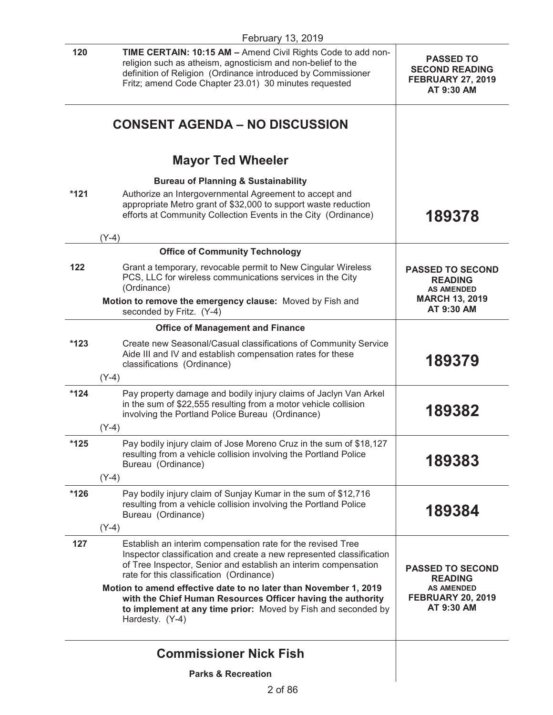|        | February 13, 2019                                                                                                                                                                                                                                                                                                      |                                                                                                          |  |
|--------|------------------------------------------------------------------------------------------------------------------------------------------------------------------------------------------------------------------------------------------------------------------------------------------------------------------------|----------------------------------------------------------------------------------------------------------|--|
| 120    | TIME CERTAIN: 10:15 AM - Amend Civil Rights Code to add non-<br>religion such as atheism, agnosticism and non-belief to the<br>definition of Religion (Ordinance introduced by Commissioner<br>Fritz; amend Code Chapter 23.01) 30 minutes requested                                                                   | <b>PASSED TO</b><br><b>SECOND READING</b><br><b>FEBRUARY 27, 2019</b><br>AT 9:30 AM                      |  |
|        | <b>CONSENT AGENDA – NO DISCUSSION</b>                                                                                                                                                                                                                                                                                  |                                                                                                          |  |
|        | <b>Mayor Ted Wheeler</b>                                                                                                                                                                                                                                                                                               |                                                                                                          |  |
|        | <b>Bureau of Planning &amp; Sustainability</b>                                                                                                                                                                                                                                                                         |                                                                                                          |  |
| $*121$ | Authorize an Intergovernmental Agreement to accept and<br>appropriate Metro grant of \$32,000 to support waste reduction<br>efforts at Community Collection Events in the City (Ordinance)                                                                                                                             | 189378                                                                                                   |  |
|        | $(Y-4)$                                                                                                                                                                                                                                                                                                                |                                                                                                          |  |
|        | <b>Office of Community Technology</b>                                                                                                                                                                                                                                                                                  |                                                                                                          |  |
| 122    | Grant a temporary, revocable permit to New Cingular Wireless<br>PCS, LLC for wireless communications services in the City<br>(Ordinance)                                                                                                                                                                               | <b>PASSED TO SECOND</b><br><b>READING</b><br><b>AS AMENDED</b>                                           |  |
|        | Motion to remove the emergency clause: Moved by Fish and<br>seconded by Fritz. (Y-4)                                                                                                                                                                                                                                   | <b>MARCH 13, 2019</b><br>AT 9:30 AM                                                                      |  |
|        | <b>Office of Management and Finance</b>                                                                                                                                                                                                                                                                                |                                                                                                          |  |
| $*123$ | Create new Seasonal/Casual classifications of Community Service<br>Aide III and IV and establish compensation rates for these<br>classifications (Ordinance)                                                                                                                                                           | 189379                                                                                                   |  |
|        | $(Y-4)$                                                                                                                                                                                                                                                                                                                |                                                                                                          |  |
| $*124$ | Pay property damage and bodily injury claims of Jaclyn Van Arkel<br>in the sum of \$22,555 resulting from a motor vehicle collision<br>involving the Portland Police Bureau (Ordinance)                                                                                                                                | 189382                                                                                                   |  |
|        | $(Y-4)$                                                                                                                                                                                                                                                                                                                |                                                                                                          |  |
| $*125$ | Pay bodily injury claim of Jose Moreno Cruz in the sum of \$18,127<br>resulting from a vehicle collision involving the Portland Police<br>Bureau (Ordinance)                                                                                                                                                           | 189383                                                                                                   |  |
|        | $(Y-4)$                                                                                                                                                                                                                                                                                                                |                                                                                                          |  |
| *126   | Pay bodily injury claim of Sunjay Kumar in the sum of \$12,716<br>resulting from a vehicle collision involving the Portland Police<br>Bureau (Ordinance)                                                                                                                                                               | 189384                                                                                                   |  |
|        | $(Y-4)$                                                                                                                                                                                                                                                                                                                |                                                                                                          |  |
| 127    | Establish an interim compensation rate for the revised Tree<br>Inspector classification and create a new represented classification<br>of Tree Inspector, Senior and establish an interim compensation<br>rate for this classification (Ordinance)<br>Motion to amend effective date to no later than November 1, 2019 | <b>PASSED TO SECOND</b><br><b>READING</b><br><b>AS AMENDED</b><br><b>FEBRUARY 20, 2019</b><br>AT 9:30 AM |  |
|        | with the Chief Human Resources Officer having the authority<br>to implement at any time prior: Moved by Fish and seconded by<br>Hardesty. (Y-4)                                                                                                                                                                        |                                                                                                          |  |
|        | <b>Commissioner Nick Fish</b>                                                                                                                                                                                                                                                                                          |                                                                                                          |  |
|        | <b>Parks &amp; Recreation</b>                                                                                                                                                                                                                                                                                          |                                                                                                          |  |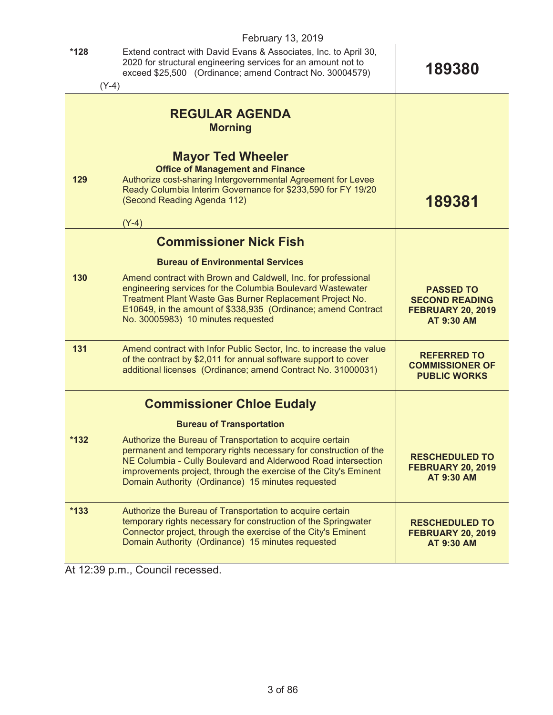| February 13, 2019 |                                                                                                                                                                                                                                                                                                                         |                                                                                            |  |
|-------------------|-------------------------------------------------------------------------------------------------------------------------------------------------------------------------------------------------------------------------------------------------------------------------------------------------------------------------|--------------------------------------------------------------------------------------------|--|
| $*128$            | Extend contract with David Evans & Associates, Inc. to April 30,<br>2020 for structural engineering services for an amount not to<br>exceed \$25,500 (Ordinance; amend Contract No. 30004579)                                                                                                                           | 189380                                                                                     |  |
|                   | $(Y-4)$                                                                                                                                                                                                                                                                                                                 |                                                                                            |  |
|                   | <b>REGULAR AGENDA</b><br><b>Morning</b>                                                                                                                                                                                                                                                                                 |                                                                                            |  |
| 129               | <b>Mayor Ted Wheeler</b><br><b>Office of Management and Finance</b><br>Authorize cost-sharing Intergovernmental Agreement for Levee<br>Ready Columbia Interim Governance for \$233,590 for FY 19/20<br>(Second Reading Agenda 112)<br>$(Y-4)$                                                                           | 189381                                                                                     |  |
|                   | <b>Commissioner Nick Fish</b>                                                                                                                                                                                                                                                                                           |                                                                                            |  |
|                   | <b>Bureau of Environmental Services</b>                                                                                                                                                                                                                                                                                 |                                                                                            |  |
| 130               | Amend contract with Brown and Caldwell, Inc. for professional<br>engineering services for the Columbia Boulevard Wastewater<br>Treatment Plant Waste Gas Burner Replacement Project No.<br>E10649, in the amount of \$338,935 (Ordinance; amend Contract<br>No. 30005983) 10 minutes requested                          | <b>PASSED TO</b><br><b>SECOND READING</b><br><b>FEBRUARY 20, 2019</b><br><b>AT 9:30 AM</b> |  |
| 131               | Amend contract with Infor Public Sector, Inc. to increase the value<br>of the contract by \$2,011 for annual software support to cover<br>additional licenses (Ordinance; amend Contract No. 31000031)                                                                                                                  | <b>REFERRED TO</b><br><b>COMMISSIONER OF</b><br><b>PUBLIC WORKS</b>                        |  |
|                   | <b>Commissioner Chloe Eudaly</b>                                                                                                                                                                                                                                                                                        |                                                                                            |  |
|                   | <b>Bureau of Transportation</b>                                                                                                                                                                                                                                                                                         |                                                                                            |  |
| $*132$            | Authorize the Bureau of Transportation to acquire certain<br>permanent and temporary rights necessary for construction of the<br>NE Columbia - Cully Boulevard and Alderwood Road intersection<br>improvements project, through the exercise of the City's Eminent<br>Domain Authority (Ordinance) 15 minutes requested | <b>RESCHEDULED TO</b><br><b>FEBRUARY 20, 2019</b><br>AT 9:30 AM                            |  |
| $*133$            | Authorize the Bureau of Transportation to acquire certain<br>temporary rights necessary for construction of the Springwater<br>Connector project, through the exercise of the City's Eminent<br>Domain Authority (Ordinance) 15 minutes requested                                                                       | <b>RESCHEDULED TO</b><br><b>FEBRUARY 20, 2019</b><br><b>AT 9:30 AM</b>                     |  |

At 12:39 p.m., Council recessed.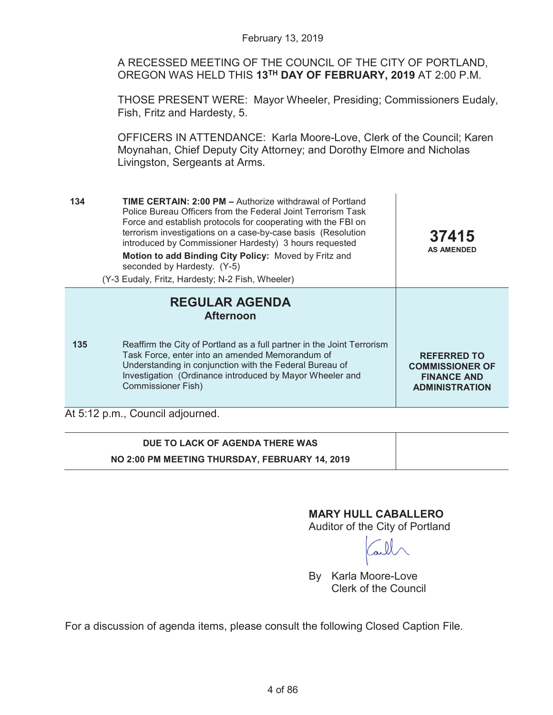A RECESSED MEETING OF THE COUNCIL OF THE CITY OF PORTLAND, OREGON WAS HELD THIS **13TH DAY OF FEBRUARY, 2019** AT 2:00 P.M.

THOSE PRESENT WERE: Mayor Wheeler, Presiding; Commissioners Eudaly, Fish, Fritz and Hardesty, 5.

OFFICERS IN ATTENDANCE: Karla Moore-Love, Clerk of the Council; Karen Moynahan, Chief Deputy City Attorney; and Dorothy Elmore and Nicholas Livingston, Sergeants at Arms.

| 134 | <b>TIME CERTAIN: 2:00 PM - Authorize withdrawal of Portland</b><br>Police Bureau Officers from the Federal Joint Terrorism Task<br>Force and establish protocols for cooperating with the FBI on<br>terrorism investigations on a case-by-case basis (Resolution<br>introduced by Commissioner Hardesty) 3 hours requested<br>Motion to add Binding City Policy: Moved by Fritz and<br>seconded by Hardesty. (Y-5)<br>(Y-3 Eudaly, Fritz, Hardesty; N-2 Fish, Wheeler) | 37415<br><b>AS AMENDED</b>                                                                  |
|-----|------------------------------------------------------------------------------------------------------------------------------------------------------------------------------------------------------------------------------------------------------------------------------------------------------------------------------------------------------------------------------------------------------------------------------------------------------------------------|---------------------------------------------------------------------------------------------|
|     | <b>REGULAR AGENDA</b><br><b>Afternoon</b>                                                                                                                                                                                                                                                                                                                                                                                                                              |                                                                                             |
| 135 | Reaffirm the City of Portland as a full partner in the Joint Terrorism<br>Task Force, enter into an amended Memorandum of<br>Understanding in conjunction with the Federal Bureau of<br>Investigation (Ordinance introduced by Mayor Wheeler and<br><b>Commissioner Fish)</b>                                                                                                                                                                                          | <b>REFERRED TO</b><br><b>COMMISSIONER OF</b><br><b>FINANCE AND</b><br><b>ADMINISTRATION</b> |
|     | At 5:12 p.m., Council adjourned.                                                                                                                                                                                                                                                                                                                                                                                                                                       |                                                                                             |

# **DUE TO LACK OF AGENDA THERE WAS NO 2:00 PM MEETING THURSDAY, FEBRUARY 14, 2019**

# **MARY HULL CABALLERO**

Auditor of the City of Portland

By Karla Moore-Love Clerk of the Council

For a discussion of agenda items, please consult the following Closed Caption File.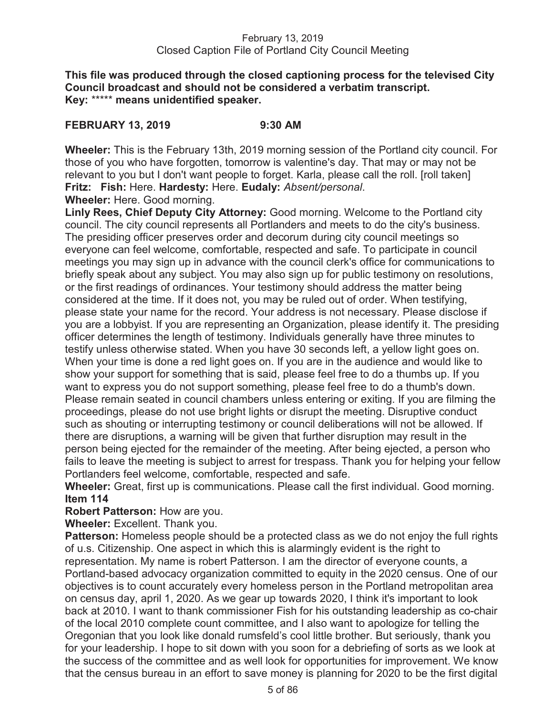**This file was produced through the closed captioning process for the televised City Council broadcast and should not be considered a verbatim transcript. Key:** \*\*\*\*\* **means unidentified speaker.** 

## **FEBRUARY 13, 2019 9:30 AM**

**Wheeler:** This is the February 13th, 2019 morning session of the Portland city council. For those of you who have forgotten, tomorrow is valentine's day. That may or may not be relevant to you but I don't want people to forget. Karla, please call the roll. [roll taken] **Fritz: Fish:** Here. **Hardesty:** Here. **Eudaly:** *Absent/personal*. **Wheeler:** Here. Good morning.

**Linly Rees, Chief Deputy City Attorney:** Good morning. Welcome to the Portland city council. The city council represents all Portlanders and meets to do the city's business. The presiding officer preserves order and decorum during city council meetings so everyone can feel welcome, comfortable, respected and safe. To participate in council meetings you may sign up in advance with the council clerk's office for communications to briefly speak about any subject. You may also sign up for public testimony on resolutions, or the first readings of ordinances. Your testimony should address the matter being considered at the time. If it does not, you may be ruled out of order. When testifying, please state your name for the record. Your address is not necessary. Please disclose if you are a lobbyist. If you are representing an Organization, please identify it. The presiding officer determines the length of testimony. Individuals generally have three minutes to testify unless otherwise stated. When you have 30 seconds left, a yellow light goes on. When your time is done a red light goes on. If you are in the audience and would like to show your support for something that is said, please feel free to do a thumbs up. If you want to express you do not support something, please feel free to do a thumb's down. Please remain seated in council chambers unless entering or exiting. If you are filming the proceedings, please do not use bright lights or disrupt the meeting. Disruptive conduct such as shouting or interrupting testimony or council deliberations will not be allowed. If there are disruptions, a warning will be given that further disruption may result in the person being ejected for the remainder of the meeting. After being ejected, a person who fails to leave the meeting is subject to arrest for trespass. Thank you for helping your fellow Portlanders feel welcome, comfortable, respected and safe.

**Wheeler:** Great, first up is communications. Please call the first individual. Good morning. **Item 114** 

**Robert Patterson:** How are you.

**Wheeler:** Excellent. Thank you.

**Patterson:** Homeless people should be a protected class as we do not enjoy the full rights of u.s. Citizenship. One aspect in which this is alarmingly evident is the right to representation. My name is robert Patterson. I am the director of everyone counts, a Portland-based advocacy organization committed to equity in the 2020 census. One of our objectives is to count accurately every homeless person in the Portland metropolitan area on census day, april 1, 2020. As we gear up towards 2020, I think it's important to look back at 2010. I want to thank commissioner Fish for his outstanding leadership as co-chair of the local 2010 complete count committee, and I also want to apologize for telling the Oregonian that you look like donald rumsfeld's cool little brother. But seriously, thank you for your leadership. I hope to sit down with you soon for a debriefing of sorts as we look at the success of the committee and as well look for opportunities for improvement. We know that the census bureau in an effort to save money is planning for 2020 to be the first digital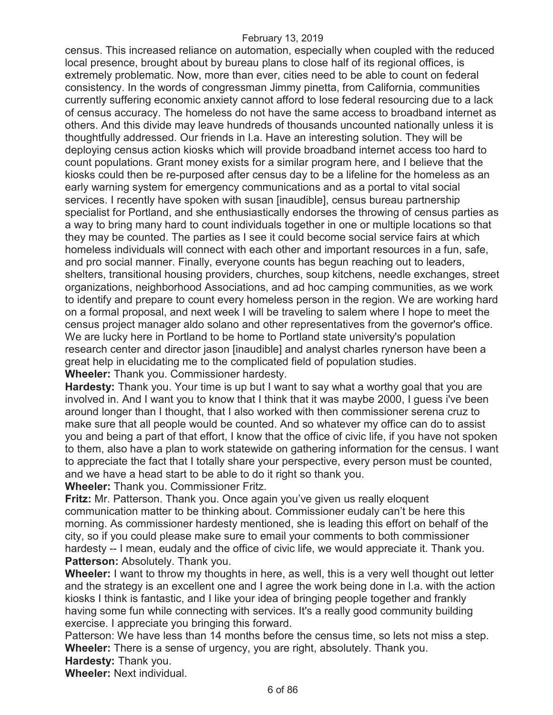census. This increased reliance on automation, especially when coupled with the reduced local presence, brought about by bureau plans to close half of its regional offices, is extremely problematic. Now, more than ever, cities need to be able to count on federal consistency. In the words of congressman Jimmy pinetta, from California, communities currently suffering economic anxiety cannot afford to lose federal resourcing due to a lack of census accuracy. The homeless do not have the same access to broadband internet as others. And this divide may leave hundreds of thousands uncounted nationally unless it is thoughtfully addressed. Our friends in l.a. Have an interesting solution. They will be deploying census action kiosks which will provide broadband internet access too hard to count populations. Grant money exists for a similar program here, and I believe that the kiosks could then be re-purposed after census day to be a lifeline for the homeless as an early warning system for emergency communications and as a portal to vital social services. I recently have spoken with susan [inaudible], census bureau partnership specialist for Portland, and she enthusiastically endorses the throwing of census parties as a way to bring many hard to count individuals together in one or multiple locations so that they may be counted. The parties as I see it could become social service fairs at which homeless individuals will connect with each other and important resources in a fun, safe, and pro social manner. Finally, everyone counts has begun reaching out to leaders, shelters, transitional housing providers, churches, soup kitchens, needle exchanges, street organizations, neighborhood Associations, and ad hoc camping communities, as we work to identify and prepare to count every homeless person in the region. We are working hard on a formal proposal, and next week I will be traveling to salem where I hope to meet the census project manager aldo solano and other representatives from the governor's office. We are lucky here in Portland to be home to Portland state university's population research center and director jason [inaudible] and analyst charles rynerson have been a great help in elucidating me to the complicated field of population studies.

**Wheeler:** Thank you. Commissioner hardesty.

**Hardesty:** Thank you. Your time is up but I want to say what a worthy goal that you are involved in. And I want you to know that I think that it was maybe 2000, I guess i've been around longer than I thought, that I also worked with then commissioner serena cruz to make sure that all people would be counted. And so whatever my office can do to assist you and being a part of that effort, I know that the office of civic life, if you have not spoken to them, also have a plan to work statewide on gathering information for the census. I want to appreciate the fact that I totally share your perspective, every person must be counted, and we have a head start to be able to do it right so thank you.

**Wheeler:** Thank you. Commissioner Fritz.

**Fritz:** Mr. Patterson. Thank you. Once again you've given us really eloquent communication matter to be thinking about. Commissioner eudaly can't be here this morning. As commissioner hardesty mentioned, she is leading this effort on behalf of the city, so if you could please make sure to email your comments to both commissioner hardesty -- I mean, eudaly and the office of civic life, we would appreciate it. Thank you. Patterson: Absolutely. Thank you.

**Wheeler:** I want to throw my thoughts in here, as well, this is a very well thought out letter and the strategy is an excellent one and I agree the work being done in l.a. with the action kiosks I think is fantastic, and I like your idea of bringing people together and frankly having some fun while connecting with services. It's a really good community building exercise. I appreciate you bringing this forward.

Patterson: We have less than 14 months before the census time, so lets not miss a step. **Wheeler:** There is a sense of urgency, you are right, absolutely. Thank you.

**Hardesty:** Thank you.

**Wheeler:** Next individual.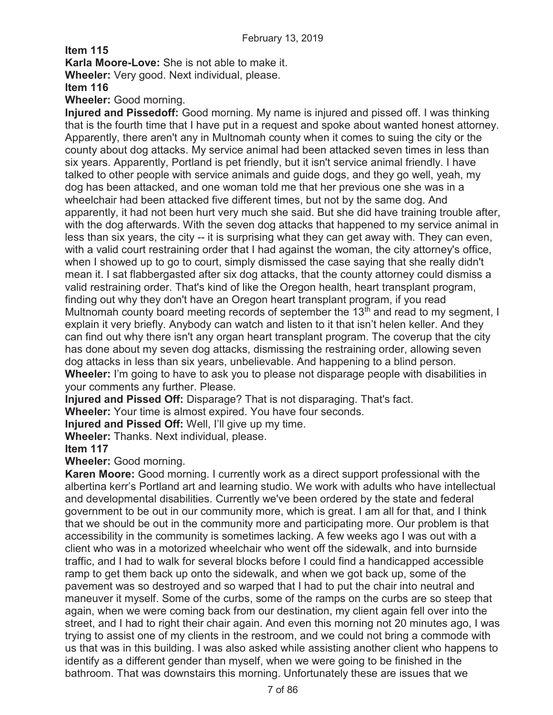**Item 115** 

**Karla Moore-Love:** She is not able to make it.

**Wheeler:** Very good. Next individual, please.

**Item 116** 

**Wheeler:** Good morning.

**Injured and Pissedoff:** Good morning. My name is injured and pissed off. I was thinking that is the fourth time that I have put in a request and spoke about wanted honest attorney. Apparently, there aren't any in Multnomah county when it comes to suing the city or the county about dog attacks. My service animal had been attacked seven times in less than six years. Apparently, Portland is pet friendly, but it isn't service animal friendly. I have talked to other people with service animals and guide dogs, and they go well, yeah, my dog has been attacked, and one woman told me that her previous one she was in a wheelchair had been attacked five different times, but not by the same dog. And apparently, it had not been hurt very much she said. But she did have training trouble after, with the dog afterwards. With the seven dog attacks that happened to my service animal in less than six years, the city -- it is surprising what they can get away with. They can even, with a valid court restraining order that I had against the woman, the city attorney's office, when I showed up to go to court, simply dismissed the case saying that she really didn't mean it. I sat flabbergasted after six dog attacks, that the county attorney could dismiss a valid restraining order. That's kind of like the Oregon health, heart transplant program, finding out why they don't have an Oregon heart transplant program, if you read Multnomah county board meeting records of september the 13<sup>th</sup> and read to my segment, I explain it very briefly. Anybody can watch and listen to it that isn't helen keller. And they can find out why there isn't any organ heart transplant program. The coverup that the city has done about my seven dog attacks, dismissing the restraining order, allowing seven dog attacks in less than six years, unbelievable. And happening to a blind person. **Wheeler:** I'm going to have to ask you to please not disparage people with disabilities in your comments any further. Please.

**Injured and Pissed Off:** Disparage? That is not disparaging. That's fact.

**Wheeler:** Your time is almost expired. You have four seconds.

**Injured and Pissed Off:** Well, I'll give up my time.

**Wheeler:** Thanks. Next individual, please.

**Item 117** 

**Wheeler:** Good morning.

**Karen Moore:** Good morning. I currently work as a direct support professional with the albertina kerr's Portland art and learning studio. We work with adults who have intellectual and developmental disabilities. Currently we've been ordered by the state and federal government to be out in our community more, which is great. I am all for that, and I think that we should be out in the community more and participating more. Our problem is that accessibility in the community is sometimes lacking. A few weeks ago I was out with a client who was in a motorized wheelchair who went off the sidewalk, and into burnside traffic, and I had to walk for several blocks before I could find a handicapped accessible ramp to get them back up onto the sidewalk, and when we got back up, some of the pavement was so destroyed and so warped that I had to put the chair into neutral and maneuver it myself. Some of the curbs, some of the ramps on the curbs are so steep that again, when we were coming back from our destination, my client again fell over into the street, and I had to right their chair again. And even this morning not 20 minutes ago, I was trying to assist one of my clients in the restroom, and we could not bring a commode with us that was in this building. I was also asked while assisting another client who happens to identify as a different gender than myself, when we were going to be finished in the bathroom. That was downstairs this morning. Unfortunately these are issues that we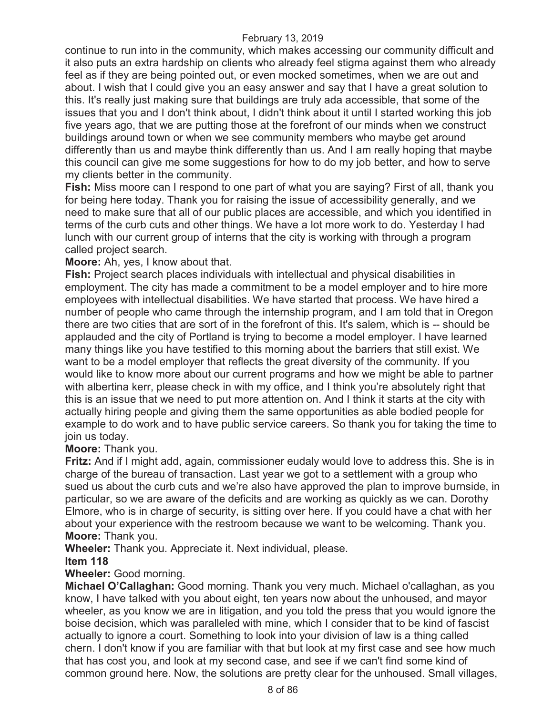continue to run into in the community, which makes accessing our community difficult and it also puts an extra hardship on clients who already feel stigma against them who already feel as if they are being pointed out, or even mocked sometimes, when we are out and about. I wish that I could give you an easy answer and say that I have a great solution to this. It's really just making sure that buildings are truly ada accessible, that some of the issues that you and I don't think about, I didn't think about it until I started working this job five years ago, that we are putting those at the forefront of our minds when we construct buildings around town or when we see community members who maybe get around differently than us and maybe think differently than us. And I am really hoping that maybe this council can give me some suggestions for how to do my job better, and how to serve my clients better in the community.

**Fish:** Miss moore can I respond to one part of what you are saying? First of all, thank you for being here today. Thank you for raising the issue of accessibility generally, and we need to make sure that all of our public places are accessible, and which you identified in terms of the curb cuts and other things. We have a lot more work to do. Yesterday I had lunch with our current group of interns that the city is working with through a program called project search.

### **Moore:** Ah, yes, I know about that.

**Fish:** Project search places individuals with intellectual and physical disabilities in employment. The city has made a commitment to be a model employer and to hire more employees with intellectual disabilities. We have started that process. We have hired a number of people who came through the internship program, and I am told that in Oregon there are two cities that are sort of in the forefront of this. It's salem, which is -- should be applauded and the city of Portland is trying to become a model employer. I have learned many things like you have testified to this morning about the barriers that still exist. We want to be a model employer that reflects the great diversity of the community. If you would like to know more about our current programs and how we might be able to partner with albertina kerr, please check in with my office, and I think you're absolutely right that this is an issue that we need to put more attention on. And I think it starts at the city with actually hiring people and giving them the same opportunities as able bodied people for example to do work and to have public service careers. So thank you for taking the time to join us today.

#### **Moore:** Thank you.

**Fritz:** And if I might add, again, commissioner eudaly would love to address this. She is in charge of the bureau of transaction. Last year we got to a settlement with a group who sued us about the curb cuts and we're also have approved the plan to improve burnside, in particular, so we are aware of the deficits and are working as quickly as we can. Dorothy Elmore, who is in charge of security, is sitting over here. If you could have a chat with her about your experience with the restroom because we want to be welcoming. Thank you. **Moore:** Thank you.

**Wheeler:** Thank you. Appreciate it. Next individual, please.

#### **Item 118**

## **Wheeler:** Good morning.

**Michael O'Callaghan:** Good morning. Thank you very much. Michael o'callaghan, as you know, I have talked with you about eight, ten years now about the unhoused, and mayor wheeler, as you know we are in litigation, and you told the press that you would ignore the boise decision, which was paralleled with mine, which I consider that to be kind of fascist actually to ignore a court. Something to look into your division of law is a thing called chern. I don't know if you are familiar with that but look at my first case and see how much that has cost you, and look at my second case, and see if we can't find some kind of common ground here. Now, the solutions are pretty clear for the unhoused. Small villages,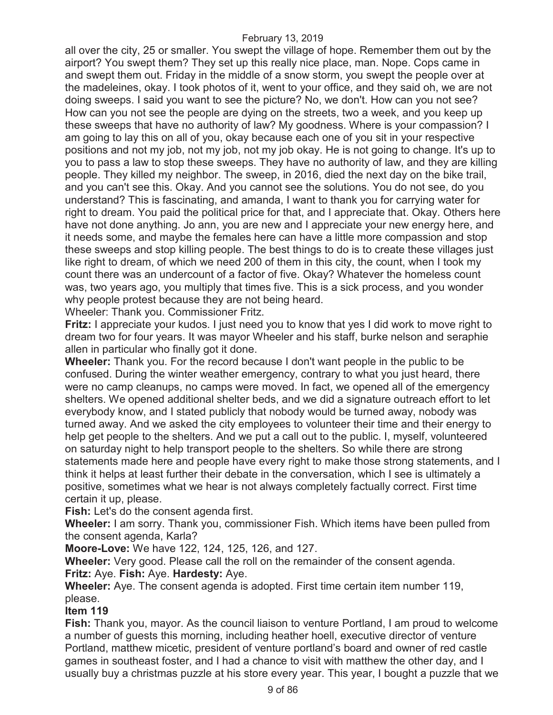all over the city, 25 or smaller. You swept the village of hope. Remember them out by the airport? You swept them? They set up this really nice place, man. Nope. Cops came in and swept them out. Friday in the middle of a snow storm, you swept the people over at the madeleines, okay. I took photos of it, went to your office, and they said oh, we are not doing sweeps. I said you want to see the picture? No, we don't. How can you not see? How can you not see the people are dying on the streets, two a week, and you keep up these sweeps that have no authority of law? My goodness. Where is your compassion? I am going to lay this on all of you, okay because each one of you sit in your respective positions and not my job, not my job, not my job okay. He is not going to change. It's up to you to pass a law to stop these sweeps. They have no authority of law, and they are killing people. They killed my neighbor. The sweep, in 2016, died the next day on the bike trail, and you can't see this. Okay. And you cannot see the solutions. You do not see, do you understand? This is fascinating, and amanda, I want to thank you for carrying water for right to dream. You paid the political price for that, and I appreciate that. Okay. Others here have not done anything. Jo ann, you are new and I appreciate your new energy here, and it needs some, and maybe the females here can have a little more compassion and stop these sweeps and stop killing people. The best things to do is to create these villages just like right to dream, of which we need 200 of them in this city, the count, when I took my count there was an undercount of a factor of five. Okay? Whatever the homeless count was, two years ago, you multiply that times five. This is a sick process, and you wonder why people protest because they are not being heard.

Wheeler: Thank you. Commissioner Fritz.

**Fritz:** I appreciate your kudos. I just need you to know that yes I did work to move right to dream two for four years. It was mayor Wheeler and his staff, burke nelson and seraphie allen in particular who finally got it done.

**Wheeler:** Thank you. For the record because I don't want people in the public to be confused. During the winter weather emergency, contrary to what you just heard, there were no camp cleanups, no camps were moved. In fact, we opened all of the emergency shelters. We opened additional shelter beds, and we did a signature outreach effort to let everybody know, and I stated publicly that nobody would be turned away, nobody was turned away. And we asked the city employees to volunteer their time and their energy to help get people to the shelters. And we put a call out to the public. I, myself, volunteered on saturday night to help transport people to the shelters. So while there are strong statements made here and people have every right to make those strong statements, and I think it helps at least further their debate in the conversation, which I see is ultimately a positive, sometimes what we hear is not always completely factually correct. First time certain it up, please.

**Fish:** Let's do the consent agenda first.

**Wheeler:** I am sorry. Thank you, commissioner Fish. Which items have been pulled from the consent agenda, Karla?

**Moore-Love:** We have 122, 124, 125, 126, and 127.

**Wheeler:** Very good. Please call the roll on the remainder of the consent agenda. **Fritz:** Aye. **Fish:** Aye. **Hardesty:** Aye.

**Wheeler:** Aye. The consent agenda is adopted. First time certain item number 119, please.

## **Item 119**

**Fish:** Thank you, mayor. As the council liaison to venture Portland, I am proud to welcome a number of guests this morning, including heather hoell, executive director of venture Portland, matthew micetic, president of venture portland's board and owner of red castle games in southeast foster, and I had a chance to visit with matthew the other day, and I usually buy a christmas puzzle at his store every year. This year, I bought a puzzle that we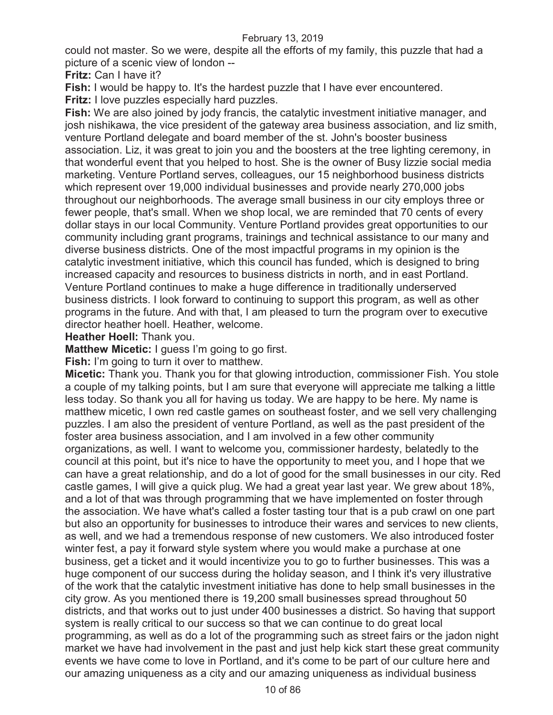could not master. So we were, despite all the efforts of my family, this puzzle that had a picture of a scenic view of london --

**Fritz:** Can I have it?

**Fish:** I would be happy to. It's the hardest puzzle that I have ever encountered.

**Fritz:** I love puzzles especially hard puzzles.

**Fish:** We are also joined by jody francis, the catalytic investment initiative manager, and josh nishikawa, the vice president of the gateway area business association, and liz smith, venture Portland delegate and board member of the st. John's booster business association. Liz, it was great to join you and the boosters at the tree lighting ceremony, in that wonderful event that you helped to host. She is the owner of Busy lizzie social media marketing. Venture Portland serves, colleagues, our 15 neighborhood business districts which represent over 19,000 individual businesses and provide nearly 270,000 jobs throughout our neighborhoods. The average small business in our city employs three or fewer people, that's small. When we shop local, we are reminded that 70 cents of every dollar stays in our local Community. Venture Portland provides great opportunities to our community including grant programs, trainings and technical assistance to our many and diverse business districts. One of the most impactful programs in my opinion is the catalytic investment initiative, which this council has funded, which is designed to bring increased capacity and resources to business districts in north, and in east Portland. Venture Portland continues to make a huge difference in traditionally underserved business districts. I look forward to continuing to support this program, as well as other programs in the future. And with that, I am pleased to turn the program over to executive director heather hoell. Heather, welcome.

**Heather Hoell:** Thank you.

**Matthew Micetic:** I guess I'm going to go first.

**Fish:** I'm going to turn it over to matthew.

**Micetic:** Thank you. Thank you for that glowing introduction, commissioner Fish. You stole a couple of my talking points, but I am sure that everyone will appreciate me talking a little less today. So thank you all for having us today. We are happy to be here. My name is matthew micetic, I own red castle games on southeast foster, and we sell very challenging puzzles. I am also the president of venture Portland, as well as the past president of the foster area business association, and I am involved in a few other community organizations, as well. I want to welcome you, commissioner hardesty, belatedly to the council at this point, but it's nice to have the opportunity to meet you, and I hope that we can have a great relationship, and do a lot of good for the small businesses in our city. Red castle games, I will give a quick plug. We had a great year last year. We grew about 18%, and a lot of that was through programming that we have implemented on foster through the association. We have what's called a foster tasting tour that is a pub crawl on one part but also an opportunity for businesses to introduce their wares and services to new clients, as well, and we had a tremendous response of new customers. We also introduced foster winter fest, a pay it forward style system where you would make a purchase at one business, get a ticket and it would incentivize you to go to further businesses. This was a huge component of our success during the holiday season, and I think it's very illustrative of the work that the catalytic investment initiative has done to help small businesses in the city grow. As you mentioned there is 19,200 small businesses spread throughout 50 districts, and that works out to just under 400 businesses a district. So having that support system is really critical to our success so that we can continue to do great local programming, as well as do a lot of the programming such as street fairs or the jadon night market we have had involvement in the past and just help kick start these great community events we have come to love in Portland, and it's come to be part of our culture here and our amazing uniqueness as a city and our amazing uniqueness as individual business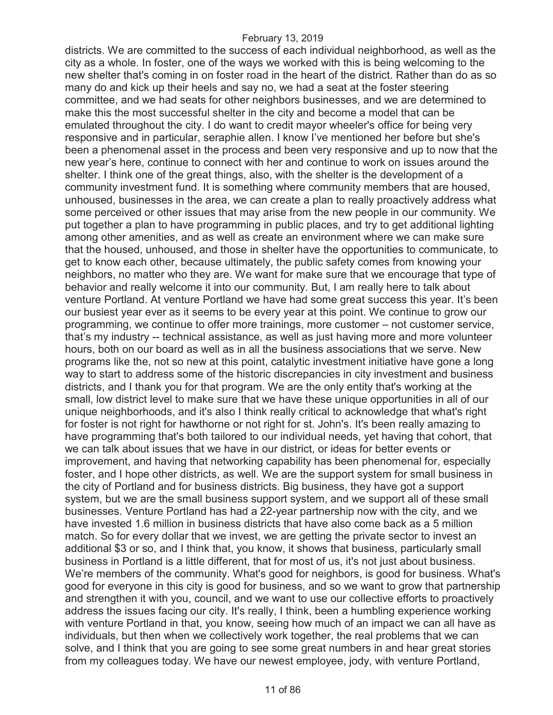districts. We are committed to the success of each individual neighborhood, as well as the city as a whole. In foster, one of the ways we worked with this is being welcoming to the new shelter that's coming in on foster road in the heart of the district. Rather than do as so many do and kick up their heels and say no, we had a seat at the foster steering committee, and we had seats for other neighbors businesses, and we are determined to make this the most successful shelter in the city and become a model that can be emulated throughout the city. I do want to credit mayor wheeler's office for being very responsive and in particular, seraphie allen. I know I've mentioned her before but she's been a phenomenal asset in the process and been very responsive and up to now that the new year's here, continue to connect with her and continue to work on issues around the shelter. I think one of the great things, also, with the shelter is the development of a community investment fund. It is something where community members that are housed, unhoused, businesses in the area, we can create a plan to really proactively address what some perceived or other issues that may arise from the new people in our community. We put together a plan to have programming in public places, and try to get additional lighting among other amenities, and as well as create an environment where we can make sure that the housed, unhoused, and those in shelter have the opportunities to communicate, to get to know each other, because ultimately, the public safety comes from knowing your neighbors, no matter who they are. We want for make sure that we encourage that type of behavior and really welcome it into our community. But, I am really here to talk about venture Portland. At venture Portland we have had some great success this year. It's been our busiest year ever as it seems to be every year at this point. We continue to grow our programming, we continue to offer more trainings, more customer – not customer service, that's my industry -- technical assistance, as well as just having more and more volunteer hours, both on our board as well as in all the business associations that we serve. New programs like the, not so new at this point, catalytic investment initiative have gone a long way to start to address some of the historic discrepancies in city investment and business districts, and I thank you for that program. We are the only entity that's working at the small, low district level to make sure that we have these unique opportunities in all of our unique neighborhoods, and it's also I think really critical to acknowledge that what's right for foster is not right for hawthorne or not right for st. John's. It's been really amazing to have programming that's both tailored to our individual needs, yet having that cohort, that we can talk about issues that we have in our district, or ideas for better events or improvement, and having that networking capability has been phenomenal for, especially foster, and I hope other districts, as well. We are the support system for small business in the city of Portland and for business districts. Big business, they have got a support system, but we are the small business support system, and we support all of these small businesses. Venture Portland has had a 22-year partnership now with the city, and we have invested 1.6 million in business districts that have also come back as a 5 million match. So for every dollar that we invest, we are getting the private sector to invest an additional \$3 or so, and I think that, you know, it shows that business, particularly small business in Portland is a little different, that for most of us, it's not just about business. We're members of the community. What's good for neighbors, is good for business. What's good for everyone in this city is good for business, and so we want to grow that partnership and strengthen it with you, council, and we want to use our collective efforts to proactively address the issues facing our city. It's really, I think, been a humbling experience working with venture Portland in that, you know, seeing how much of an impact we can all have as individuals, but then when we collectively work together, the real problems that we can solve, and I think that you are going to see some great numbers in and hear great stories from my colleagues today. We have our newest employee, jody, with venture Portland,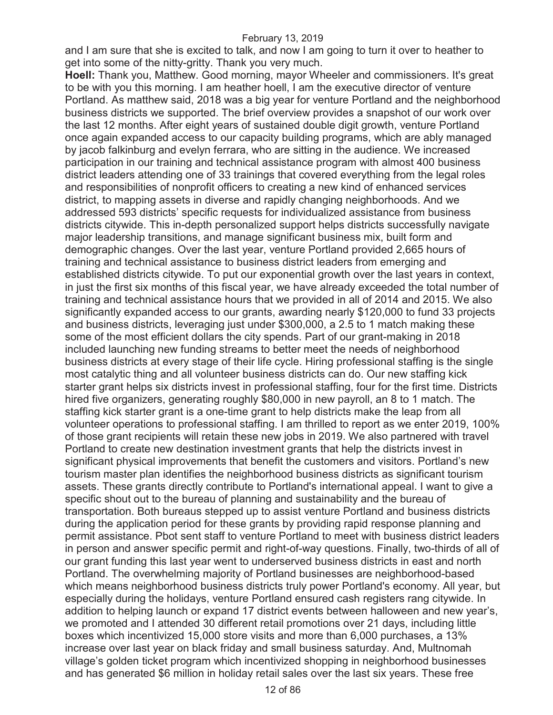and I am sure that she is excited to talk, and now I am going to turn it over to heather to get into some of the nitty-gritty. Thank you very much.

**Hoell:** Thank you, Matthew. Good morning, mayor Wheeler and commissioners. It's great to be with you this morning. I am heather hoell, I am the executive director of venture Portland. As matthew said, 2018 was a big year for venture Portland and the neighborhood business districts we supported. The brief overview provides a snapshot of our work over the last 12 months. After eight years of sustained double digit growth, venture Portland once again expanded access to our capacity building programs, which are ably managed by jacob falkinburg and evelyn ferrara, who are sitting in the audience. We increased participation in our training and technical assistance program with almost 400 business district leaders attending one of 33 trainings that covered everything from the legal roles and responsibilities of nonprofit officers to creating a new kind of enhanced services district, to mapping assets in diverse and rapidly changing neighborhoods. And we addressed 593 districts' specific requests for individualized assistance from business districts citywide. This in-depth personalized support helps districts successfully navigate major leadership transitions, and manage significant business mix, built form and demographic changes. Over the last year, venture Portland provided 2,665 hours of training and technical assistance to business district leaders from emerging and established districts citywide. To put our exponential growth over the last years in context, in just the first six months of this fiscal year, we have already exceeded the total number of training and technical assistance hours that we provided in all of 2014 and 2015. We also significantly expanded access to our grants, awarding nearly \$120,000 to fund 33 projects and business districts, leveraging just under \$300,000, a 2.5 to 1 match making these some of the most efficient dollars the city spends. Part of our grant-making in 2018 included launching new funding streams to better meet the needs of neighborhood business districts at every stage of their life cycle. Hiring professional staffing is the single most catalytic thing and all volunteer business districts can do. Our new staffing kick starter grant helps six districts invest in professional staffing, four for the first time. Districts hired five organizers, generating roughly \$80,000 in new payroll, an 8 to 1 match. The staffing kick starter grant is a one-time grant to help districts make the leap from all volunteer operations to professional staffing. I am thrilled to report as we enter 2019, 100% of those grant recipients will retain these new jobs in 2019. We also partnered with travel Portland to create new destination investment grants that help the districts invest in significant physical improvements that benefit the customers and visitors. Portland's new tourism master plan identifies the neighborhood business districts as significant tourism assets. These grants directly contribute to Portland's international appeal. I want to give a specific shout out to the bureau of planning and sustainability and the bureau of transportation. Both bureaus stepped up to assist venture Portland and business districts during the application period for these grants by providing rapid response planning and permit assistance. Pbot sent staff to venture Portland to meet with business district leaders in person and answer specific permit and right-of-way questions. Finally, two-thirds of all of our grant funding this last year went to underserved business districts in east and north Portland. The overwhelming majority of Portland businesses are neighborhood-based which means neighborhood business districts truly power Portland's economy. All year, but especially during the holidays, venture Portland ensured cash registers rang citywide. In addition to helping launch or expand 17 district events between halloween and new year's, we promoted and I attended 30 different retail promotions over 21 days, including little boxes which incentivized 15,000 store visits and more than 6,000 purchases, a 13% increase over last year on black friday and small business saturday. And, Multnomah village's golden ticket program which incentivized shopping in neighborhood businesses and has generated \$6 million in holiday retail sales over the last six years. These free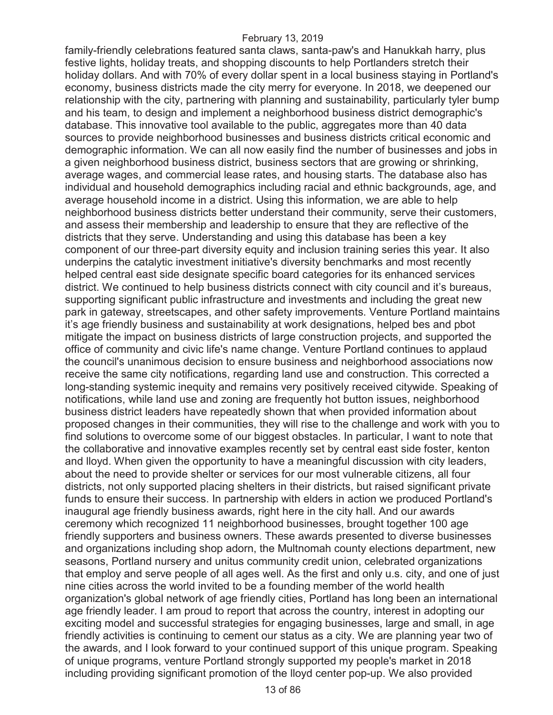family-friendly celebrations featured santa claws, santa-paw's and Hanukkah harry, plus festive lights, holiday treats, and shopping discounts to help Portlanders stretch their holiday dollars. And with 70% of every dollar spent in a local business staying in Portland's economy, business districts made the city merry for everyone. In 2018, we deepened our relationship with the city, partnering with planning and sustainability, particularly tyler bump and his team, to design and implement a neighborhood business district demographic's database. This innovative tool available to the public, aggregates more than 40 data sources to provide neighborhood businesses and business districts critical economic and demographic information. We can all now easily find the number of businesses and jobs in a given neighborhood business district, business sectors that are growing or shrinking, average wages, and commercial lease rates, and housing starts. The database also has individual and household demographics including racial and ethnic backgrounds, age, and average household income in a district. Using this information, we are able to help neighborhood business districts better understand their community, serve their customers, and assess their membership and leadership to ensure that they are reflective of the districts that they serve. Understanding and using this database has been a key component of our three-part diversity equity and inclusion training series this year. It also underpins the catalytic investment initiative's diversity benchmarks and most recently helped central east side designate specific board categories for its enhanced services district. We continued to help business districts connect with city council and it's bureaus, supporting significant public infrastructure and investments and including the great new park in gateway, streetscapes, and other safety improvements. Venture Portland maintains it's age friendly business and sustainability at work designations, helped bes and pbot mitigate the impact on business districts of large construction projects, and supported the office of community and civic life's name change. Venture Portland continues to applaud the council's unanimous decision to ensure business and neighborhood associations now receive the same city notifications, regarding land use and construction. This corrected a long-standing systemic inequity and remains very positively received citywide. Speaking of notifications, while land use and zoning are frequently hot button issues, neighborhood business district leaders have repeatedly shown that when provided information about proposed changes in their communities, they will rise to the challenge and work with you to find solutions to overcome some of our biggest obstacles. In particular, I want to note that the collaborative and innovative examples recently set by central east side foster, kenton and lloyd. When given the opportunity to have a meaningful discussion with city leaders, about the need to provide shelter or services for our most vulnerable citizens, all four districts, not only supported placing shelters in their districts, but raised significant private funds to ensure their success. In partnership with elders in action we produced Portland's inaugural age friendly business awards, right here in the city hall. And our awards ceremony which recognized 11 neighborhood businesses, brought together 100 age friendly supporters and business owners. These awards presented to diverse businesses and organizations including shop adorn, the Multnomah county elections department, new seasons, Portland nursery and unitus community credit union, celebrated organizations that employ and serve people of all ages well. As the first and only u.s. city, and one of just nine cities across the world invited to be a founding member of the world health organization's global network of age friendly cities, Portland has long been an international age friendly leader. I am proud to report that across the country, interest in adopting our exciting model and successful strategies for engaging businesses, large and small, in age friendly activities is continuing to cement our status as a city. We are planning year two of the awards, and I look forward to your continued support of this unique program. Speaking of unique programs, venture Portland strongly supported my people's market in 2018 including providing significant promotion of the lloyd center pop-up. We also provided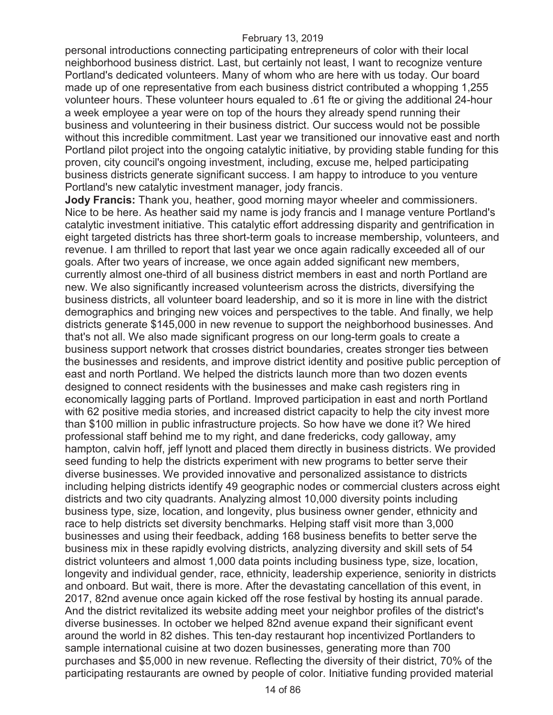personal introductions connecting participating entrepreneurs of color with their local neighborhood business district. Last, but certainly not least, I want to recognize venture Portland's dedicated volunteers. Many of whom who are here with us today. Our board made up of one representative from each business district contributed a whopping 1,255 volunteer hours. These volunteer hours equaled to .61 fte or giving the additional 24-hour a week employee a year were on top of the hours they already spend running their business and volunteering in their business district. Our success would not be possible without this incredible commitment. Last year we transitioned our innovative east and north Portland pilot project into the ongoing catalytic initiative, by providing stable funding for this proven, city council's ongoing investment, including, excuse me, helped participating business districts generate significant success. I am happy to introduce to you venture Portland's new catalytic investment manager, jody francis.

**Jody Francis:** Thank you, heather, good morning mayor wheeler and commissioners. Nice to be here. As heather said my name is jody francis and I manage venture Portland's catalytic investment initiative. This catalytic effort addressing disparity and gentrification in eight targeted districts has three short-term goals to increase membership, volunteers, and revenue. I am thrilled to report that last year we once again radically exceeded all of our goals. After two years of increase, we once again added significant new members, currently almost one-third of all business district members in east and north Portland are new. We also significantly increased volunteerism across the districts, diversifying the business districts, all volunteer board leadership, and so it is more in line with the district demographics and bringing new voices and perspectives to the table. And finally, we help districts generate \$145,000 in new revenue to support the neighborhood businesses. And that's not all. We also made significant progress on our long-term goals to create a business support network that crosses district boundaries, creates stronger ties between the businesses and residents, and improve district identity and positive public perception of east and north Portland. We helped the districts launch more than two dozen events designed to connect residents with the businesses and make cash registers ring in economically lagging parts of Portland. Improved participation in east and north Portland with 62 positive media stories, and increased district capacity to help the city invest more than \$100 million in public infrastructure projects. So how have we done it? We hired professional staff behind me to my right, and dane fredericks, cody galloway, amy hampton, calvin hoff, jeff lynott and placed them directly in business districts. We provided seed funding to help the districts experiment with new programs to better serve their diverse businesses. We provided innovative and personalized assistance to districts including helping districts identify 49 geographic nodes or commercial clusters across eight districts and two city quadrants. Analyzing almost 10,000 diversity points including business type, size, location, and longevity, plus business owner gender, ethnicity and race to help districts set diversity benchmarks. Helping staff visit more than 3,000 businesses and using their feedback, adding 168 business benefits to better serve the business mix in these rapidly evolving districts, analyzing diversity and skill sets of 54 district volunteers and almost 1,000 data points including business type, size, location, longevity and individual gender, race, ethnicity, leadership experience, seniority in districts and onboard. But wait, there is more. After the devastating cancellation of this event, in 2017, 82nd avenue once again kicked off the rose festival by hosting its annual parade. And the district revitalized its website adding meet your neighbor profiles of the district's diverse businesses. In october we helped 82nd avenue expand their significant event around the world in 82 dishes. This ten-day restaurant hop incentivized Portlanders to sample international cuisine at two dozen businesses, generating more than 700 purchases and \$5,000 in new revenue. Reflecting the diversity of their district, 70% of the participating restaurants are owned by people of color. Initiative funding provided material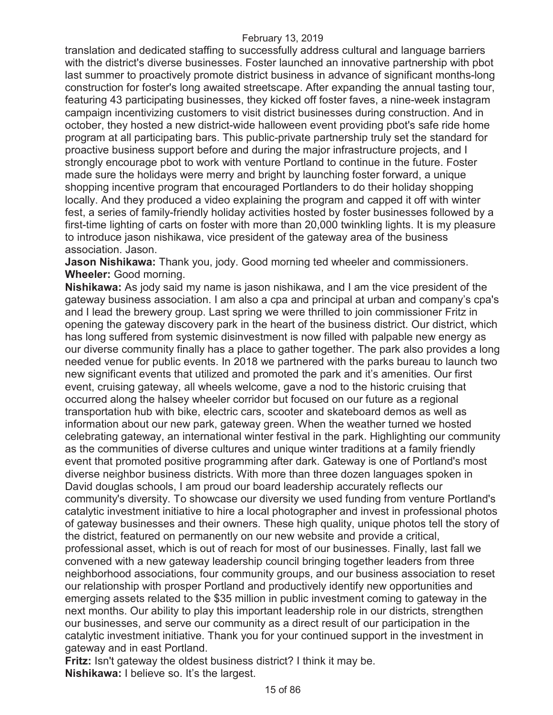translation and dedicated staffing to successfully address cultural and language barriers with the district's diverse businesses. Foster launched an innovative partnership with pbot last summer to proactively promote district business in advance of significant months-long construction for foster's long awaited streetscape. After expanding the annual tasting tour, featuring 43 participating businesses, they kicked off foster faves, a nine-week instagram campaign incentivizing customers to visit district businesses during construction. And in october, they hosted a new district-wide halloween event providing pbot's safe ride home program at all participating bars. This public-private partnership truly set the standard for proactive business support before and during the major infrastructure projects, and I strongly encourage pbot to work with venture Portland to continue in the future. Foster made sure the holidays were merry and bright by launching foster forward, a unique shopping incentive program that encouraged Portlanders to do their holiday shopping locally. And they produced a video explaining the program and capped it off with winter fest, a series of family-friendly holiday activities hosted by foster businesses followed by a first-time lighting of carts on foster with more than 20,000 twinkling lights. It is my pleasure to introduce jason nishikawa, vice president of the gateway area of the business association. Jason.

**Jason Nishikawa:** Thank you, jody. Good morning ted wheeler and commissioners. **Wheeler:** Good morning.

**Nishikawa:** As jody said my name is jason nishikawa, and I am the vice president of the gateway business association. I am also a cpa and principal at urban and company's cpa's and I lead the brewery group. Last spring we were thrilled to join commissioner Fritz in opening the gateway discovery park in the heart of the business district. Our district, which has long suffered from systemic disinvestment is now filled with palpable new energy as our diverse community finally has a place to gather together. The park also provides a long needed venue for public events. In 2018 we partnered with the parks bureau to launch two new significant events that utilized and promoted the park and it's amenities. Our first event, cruising gateway, all wheels welcome, gave a nod to the historic cruising that occurred along the halsey wheeler corridor but focused on our future as a regional transportation hub with bike, electric cars, scooter and skateboard demos as well as information about our new park, gateway green. When the weather turned we hosted celebrating gateway, an international winter festival in the park. Highlighting our community as the communities of diverse cultures and unique winter traditions at a family friendly event that promoted positive programming after dark. Gateway is one of Portland's most diverse neighbor business districts. With more than three dozen languages spoken in David douglas schools, I am proud our board leadership accurately reflects our community's diversity. To showcase our diversity we used funding from venture Portland's catalytic investment initiative to hire a local photographer and invest in professional photos of gateway businesses and their owners. These high quality, unique photos tell the story of the district, featured on permanently on our new website and provide a critical, professional asset, which is out of reach for most of our businesses. Finally, last fall we convened with a new gateway leadership council bringing together leaders from three neighborhood associations, four community groups, and our business association to reset our relationship with prosper Portland and productively identify new opportunities and emerging assets related to the \$35 million in public investment coming to gateway in the next months. Our ability to play this important leadership role in our districts, strengthen our businesses, and serve our community as a direct result of our participation in the catalytic investment initiative. Thank you for your continued support in the investment in gateway and in east Portland.

**Fritz:** Isn't gateway the oldest business district? I think it may be. **Nishikawa:** I believe so. It's the largest.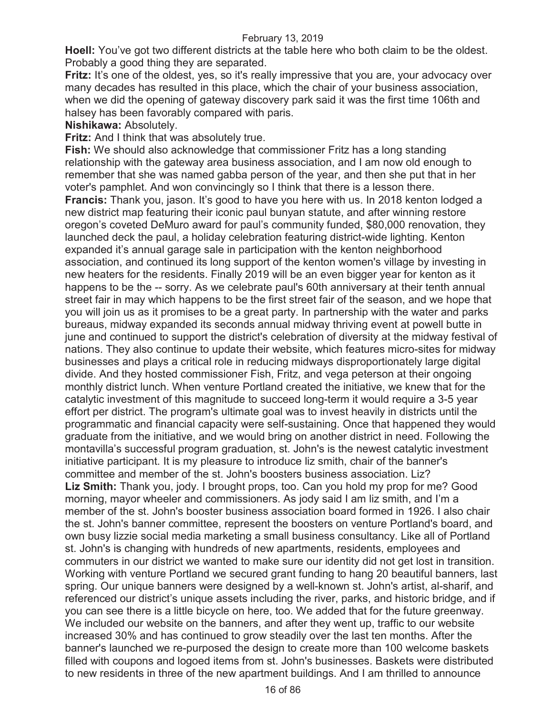**Hoell:** You've got two different districts at the table here who both claim to be the oldest. Probably a good thing they are separated.

**Fritz:** It's one of the oldest, yes, so it's really impressive that you are, your advocacy over many decades has resulted in this place, which the chair of your business association, when we did the opening of gateway discovery park said it was the first time 106th and halsey has been favorably compared with paris.

## **Nishikawa:** Absolutely.

**Fritz:** And I think that was absolutely true.

**Fish:** We should also acknowledge that commissioner Fritz has a long standing relationship with the gateway area business association, and I am now old enough to remember that she was named gabba person of the year, and then she put that in her voter's pamphlet. And won convincingly so I think that there is a lesson there.

**Francis:** Thank you, jason. It's good to have you here with us. In 2018 kenton lodged a new district map featuring their iconic paul bunyan statute, and after winning restore oregon's coveted DeMuro award for paul's community funded, \$80,000 renovation, they launched deck the paul, a holiday celebration featuring district-wide lighting. Kenton expanded it's annual garage sale in participation with the kenton neighborhood association, and continued its long support of the kenton women's village by investing in new heaters for the residents. Finally 2019 will be an even bigger year for kenton as it happens to be the -- sorry. As we celebrate paul's 60th anniversary at their tenth annual street fair in may which happens to be the first street fair of the season, and we hope that you will join us as it promises to be a great party. In partnership with the water and parks bureaus, midway expanded its seconds annual midway thriving event at powell butte in june and continued to support the district's celebration of diversity at the midway festival of nations. They also continue to update their website, which features micro-sites for midway businesses and plays a critical role in reducing midways disproportionately large digital divide. And they hosted commissioner Fish, Fritz, and vega peterson at their ongoing monthly district lunch. When venture Portland created the initiative, we knew that for the catalytic investment of this magnitude to succeed long-term it would require a 3-5 year effort per district. The program's ultimate goal was to invest heavily in districts until the programmatic and financial capacity were self-sustaining. Once that happened they would graduate from the initiative, and we would bring on another district in need. Following the montavilla's successful program graduation, st. John's is the newest catalytic investment initiative participant. It is my pleasure to introduce liz smith, chair of the banner's committee and member of the st. John's boosters business association. Liz? **Liz Smith:** Thank you, jody. I brought props, too. Can you hold my prop for me? Good morning, mayor wheeler and commissioners. As jody said I am liz smith, and I'm a member of the st. John's booster business association board formed in 1926. I also chair the st. John's banner committee, represent the boosters on venture Portland's board, and own busy lizzie social media marketing a small business consultancy. Like all of Portland st. John's is changing with hundreds of new apartments, residents, employees and commuters in our district we wanted to make sure our identity did not get lost in transition. Working with venture Portland we secured grant funding to hang 20 beautiful banners, last spring. Our unique banners were designed by a well-known st. John's artist, al-sharif, and referenced our district's unique assets including the river, parks, and historic bridge, and if you can see there is a little bicycle on here, too. We added that for the future greenway. We included our website on the banners, and after they went up, traffic to our website increased 30% and has continued to grow steadily over the last ten months. After the banner's launched we re-purposed the design to create more than 100 welcome baskets filled with coupons and logoed items from st. John's businesses. Baskets were distributed to new residents in three of the new apartment buildings. And I am thrilled to announce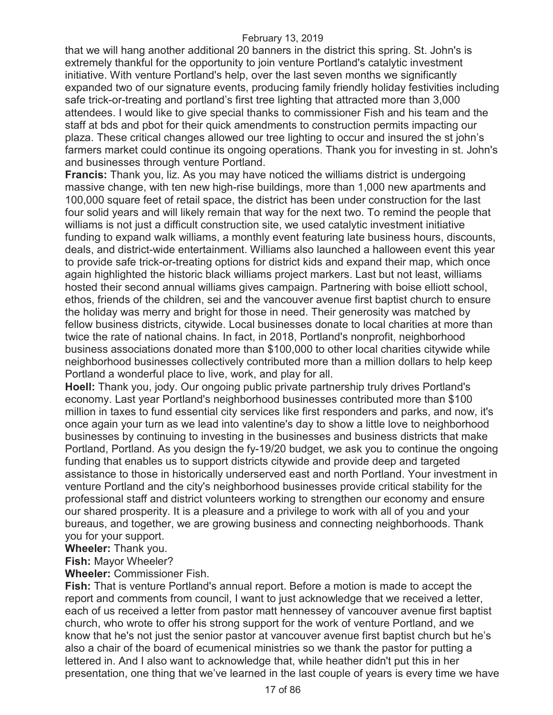that we will hang another additional 20 banners in the district this spring. St. John's is extremely thankful for the opportunity to join venture Portland's catalytic investment initiative. With venture Portland's help, over the last seven months we significantly expanded two of our signature events, producing family friendly holiday festivities including safe trick-or-treating and portland's first tree lighting that attracted more than 3,000 attendees. I would like to give special thanks to commissioner Fish and his team and the staff at bds and pbot for their quick amendments to construction permits impacting our plaza. These critical changes allowed our tree lighting to occur and insured the st john's farmers market could continue its ongoing operations. Thank you for investing in st. John's and businesses through venture Portland.

**Francis:** Thank you, liz. As you may have noticed the williams district is undergoing massive change, with ten new high-rise buildings, more than 1,000 new apartments and 100,000 square feet of retail space, the district has been under construction for the last four solid years and will likely remain that way for the next two. To remind the people that williams is not just a difficult construction site, we used catalytic investment initiative funding to expand walk williams, a monthly event featuring late business hours, discounts, deals, and district-wide entertainment. Williams also launched a halloween event this year to provide safe trick-or-treating options for district kids and expand their map, which once again highlighted the historic black williams project markers. Last but not least, williams hosted their second annual williams gives campaign. Partnering with boise elliott school, ethos, friends of the children, sei and the vancouver avenue first baptist church to ensure the holiday was merry and bright for those in need. Their generosity was matched by fellow business districts, citywide. Local businesses donate to local charities at more than twice the rate of national chains. In fact, in 2018, Portland's nonprofit, neighborhood business associations donated more than \$100,000 to other local charities citywide while neighborhood businesses collectively contributed more than a million dollars to help keep Portland a wonderful place to live, work, and play for all.

**Hoell:** Thank you, jody. Our ongoing public private partnership truly drives Portland's economy. Last year Portland's neighborhood businesses contributed more than \$100 million in taxes to fund essential city services like first responders and parks, and now, it's once again your turn as we lead into valentine's day to show a little love to neighborhood businesses by continuing to investing in the businesses and business districts that make Portland, Portland. As you design the fy-19/20 budget, we ask you to continue the ongoing funding that enables us to support districts citywide and provide deep and targeted assistance to those in historically underserved east and north Portland. Your investment in venture Portland and the city's neighborhood businesses provide critical stability for the professional staff and district volunteers working to strengthen our economy and ensure our shared prosperity. It is a pleasure and a privilege to work with all of you and your bureaus, and together, we are growing business and connecting neighborhoods. Thank you for your support.

**Wheeler:** Thank you.

**Fish:** Mayor Wheeler?

**Wheeler:** Commissioner Fish.

**Fish:** That is venture Portland's annual report. Before a motion is made to accept the report and comments from council, I want to just acknowledge that we received a letter, each of us received a letter from pastor matt hennessey of vancouver avenue first baptist church, who wrote to offer his strong support for the work of venture Portland, and we know that he's not just the senior pastor at vancouver avenue first baptist church but he's also a chair of the board of ecumenical ministries so we thank the pastor for putting a lettered in. And I also want to acknowledge that, while heather didn't put this in her presentation, one thing that we've learned in the last couple of years is every time we have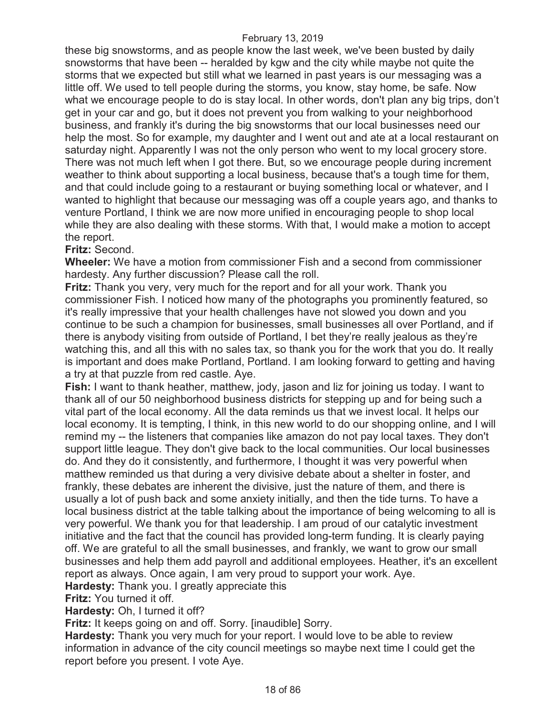these big snowstorms, and as people know the last week, we've been busted by daily snowstorms that have been -- heralded by kgw and the city while maybe not quite the storms that we expected but still what we learned in past years is our messaging was a little off. We used to tell people during the storms, you know, stay home, be safe. Now what we encourage people to do is stay local. In other words, don't plan any big trips, don't get in your car and go, but it does not prevent you from walking to your neighborhood business, and frankly it's during the big snowstorms that our local businesses need our help the most. So for example, my daughter and I went out and ate at a local restaurant on saturday night. Apparently I was not the only person who went to my local grocery store. There was not much left when I got there. But, so we encourage people during increment weather to think about supporting a local business, because that's a tough time for them, and that could include going to a restaurant or buying something local or whatever, and I wanted to highlight that because our messaging was off a couple years ago, and thanks to venture Portland, I think we are now more unified in encouraging people to shop local while they are also dealing with these storms. With that, I would make a motion to accept the report.

### **Fritz:** Second.

**Wheeler:** We have a motion from commissioner Fish and a second from commissioner hardesty. Any further discussion? Please call the roll.

**Fritz:** Thank you very, very much for the report and for all your work. Thank you commissioner Fish. I noticed how many of the photographs you prominently featured, so it's really impressive that your health challenges have not slowed you down and you continue to be such a champion for businesses, small businesses all over Portland, and if there is anybody visiting from outside of Portland, I bet they're really jealous as they're watching this, and all this with no sales tax, so thank you for the work that you do. It really is important and does make Portland, Portland. I am looking forward to getting and having a try at that puzzle from red castle. Aye.

**Fish:** I want to thank heather, matthew, jody, jason and liz for joining us today. I want to thank all of our 50 neighborhood business districts for stepping up and for being such a vital part of the local economy. All the data reminds us that we invest local. It helps our local economy. It is tempting, I think, in this new world to do our shopping online, and I will remind my -- the listeners that companies like amazon do not pay local taxes. They don't support little league. They don't give back to the local communities. Our local businesses do. And they do it consistently, and furthermore, I thought it was very powerful when matthew reminded us that during a very divisive debate about a shelter in foster, and frankly, these debates are inherent the divisive, just the nature of them, and there is usually a lot of push back and some anxiety initially, and then the tide turns. To have a local business district at the table talking about the importance of being welcoming to all is very powerful. We thank you for that leadership. I am proud of our catalytic investment initiative and the fact that the council has provided long-term funding. It is clearly paying off. We are grateful to all the small businesses, and frankly, we want to grow our small businesses and help them add payroll and additional employees. Heather, it's an excellent report as always. Once again, I am very proud to support your work. Aye.

**Hardesty:** Thank you. I greatly appreciate this

**Fritz:** You turned it off.

**Hardesty:** Oh, I turned it off?

**Fritz:** It keeps going on and off. Sorry. [inaudible] Sorry.

**Hardesty:** Thank you very much for your report. I would love to be able to review information in advance of the city council meetings so maybe next time I could get the report before you present. I vote Aye.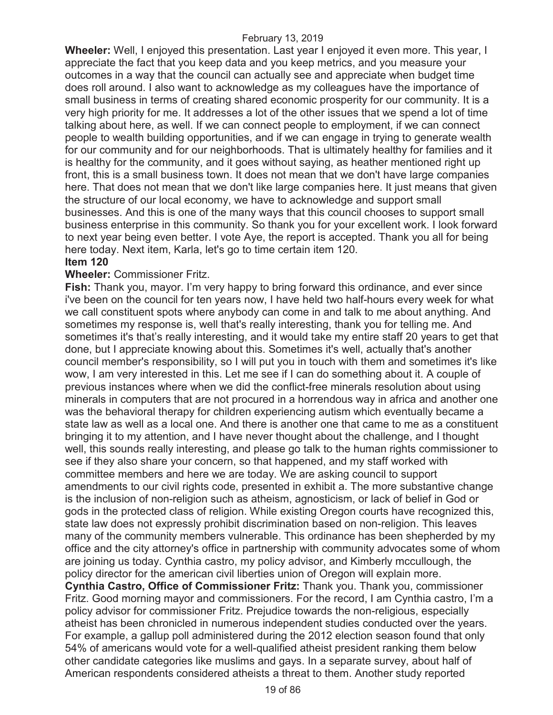**Wheeler:** Well, I enjoyed this presentation. Last year I enjoyed it even more. This year, I appreciate the fact that you keep data and you keep metrics, and you measure your outcomes in a way that the council can actually see and appreciate when budget time does roll around. I also want to acknowledge as my colleagues have the importance of small business in terms of creating shared economic prosperity for our community. It is a very high priority for me. It addresses a lot of the other issues that we spend a lot of time talking about here, as well. If we can connect people to employment, if we can connect people to wealth building opportunities, and if we can engage in trying to generate wealth for our community and for our neighborhoods. That is ultimately healthy for families and it is healthy for the community, and it goes without saying, as heather mentioned right up front, this is a small business town. It does not mean that we don't have large companies here. That does not mean that we don't like large companies here. It just means that given the structure of our local economy, we have to acknowledge and support small businesses. And this is one of the many ways that this council chooses to support small business enterprise in this community. So thank you for your excellent work. I look forward to next year being even better. I vote Aye, the report is accepted. Thank you all for being here today. Next item, Karla, let's go to time certain item 120.

#### **Item 120**

#### **Wheeler:** Commissioner Fritz.

**Fish:** Thank you, mayor. I'm very happy to bring forward this ordinance, and ever since i've been on the council for ten years now, I have held two half-hours every week for what we call constituent spots where anybody can come in and talk to me about anything. And sometimes my response is, well that's really interesting, thank you for telling me. And sometimes it's that's really interesting, and it would take my entire staff 20 years to get that done, but I appreciate knowing about this. Sometimes it's well, actually that's another council member's responsibility, so I will put you in touch with them and sometimes it's like wow, I am very interested in this. Let me see if I can do something about it. A couple of previous instances where when we did the conflict-free minerals resolution about using minerals in computers that are not procured in a horrendous way in africa and another one was the behavioral therapy for children experiencing autism which eventually became a state law as well as a local one. And there is another one that came to me as a constituent bringing it to my attention, and I have never thought about the challenge, and I thought well, this sounds really interesting, and please go talk to the human rights commissioner to see if they also share your concern, so that happened, and my staff worked with committee members and here we are today. We are asking council to support amendments to our civil rights code, presented in exhibit a. The more substantive change is the inclusion of non-religion such as atheism, agnosticism, or lack of belief in God or gods in the protected class of religion. While existing Oregon courts have recognized this, state law does not expressly prohibit discrimination based on non-religion. This leaves many of the community members vulnerable. This ordinance has been shepherded by my office and the city attorney's office in partnership with community advocates some of whom are joining us today. Cynthia castro, my policy advisor, and Kimberly mccullough, the policy director for the american civil liberties union of Oregon will explain more. **Cynthia Castro, Office of Commissioner Fritz:** Thank you. Thank you, commissioner

Fritz. Good morning mayor and commissioners. For the record, I am Cynthia castro, I'm a policy advisor for commissioner Fritz. Prejudice towards the non-religious, especially atheist has been chronicled in numerous independent studies conducted over the years. For example, a gallup poll administered during the 2012 election season found that only 54% of americans would vote for a well-qualified atheist president ranking them below other candidate categories like muslims and gays. In a separate survey, about half of American respondents considered atheists a threat to them. Another study reported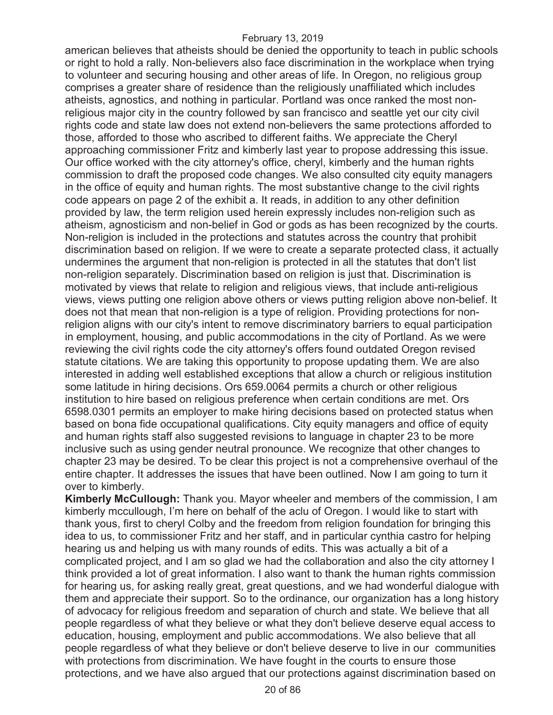american believes that atheists should be denied the opportunity to teach in public schools or right to hold a rally. Non-believers also face discrimination in the workplace when trying to volunteer and securing housing and other areas of life. In Oregon, no religious group comprises a greater share of residence than the religiously unaffiliated which includes atheists, agnostics, and nothing in particular. Portland was once ranked the most nonreligious major city in the country followed by san francisco and seattle yet our city civil rights code and state law does not extend non-believers the same protections afforded to those, afforded to those who ascribed to different faiths. We appreciate the Cheryl approaching commissioner Fritz and kimberly last year to propose addressing this issue. Our office worked with the city attorney's office, cheryl, kimberly and the human rights commission to draft the proposed code changes. We also consulted city equity managers in the office of equity and human rights. The most substantive change to the civil rights code appears on page 2 of the exhibit a. It reads, in addition to any other definition provided by law, the term religion used herein expressly includes non-religion such as atheism, agnosticism and non-belief in God or gods as has been recognized by the courts. Non-religion is included in the protections and statutes across the country that prohibit discrimination based on religion. If we were to create a separate protected class, it actually undermines the argument that non-religion is protected in all the statutes that don't list non-religion separately. Discrimination based on religion is just that. Discrimination is motivated by views that relate to religion and religious views, that include anti-religious views, views putting one religion above others or views putting religion above non-belief. It does not that mean that non-religion is a type of religion. Providing protections for nonreligion aligns with our city's intent to remove discriminatory barriers to equal participation in employment, housing, and public accommodations in the city of Portland. As we were reviewing the civil rights code the city attorney's offers found outdated Oregon revised statute citations. We are taking this opportunity to propose updating them. We are also interested in adding well established exceptions that allow a church or religious institution some latitude in hiring decisions. Ors 659.0064 permits a church or other religious institution to hire based on religious preference when certain conditions are met. Ors 6598.0301 permits an employer to make hiring decisions based on protected status when based on bona fide occupational qualifications. City equity managers and office of equity and human rights staff also suggested revisions to language in chapter 23 to be more inclusive such as using gender neutral pronounce. We recognize that other changes to chapter 23 may be desired. To be clear this project is not a comprehensive overhaul of the entire chapter. It addresses the issues that have been outlined. Now I am going to turn it over to kimberly.

**Kimberly McCullough:** Thank you. Mayor wheeler and members of the commission, I am kimberly mccullough, I'm here on behalf of the aclu of Oregon. I would like to start with thank yous, first to cheryl Colby and the freedom from religion foundation for bringing this idea to us, to commissioner Fritz and her staff, and in particular cynthia castro for helping hearing us and helping us with many rounds of edits. This was actually a bit of a complicated project, and I am so glad we had the collaboration and also the city attorney I think provided a lot of great information. I also want to thank the human rights commission for hearing us, for asking really great, great questions, and we had wonderful dialogue with them and appreciate their support. So to the ordinance, our organization has a long history of advocacy for religious freedom and separation of church and state. We believe that all people regardless of what they believe or what they don't believe deserve equal access to education, housing, employment and public accommodations. We also believe that all people regardless of what they believe or don't believe deserve to live in our communities with protections from discrimination. We have fought in the courts to ensure those protections, and we have also argued that our protections against discrimination based on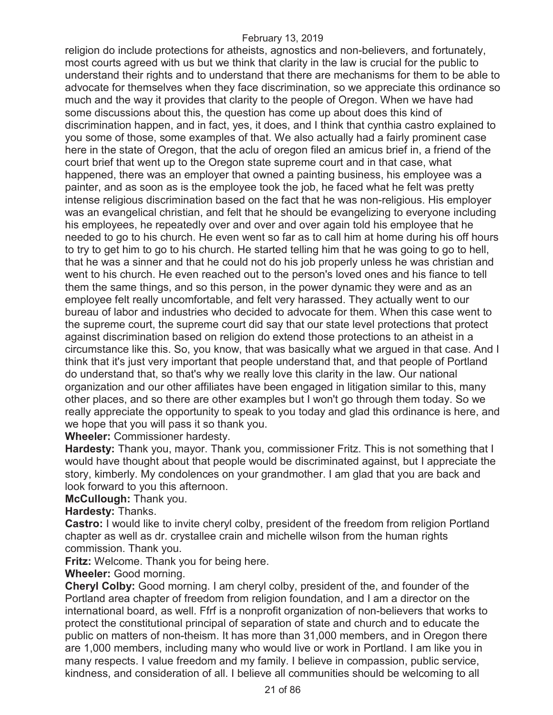religion do include protections for atheists, agnostics and non-believers, and fortunately, most courts agreed with us but we think that clarity in the law is crucial for the public to understand their rights and to understand that there are mechanisms for them to be able to advocate for themselves when they face discrimination, so we appreciate this ordinance so much and the way it provides that clarity to the people of Oregon. When we have had some discussions about this, the question has come up about does this kind of discrimination happen, and in fact, yes, it does, and I think that cynthia castro explained to you some of those, some examples of that. We also actually had a fairly prominent case here in the state of Oregon, that the aclu of oregon filed an amicus brief in, a friend of the court brief that went up to the Oregon state supreme court and in that case, what happened, there was an employer that owned a painting business, his employee was a painter, and as soon as is the employee took the job, he faced what he felt was pretty intense religious discrimination based on the fact that he was non-religious. His employer was an evangelical christian, and felt that he should be evangelizing to everyone including his employees, he repeatedly over and over and over again told his employee that he needed to go to his church. He even went so far as to call him at home during his off hours to try to get him to go to his church. He started telling him that he was going to go to hell, that he was a sinner and that he could not do his job properly unless he was christian and went to his church. He even reached out to the person's loved ones and his fiance to tell them the same things, and so this person, in the power dynamic they were and as an employee felt really uncomfortable, and felt very harassed. They actually went to our bureau of labor and industries who decided to advocate for them. When this case went to the supreme court, the supreme court did say that our state level protections that protect against discrimination based on religion do extend those protections to an atheist in a circumstance like this. So, you know, that was basically what we argued in that case. And I think that it's just very important that people understand that, and that people of Portland do understand that, so that's why we really love this clarity in the law. Our national organization and our other affiliates have been engaged in litigation similar to this, many other places, and so there are other examples but I won't go through them today. So we really appreciate the opportunity to speak to you today and glad this ordinance is here, and we hope that you will pass it so thank you.

**Wheeler:** Commissioner hardesty.

**Hardesty:** Thank you, mayor. Thank you, commissioner Fritz. This is not something that I would have thought about that people would be discriminated against, but I appreciate the story, kimberly. My condolences on your grandmother. I am glad that you are back and look forward to you this afternoon.

**McCullough:** Thank you.

**Hardesty:** Thanks.

**Castro:** I would like to invite cheryl colby, president of the freedom from religion Portland chapter as well as dr. crystallee crain and michelle wilson from the human rights commission. Thank you.

**Fritz:** Welcome. Thank you for being here.

**Wheeler:** Good morning.

**Cheryl Colby:** Good morning. I am cheryl colby, president of the, and founder of the Portland area chapter of freedom from religion foundation, and I am a director on the international board, as well. Ffrf is a nonprofit organization of non-believers that works to protect the constitutional principal of separation of state and church and to educate the public on matters of non-theism. It has more than 31,000 members, and in Oregon there are 1,000 members, including many who would live or work in Portland. I am like you in many respects. I value freedom and my family. I believe in compassion, public service, kindness, and consideration of all. I believe all communities should be welcoming to all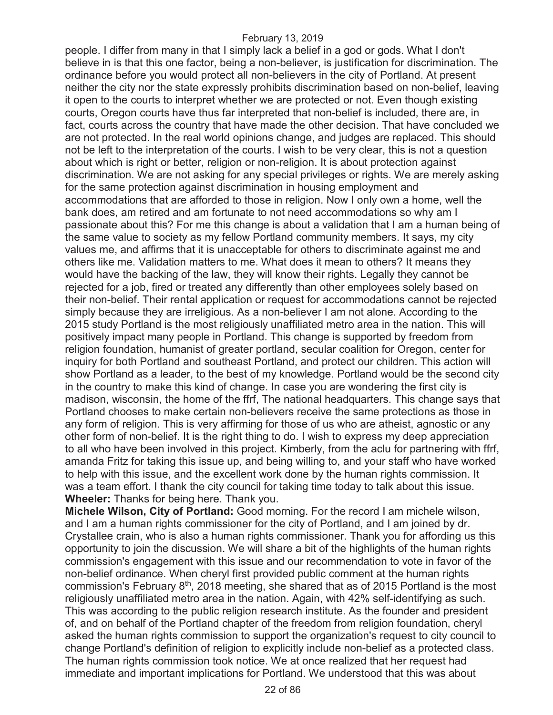people. I differ from many in that I simply lack a belief in a god or gods. What I don't believe in is that this one factor, being a non-believer, is justification for discrimination. The ordinance before you would protect all non-believers in the city of Portland. At present neither the city nor the state expressly prohibits discrimination based on non-belief, leaving it open to the courts to interpret whether we are protected or not. Even though existing courts, Oregon courts have thus far interpreted that non-belief is included, there are, in fact, courts across the country that have made the other decision. That have concluded we are not protected. In the real world opinions change, and judges are replaced. This should not be left to the interpretation of the courts. I wish to be very clear, this is not a question about which is right or better, religion or non-religion. It is about protection against discrimination. We are not asking for any special privileges or rights. We are merely asking for the same protection against discrimination in housing employment and accommodations that are afforded to those in religion. Now I only own a home, well the bank does, am retired and am fortunate to not need accommodations so why am I passionate about this? For me this change is about a validation that I am a human being of the same value to society as my fellow Portland community members. It says, my city values me, and affirms that it is unacceptable for others to discriminate against me and others like me. Validation matters to me. What does it mean to others? It means they would have the backing of the law, they will know their rights. Legally they cannot be rejected for a job, fired or treated any differently than other employees solely based on their non-belief. Their rental application or request for accommodations cannot be rejected simply because they are irreligious. As a non-believer I am not alone. According to the 2015 study Portland is the most religiously unaffiliated metro area in the nation. This will positively impact many people in Portland. This change is supported by freedom from religion foundation, humanist of greater portland, secular coalition for Oregon, center for inquiry for both Portland and southeast Portland, and protect our children. This action will show Portland as a leader, to the best of my knowledge. Portland would be the second city in the country to make this kind of change. In case you are wondering the first city is madison, wisconsin, the home of the ffrf, The national headquarters. This change says that Portland chooses to make certain non-believers receive the same protections as those in any form of religion. This is very affirming for those of us who are atheist, agnostic or any other form of non-belief. It is the right thing to do. I wish to express my deep appreciation to all who have been involved in this project. Kimberly, from the aclu for partnering with ffrf, amanda Fritz for taking this issue up, and being willing to, and your staff who have worked to help with this issue, and the excellent work done by the human rights commission. It was a team effort. I thank the city council for taking time today to talk about this issue. **Wheeler:** Thanks for being here. Thank you.

**Michele Wilson, City of Portland:** Good morning. For the record I am michele wilson, and I am a human rights commissioner for the city of Portland, and I am joined by dr. Crystallee crain, who is also a human rights commissioner. Thank you for affording us this opportunity to join the discussion. We will share a bit of the highlights of the human rights commission's engagement with this issue and our recommendation to vote in favor of the non-belief ordinance. When cheryl first provided public comment at the human rights commission's February  $8<sup>th</sup>$ , 2018 meeting, she shared that as of 2015 Portland is the most religiously unaffiliated metro area in the nation. Again, with 42% self-identifying as such. This was according to the public religion research institute. As the founder and president of, and on behalf of the Portland chapter of the freedom from religion foundation, cheryl asked the human rights commission to support the organization's request to city council to change Portland's definition of religion to explicitly include non-belief as a protected class. The human rights commission took notice. We at once realized that her request had immediate and important implications for Portland. We understood that this was about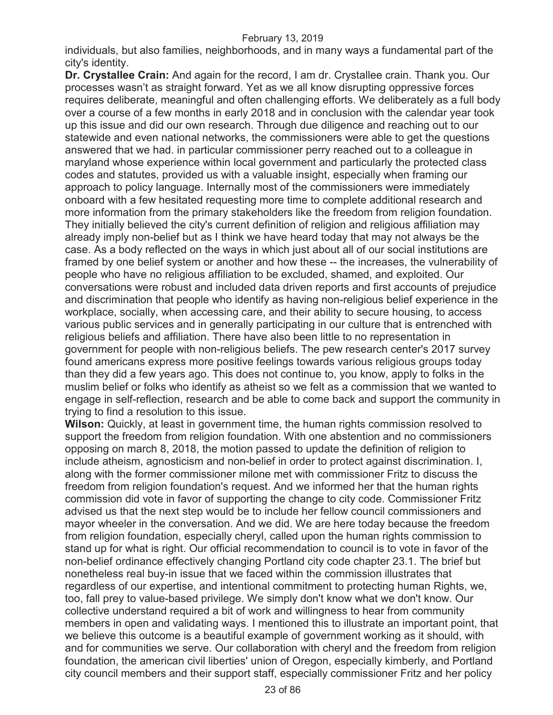individuals, but also families, neighborhoods, and in many ways a fundamental part of the city's identity.

**Dr. Crystallee Crain:** And again for the record, I am dr. Crystallee crain. Thank you. Our processes wasn't as straight forward. Yet as we all know disrupting oppressive forces requires deliberate, meaningful and often challenging efforts. We deliberately as a full body over a course of a few months in early 2018 and in conclusion with the calendar year took up this issue and did our own research. Through due diligence and reaching out to our statewide and even national networks, the commissioners were able to get the questions answered that we had. in particular commissioner perry reached out to a colleague in maryland whose experience within local government and particularly the protected class codes and statutes, provided us with a valuable insight, especially when framing our approach to policy language. Internally most of the commissioners were immediately onboard with a few hesitated requesting more time to complete additional research and more information from the primary stakeholders like the freedom from religion foundation. They initially believed the city's current definition of religion and religious affiliation may already imply non-belief but as I think we have heard today that may not always be the case. As a body reflected on the ways in which just about all of our social institutions are framed by one belief system or another and how these -- the increases, the vulnerability of people who have no religious affiliation to be excluded, shamed, and exploited. Our conversations were robust and included data driven reports and first accounts of prejudice and discrimination that people who identify as having non-religious belief experience in the workplace, socially, when accessing care, and their ability to secure housing, to access various public services and in generally participating in our culture that is entrenched with religious beliefs and affiliation. There have also been little to no representation in government for people with non-religious beliefs. The pew research center's 2017 survey found americans express more positive feelings towards various religious groups today than they did a few years ago. This does not continue to, you know, apply to folks in the muslim belief or folks who identify as atheist so we felt as a commission that we wanted to engage in self-reflection, research and be able to come back and support the community in trying to find a resolution to this issue.

**Wilson:** Quickly, at least in government time, the human rights commission resolved to support the freedom from religion foundation. With one abstention and no commissioners opposing on march 8, 2018, the motion passed to update the definition of religion to include atheism, agnosticism and non-belief in order to protect against discrimination. I, along with the former commissioner milone met with commissioner Fritz to discuss the freedom from religion foundation's request. And we informed her that the human rights commission did vote in favor of supporting the change to city code. Commissioner Fritz advised us that the next step would be to include her fellow council commissioners and mayor wheeler in the conversation. And we did. We are here today because the freedom from religion foundation, especially cheryl, called upon the human rights commission to stand up for what is right. Our official recommendation to council is to vote in favor of the non-belief ordinance effectively changing Portland city code chapter 23.1. The brief but nonetheless real buy-in issue that we faced within the commission illustrates that regardless of our expertise, and intentional commitment to protecting human Rights, we, too, fall prey to value-based privilege. We simply don't know what we don't know. Our collective understand required a bit of work and willingness to hear from community members in open and validating ways. I mentioned this to illustrate an important point, that we believe this outcome is a beautiful example of government working as it should, with and for communities we serve. Our collaboration with cheryl and the freedom from religion foundation, the american civil liberties' union of Oregon, especially kimberly, and Portland city council members and their support staff, especially commissioner Fritz and her policy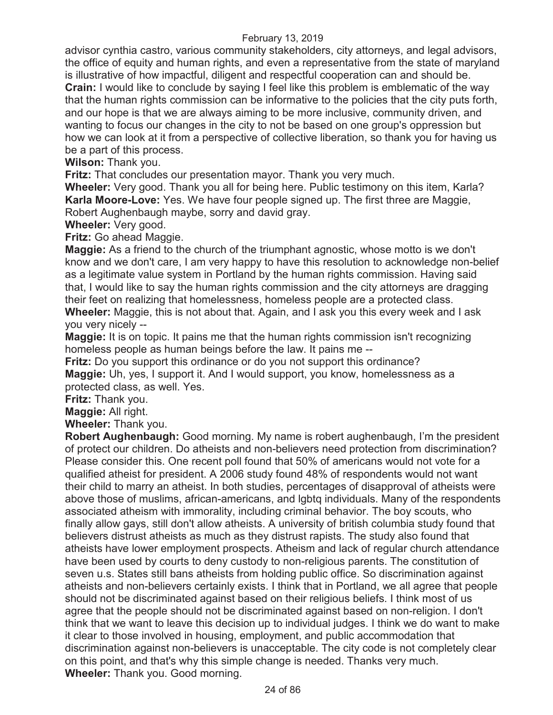advisor cynthia castro, various community stakeholders, city attorneys, and legal advisors, the office of equity and human rights, and even a representative from the state of maryland is illustrative of how impactful, diligent and respectful cooperation can and should be. **Crain:** I would like to conclude by saying I feel like this problem is emblematic of the way that the human rights commission can be informative to the policies that the city puts forth, and our hope is that we are always aiming to be more inclusive, community driven, and wanting to focus our changes in the city to not be based on one group's oppression but how we can look at it from a perspective of collective liberation, so thank you for having us be a part of this process.

**Wilson:** Thank you.

**Fritz:** That concludes our presentation mayor. Thank you very much.

**Wheeler:** Very good. Thank you all for being here. Public testimony on this item, Karla? **Karla Moore-Love:** Yes. We have four people signed up. The first three are Maggie, Robert Aughenbaugh maybe, sorry and david gray.

**Wheeler:** Very good.

**Fritz:** Go ahead Maggie.

**Maggie:** As a friend to the church of the triumphant agnostic, whose motto is we don't know and we don't care, I am very happy to have this resolution to acknowledge non-belief as a legitimate value system in Portland by the human rights commission. Having said that, I would like to say the human rights commission and the city attorneys are dragging their feet on realizing that homelessness, homeless people are a protected class. **Wheeler:** Maggie, this is not about that. Again, and I ask you this every week and I ask you very nicely --

**Maggie:** It is on topic. It pains me that the human rights commission isn't recognizing homeless people as human beings before the law. It pains me --

**Fritz:** Do you support this ordinance or do you not support this ordinance? **Maggie:** Uh, yes, I support it. And I would support, you know, homelessness as a protected class, as well. Yes.

**Fritz:** Thank you.

**Maggie:** All right.

**Wheeler:** Thank you.

**Robert Aughenbaugh:** Good morning. My name is robert aughenbaugh, I'm the president of protect our children. Do atheists and non-believers need protection from discrimination? Please consider this. One recent poll found that 50% of americans would not vote for a qualified atheist for president. A 2006 study found 48% of respondents would not want their child to marry an atheist. In both studies, percentages of disapproval of atheists were above those of muslims, african-americans, and lgbtq individuals. Many of the respondents associated atheism with immorality, including criminal behavior. The boy scouts, who finally allow gays, still don't allow atheists. A university of british columbia study found that believers distrust atheists as much as they distrust rapists. The study also found that atheists have lower employment prospects. Atheism and lack of regular church attendance have been used by courts to deny custody to non-religious parents. The constitution of seven u.s. States still bans atheists from holding public office. So discrimination against atheists and non-believers certainly exists. I think that in Portland, we all agree that people should not be discriminated against based on their religious beliefs. I think most of us agree that the people should not be discriminated against based on non-religion. I don't think that we want to leave this decision up to individual judges. I think we do want to make it clear to those involved in housing, employment, and public accommodation that discrimination against non-believers is unacceptable. The city code is not completely clear on this point, and that's why this simple change is needed. Thanks very much. **Wheeler:** Thank you. Good morning.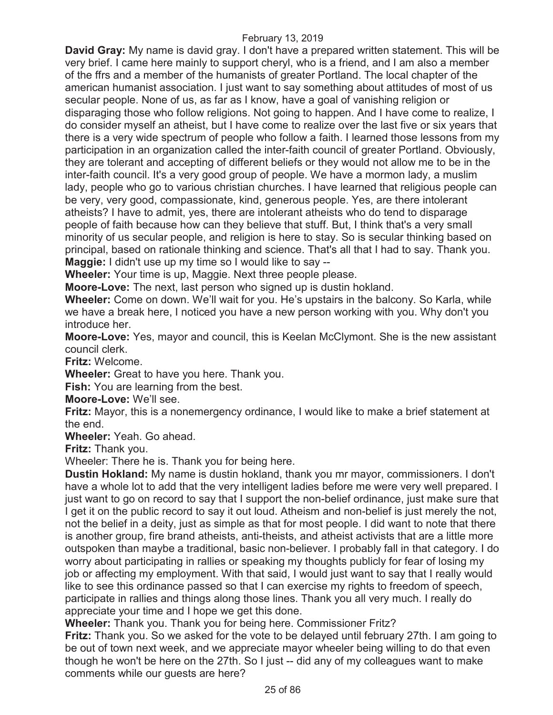**David Gray:** My name is david gray. I don't have a prepared written statement. This will be very brief. I came here mainly to support cheryl, who is a friend, and I am also a member of the ffrs and a member of the humanists of greater Portland. The local chapter of the american humanist association. I just want to say something about attitudes of most of us secular people. None of us, as far as I know, have a goal of vanishing religion or disparaging those who follow religions. Not going to happen. And I have come to realize, I do consider myself an atheist, but I have come to realize over the last five or six years that there is a very wide spectrum of people who follow a faith. I learned those lessons from my participation in an organization called the inter-faith council of greater Portland. Obviously, they are tolerant and accepting of different beliefs or they would not allow me to be in the inter-faith council. It's a very good group of people. We have a mormon lady, a muslim lady, people who go to various christian churches. I have learned that religious people can be very, very good, compassionate, kind, generous people. Yes, are there intolerant atheists? I have to admit, yes, there are intolerant atheists who do tend to disparage people of faith because how can they believe that stuff. But, I think that's a very small minority of us secular people, and religion is here to stay. So is secular thinking based on principal, based on rationale thinking and science. That's all that I had to say. Thank you. **Maggie:** I didn't use up my time so I would like to say --

**Wheeler:** Your time is up, Maggie. Next three people please.

**Moore-Love:** The next, last person who signed up is dustin hokland.

**Wheeler:** Come on down. We'll wait for you. He's upstairs in the balcony. So Karla, while we have a break here, I noticed you have a new person working with you. Why don't you introduce her.

**Moore-Love:** Yes, mayor and council, this is Keelan McClymont. She is the new assistant council clerk.

**Fritz:** Welcome.

**Wheeler:** Great to have you here. Thank you.

**Fish:** You are learning from the best.

**Moore-Love:** We'll see.

**Fritz:** Mayor, this is a nonemergency ordinance, I would like to make a brief statement at the end.

**Wheeler:** Yeah. Go ahead.

**Fritz:** Thank you.

Wheeler: There he is. Thank you for being here.

**Dustin Hokland:** My name is dustin hokland, thank you mr mayor, commissioners. I don't have a whole lot to add that the very intelligent ladies before me were very well prepared. I just want to go on record to say that I support the non-belief ordinance, just make sure that I get it on the public record to say it out loud. Atheism and non-belief is just merely the not, not the belief in a deity, just as simple as that for most people. I did want to note that there is another group, fire brand atheists, anti-theists, and atheist activists that are a little more outspoken than maybe a traditional, basic non-believer. I probably fall in that category. I do worry about participating in rallies or speaking my thoughts publicly for fear of losing my job or affecting my employment. With that said, I would just want to say that I really would like to see this ordinance passed so that I can exercise my rights to freedom of speech, participate in rallies and things along those lines. Thank you all very much. I really do appreciate your time and I hope we get this done.

**Wheeler:** Thank you. Thank you for being here. Commissioner Fritz?

**Fritz:** Thank you. So we asked for the vote to be delayed until february 27th. I am going to be out of town next week, and we appreciate mayor wheeler being willing to do that even though he won't be here on the 27th. So I just -- did any of my colleagues want to make comments while our guests are here?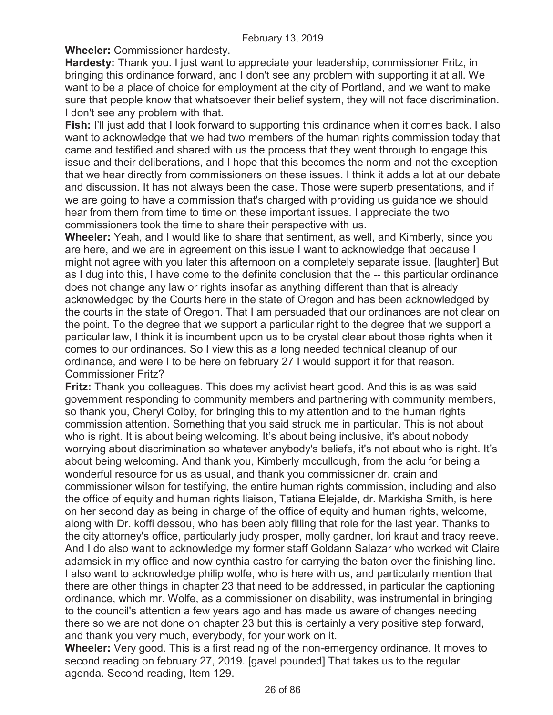**Wheeler:** Commissioner hardesty.

**Hardesty:** Thank you. I just want to appreciate your leadership, commissioner Fritz, in bringing this ordinance forward, and I don't see any problem with supporting it at all. We want to be a place of choice for employment at the city of Portland, and we want to make sure that people know that whatsoever their belief system, they will not face discrimination. I don't see any problem with that.

**Fish:** I'll just add that I look forward to supporting this ordinance when it comes back. I also want to acknowledge that we had two members of the human rights commission today that came and testified and shared with us the process that they went through to engage this issue and their deliberations, and I hope that this becomes the norm and not the exception that we hear directly from commissioners on these issues. I think it adds a lot at our debate and discussion. It has not always been the case. Those were superb presentations, and if we are going to have a commission that's charged with providing us guidance we should hear from them from time to time on these important issues. I appreciate the two commissioners took the time to share their perspective with us.

**Wheeler:** Yeah, and I would like to share that sentiment, as well, and Kimberly, since you are here, and we are in agreement on this issue I want to acknowledge that because I might not agree with you later this afternoon on a completely separate issue. [laughter] But as I dug into this, I have come to the definite conclusion that the -- this particular ordinance does not change any law or rights insofar as anything different than that is already acknowledged by the Courts here in the state of Oregon and has been acknowledged by the courts in the state of Oregon. That I am persuaded that our ordinances are not clear on the point. To the degree that we support a particular right to the degree that we support a particular law, I think it is incumbent upon us to be crystal clear about those rights when it comes to our ordinances. So I view this as a long needed technical cleanup of our ordinance, and were I to be here on february 27 I would support it for that reason. Commissioner Fritz?

**Fritz:** Thank you colleagues. This does my activist heart good. And this is as was said government responding to community members and partnering with community members, so thank you, Cheryl Colby, for bringing this to my attention and to the human rights commission attention. Something that you said struck me in particular. This is not about who is right. It is about being welcoming. It's about being inclusive, it's about nobody worrying about discrimination so whatever anybody's beliefs, it's not about who is right. It's about being welcoming. And thank you, Kimberly mccullough, from the aclu for being a wonderful resource for us as usual, and thank you commissioner dr. crain and commissioner wilson for testifying, the entire human rights commission, including and also the office of equity and human rights liaison, Tatiana Elejalde, dr. Markisha Smith, is here on her second day as being in charge of the office of equity and human rights, welcome, along with Dr. koffi dessou, who has been ably filling that role for the last year. Thanks to the city attorney's office, particularly judy prosper, molly gardner, lori kraut and tracy reeve. And I do also want to acknowledge my former staff Goldann Salazar who worked wit Claire adamsick in my office and now cynthia castro for carrying the baton over the finishing line. I also want to acknowledge philip wolfe, who is here with us, and particularly mention that there are other things in chapter 23 that need to be addressed, in particular the captioning ordinance, which mr. Wolfe, as a commissioner on disability, was instrumental in bringing to the council's attention a few years ago and has made us aware of changes needing there so we are not done on chapter 23 but this is certainly a very positive step forward, and thank you very much, everybody, for your work on it.

**Wheeler:** Very good. This is a first reading of the non-emergency ordinance. It moves to second reading on february 27, 2019. [gavel pounded] That takes us to the regular agenda. Second reading, Item 129.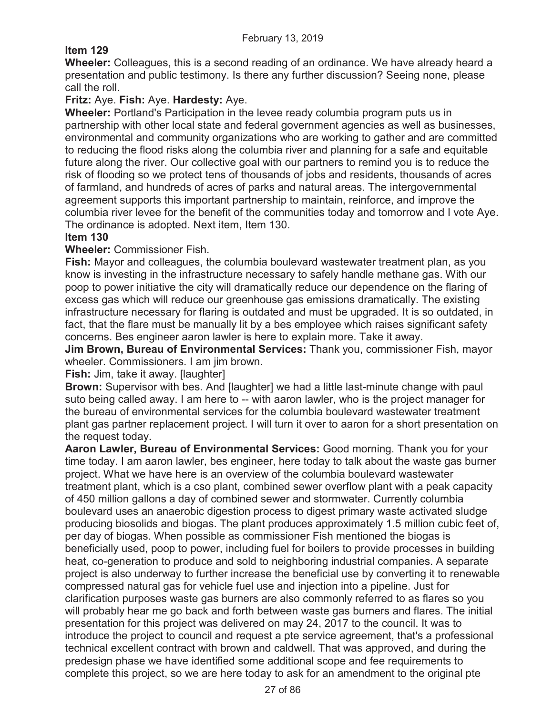# **Item 129**

**Wheeler:** Colleagues, this is a second reading of an ordinance. We have already heard a presentation and public testimony. Is there any further discussion? Seeing none, please call the roll.

# **Fritz:** Aye. **Fish:** Aye. **Hardesty:** Aye.

**Wheeler:** Portland's Participation in the levee ready columbia program puts us in partnership with other local state and federal government agencies as well as businesses, environmental and community organizations who are working to gather and are committed to reducing the flood risks along the columbia river and planning for a safe and equitable future along the river. Our collective goal with our partners to remind you is to reduce the risk of flooding so we protect tens of thousands of jobs and residents, thousands of acres of farmland, and hundreds of acres of parks and natural areas. The intergovernmental agreement supports this important partnership to maintain, reinforce, and improve the columbia river levee for the benefit of the communities today and tomorrow and I vote Aye. The ordinance is adopted. Next item, Item 130.

## **Item 130**

## **Wheeler:** Commissioner Fish.

**Fish:** Mayor and colleagues, the columbia boulevard wastewater treatment plan, as you know is investing in the infrastructure necessary to safely handle methane gas. With our poop to power initiative the city will dramatically reduce our dependence on the flaring of excess gas which will reduce our greenhouse gas emissions dramatically. The existing infrastructure necessary for flaring is outdated and must be upgraded. It is so outdated, in fact, that the flare must be manually lit by a bes employee which raises significant safety concerns. Bes engineer aaron lawler is here to explain more. Take it away.

**Jim Brown, Bureau of Environmental Services:** Thank you, commissioner Fish, mayor wheeler. Commissioners. I am jim brown.

## **Fish:** Jim, take it away. [laughter]

**Brown:** Supervisor with bes. And [laughter] we had a little last-minute change with paul suto being called away. I am here to -- with aaron lawler, who is the project manager for the bureau of environmental services for the columbia boulevard wastewater treatment plant gas partner replacement project. I will turn it over to aaron for a short presentation on the request today.

**Aaron Lawler, Bureau of Environmental Services:** Good morning. Thank you for your time today. I am aaron lawler, bes engineer, here today to talk about the waste gas burner project. What we have here is an overview of the columbia boulevard wastewater treatment plant, which is a cso plant, combined sewer overflow plant with a peak capacity of 450 million gallons a day of combined sewer and stormwater. Currently columbia boulevard uses an anaerobic digestion process to digest primary waste activated sludge producing biosolids and biogas. The plant produces approximately 1.5 million cubic feet of, per day of biogas. When possible as commissioner Fish mentioned the biogas is beneficially used, poop to power, including fuel for boilers to provide processes in building heat, co-generation to produce and sold to neighboring industrial companies. A separate project is also underway to further increase the beneficial use by converting it to renewable compressed natural gas for vehicle fuel use and injection into a pipeline. Just for clarification purposes waste gas burners are also commonly referred to as flares so you will probably hear me go back and forth between waste gas burners and flares. The initial presentation for this project was delivered on may 24, 2017 to the council. It was to introduce the project to council and request a pte service agreement, that's a professional technical excellent contract with brown and caldwell. That was approved, and during the predesign phase we have identified some additional scope and fee requirements to complete this project, so we are here today to ask for an amendment to the original pte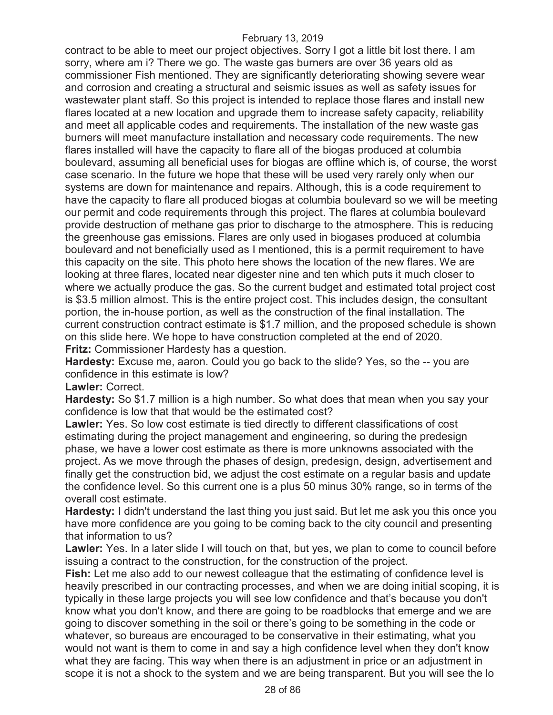contract to be able to meet our project objectives. Sorry I got a little bit lost there. I am sorry, where am i? There we go. The waste gas burners are over 36 years old as commissioner Fish mentioned. They are significantly deteriorating showing severe wear and corrosion and creating a structural and seismic issues as well as safety issues for wastewater plant staff. So this project is intended to replace those flares and install new flares located at a new location and upgrade them to increase safety capacity, reliability and meet all applicable codes and requirements. The installation of the new waste gas burners will meet manufacture installation and necessary code requirements. The new flares installed will have the capacity to flare all of the biogas produced at columbia boulevard, assuming all beneficial uses for biogas are offline which is, of course, the worst case scenario. In the future we hope that these will be used very rarely only when our systems are down for maintenance and repairs. Although, this is a code requirement to have the capacity to flare all produced biogas at columbia boulevard so we will be meeting our permit and code requirements through this project. The flares at columbia boulevard provide destruction of methane gas prior to discharge to the atmosphere. This is reducing the greenhouse gas emissions. Flares are only used in biogases produced at columbia boulevard and not beneficially used as I mentioned, this is a permit requirement to have this capacity on the site. This photo here shows the location of the new flares. We are looking at three flares, located near digester nine and ten which puts it much closer to where we actually produce the gas. So the current budget and estimated total project cost is \$3.5 million almost. This is the entire project cost. This includes design, the consultant portion, the in-house portion, as well as the construction of the final installation. The current construction contract estimate is \$1.7 million, and the proposed schedule is shown on this slide here. We hope to have construction completed at the end of 2020. **Fritz:** Commissioner Hardesty has a question.

**Hardesty:** Excuse me, aaron. Could you go back to the slide? Yes, so the -- you are confidence in this estimate is low?

**Lawler:** Correct.

**Hardesty:** So \$1.7 million is a high number. So what does that mean when you say your confidence is low that that would be the estimated cost?

**Lawler:** Yes. So low cost estimate is tied directly to different classifications of cost estimating during the project management and engineering, so during the predesign phase, we have a lower cost estimate as there is more unknowns associated with the project. As we move through the phases of design, predesign, design, advertisement and finally get the construction bid, we adjust the cost estimate on a regular basis and update the confidence level. So this current one is a plus 50 minus 30% range, so in terms of the overall cost estimate.

**Hardesty:** I didn't understand the last thing you just said. But let me ask you this once you have more confidence are you going to be coming back to the city council and presenting that information to us?

**Lawler:** Yes. In a later slide I will touch on that, but yes, we plan to come to council before issuing a contract to the construction, for the construction of the project.

**Fish:** Let me also add to our newest colleague that the estimating of confidence level is heavily prescribed in our contracting processes, and when we are doing initial scoping, it is typically in these large projects you will see low confidence and that's because you don't know what you don't know, and there are going to be roadblocks that emerge and we are going to discover something in the soil or there's going to be something in the code or whatever, so bureaus are encouraged to be conservative in their estimating, what you would not want is them to come in and say a high confidence level when they don't know what they are facing. This way when there is an adjustment in price or an adjustment in scope it is not a shock to the system and we are being transparent. But you will see the lo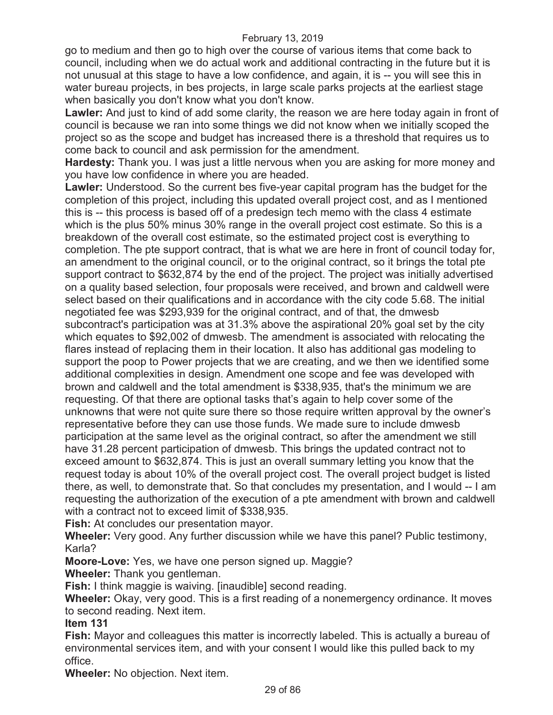go to medium and then go to high over the course of various items that come back to council, including when we do actual work and additional contracting in the future but it is not unusual at this stage to have a low confidence, and again, it is -- you will see this in water bureau projects, in bes projects, in large scale parks projects at the earliest stage when basically you don't know what you don't know.

**Lawler:** And just to kind of add some clarity, the reason we are here today again in front of council is because we ran into some things we did not know when we initially scoped the project so as the scope and budget has increased there is a threshold that requires us to come back to council and ask permission for the amendment.

**Hardesty:** Thank you. I was just a little nervous when you are asking for more money and you have low confidence in where you are headed.

**Lawler:** Understood. So the current bes five-year capital program has the budget for the completion of this project, including this updated overall project cost, and as I mentioned this is -- this process is based off of a predesign tech memo with the class 4 estimate which is the plus 50% minus 30% range in the overall project cost estimate. So this is a breakdown of the overall cost estimate, so the estimated project cost is everything to completion. The pte support contract, that is what we are here in front of council today for, an amendment to the original council, or to the original contract, so it brings the total pte support contract to \$632,874 by the end of the project. The project was initially advertised on a quality based selection, four proposals were received, and brown and caldwell were select based on their qualifications and in accordance with the city code 5.68. The initial negotiated fee was \$293,939 for the original contract, and of that, the dmwesb subcontract's participation was at 31.3% above the aspirational 20% goal set by the city which equates to \$92,002 of dmwesb. The amendment is associated with relocating the flares instead of replacing them in their location. It also has additional gas modeling to support the poop to Power projects that we are creating, and we then we identified some additional complexities in design. Amendment one scope and fee was developed with brown and caldwell and the total amendment is \$338,935, that's the minimum we are requesting. Of that there are optional tasks that's again to help cover some of the unknowns that were not quite sure there so those require written approval by the owner's representative before they can use those funds. We made sure to include dmwesb participation at the same level as the original contract, so after the amendment we still have 31.28 percent participation of dmwesb. This brings the updated contract not to exceed amount to \$632,874. This is just an overall summary letting you know that the request today is about 10% of the overall project cost. The overall project budget is listed there, as well, to demonstrate that. So that concludes my presentation, and I would -- I am requesting the authorization of the execution of a pte amendment with brown and caldwell with a contract not to exceed limit of \$338,935.

**Fish:** At concludes our presentation mayor.

**Wheeler:** Very good. Any further discussion while we have this panel? Public testimony, Karla?

**Moore-Love:** Yes, we have one person signed up. Maggie?

**Wheeler:** Thank you gentleman.

**Fish:** I think maggie is waiving. [inaudible] second reading.

**Wheeler:** Okay, very good. This is a first reading of a nonemergency ordinance. It moves to second reading. Next item.

## **Item 131**

**Fish:** Mayor and colleagues this matter is incorrectly labeled. This is actually a bureau of environmental services item, and with your consent I would like this pulled back to my office.

**Wheeler:** No objection. Next item.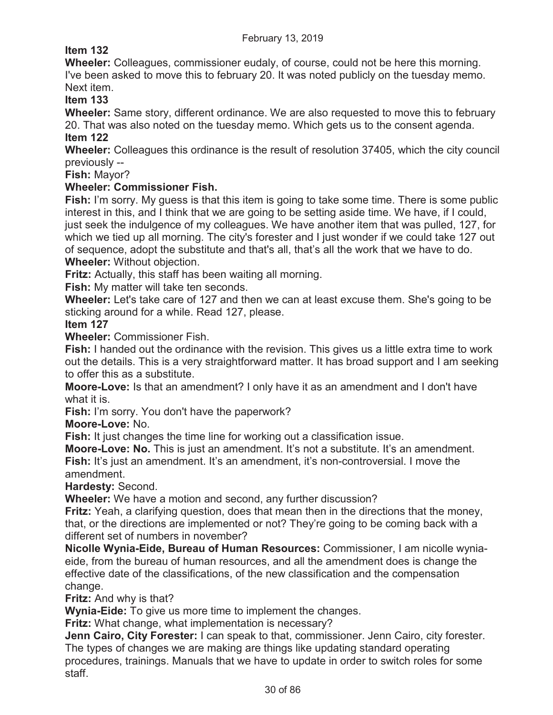# **Item 132**

**Wheeler:** Colleagues, commissioner eudaly, of course, could not be here this morning. I've been asked to move this to february 20. It was noted publicly on the tuesday memo. Next item.

**Item 133** 

**Wheeler:** Same story, different ordinance. We are also requested to move this to february 20. That was also noted on the tuesday memo. Which gets us to the consent agenda.

**Item 122** 

**Wheeler:** Colleagues this ordinance is the result of resolution 37405, which the city council previously --

**Fish:** Mayor?

## **Wheeler: Commissioner Fish.**

**Fish:** I'm sorry. My guess is that this item is going to take some time. There is some public interest in this, and I think that we are going to be setting aside time. We have, if I could, just seek the indulgence of my colleagues. We have another item that was pulled, 127, for which we tied up all morning. The city's forester and I just wonder if we could take 127 out of sequence, adopt the substitute and that's all, that's all the work that we have to do.

**Wheeler:** Without objection.

**Fritz:** Actually, this staff has been waiting all morning.

**Fish:** My matter will take ten seconds.

**Wheeler:** Let's take care of 127 and then we can at least excuse them. She's going to be sticking around for a while. Read 127, please.

## **Item 127**

**Wheeler:** Commissioner Fish.

**Fish:** I handed out the ordinance with the revision. This gives us a little extra time to work out the details. This is a very straightforward matter. It has broad support and I am seeking to offer this as a substitute.

**Moore-Love:** Is that an amendment? I only have it as an amendment and I don't have what it is.

**Fish:** I'm sorry. You don't have the paperwork?

**Moore-Love:** No.

**Fish:** It just changes the time line for working out a classification issue.

**Moore-Love: No.** This is just an amendment. It's not a substitute. It's an amendment. **Fish:** It's just an amendment. It's an amendment, it's non-controversial. I move the amendment.

**Hardesty:** Second.

**Wheeler:** We have a motion and second, any further discussion?

**Fritz:** Yeah, a clarifying question, does that mean then in the directions that the money, that, or the directions are implemented or not? They're going to be coming back with a different set of numbers in november?

**Nicolle Wynia-Eide, Bureau of Human Resources:** Commissioner, I am nicolle wyniaeide, from the bureau of human resources, and all the amendment does is change the effective date of the classifications, of the new classification and the compensation change.

**Fritz:** And why is that?

**Wynia-Eide:** To give us more time to implement the changes.

**Fritz:** What change, what implementation is necessary?

**Jenn Cairo, City Forester:** I can speak to that, commissioner. Jenn Cairo, city forester. The types of changes we are making are things like updating standard operating procedures, trainings. Manuals that we have to update in order to switch roles for some staff.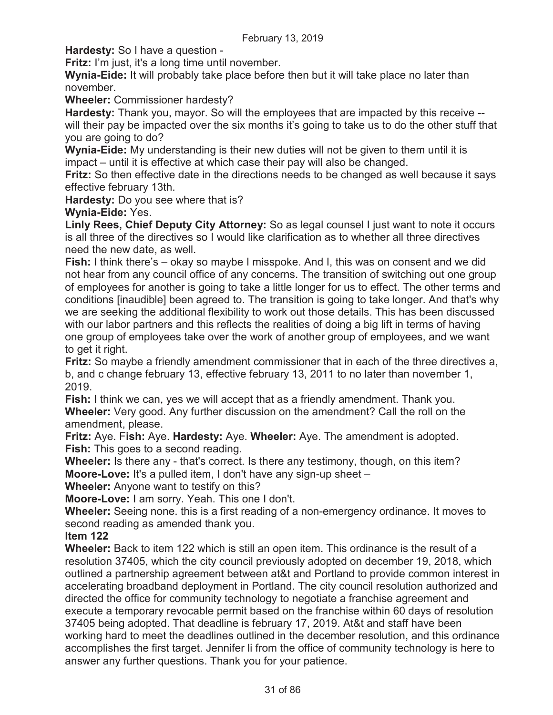**Hardesty:** So I have a question -

**Fritz:** I'm just, it's a long time until november.

**Wynia-Eide:** It will probably take place before then but it will take place no later than november.

**Wheeler:** Commissioner hardesty?

**Hardesty:** Thank you, mayor. So will the employees that are impacted by this receive - will their pay be impacted over the six months it's going to take us to do the other stuff that you are going to do?

**Wynia-Eide:** My understanding is their new duties will not be given to them until it is impact – until it is effective at which case their pay will also be changed.

**Fritz:** So then effective date in the directions needs to be changed as well because it says effective february 13th.

**Hardesty:** Do you see where that is?

**Wynia-Eide:** Yes.

**Linly Rees, Chief Deputy City Attorney:** So as legal counsel I just want to note it occurs is all three of the directives so I would like clarification as to whether all three directives need the new date, as well.

**Fish:** I think there's – okay so maybe I misspoke. And I, this was on consent and we did not hear from any council office of any concerns. The transition of switching out one group of employees for another is going to take a little longer for us to effect. The other terms and conditions [inaudible] been agreed to. The transition is going to take longer. And that's why we are seeking the additional flexibility to work out those details. This has been discussed with our labor partners and this reflects the realities of doing a big lift in terms of having one group of employees take over the work of another group of employees, and we want to get it right.

**Fritz:** So maybe a friendly amendment commissioner that in each of the three directives a, b, and c change february 13, effective february 13, 2011 to no later than november 1, 2019.

**Fish:** I think we can, yes we will accept that as a friendly amendment. Thank you. **Wheeler:** Very good. Any further discussion on the amendment? Call the roll on the amendment, please.

**Fritz:** Aye. F**ish:** Aye. **Hardesty:** Aye. **Wheeler:** Aye. The amendment is adopted. **Fish:** This goes to a second reading.

**Wheeler:** Is there any - that's correct. Is there any testimony, though, on this item? **Moore-Love:** It's a pulled item, I don't have any sign-up sheet –

**Wheeler:** Anyone want to testify on this?

**Moore-Love:** I am sorry. Yeah. This one I don't.

**Wheeler:** Seeing none. this is a first reading of a non-emergency ordinance. It moves to second reading as amended thank you.

**Item 122** 

**Wheeler:** Back to item 122 which is still an open item. This ordinance is the result of a resolution 37405, which the city council previously adopted on december 19, 2018, which outlined a partnership agreement between at&t and Portland to provide common interest in accelerating broadband deployment in Portland. The city council resolution authorized and directed the office for community technology to negotiate a franchise agreement and execute a temporary revocable permit based on the franchise within 60 days of resolution 37405 being adopted. That deadline is february 17, 2019. At&t and staff have been working hard to meet the deadlines outlined in the december resolution, and this ordinance accomplishes the first target. Jennifer li from the office of community technology is here to answer any further questions. Thank you for your patience.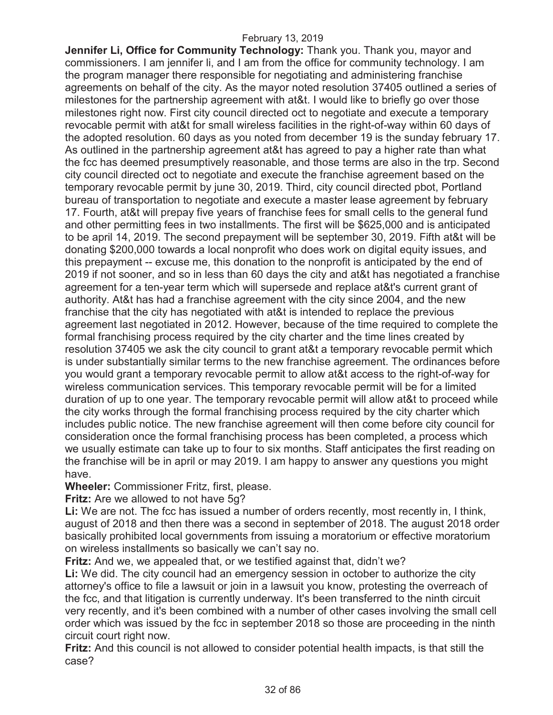**Jennifer Li, Office for Community Technology:** Thank you. Thank you, mayor and commissioners. I am jennifer li, and I am from the office for community technology. I am the program manager there responsible for negotiating and administering franchise agreements on behalf of the city. As the mayor noted resolution 37405 outlined a series of milestones for the partnership agreement with at&t. I would like to briefly go over those milestones right now. First city council directed oct to negotiate and execute a temporary revocable permit with at&t for small wireless facilities in the right-of-way within 60 days of the adopted resolution. 60 days as you noted from december 19 is the sunday february 17. As outlined in the partnership agreement at&t has agreed to pay a higher rate than what the fcc has deemed presumptively reasonable, and those terms are also in the trp. Second city council directed oct to negotiate and execute the franchise agreement based on the temporary revocable permit by june 30, 2019. Third, city council directed pbot, Portland bureau of transportation to negotiate and execute a master lease agreement by february 17. Fourth, at&t will prepay five years of franchise fees for small cells to the general fund and other permitting fees in two installments. The first will be \$625,000 and is anticipated to be april 14, 2019. The second prepayment will be september 30, 2019. Fifth at&t will be donating \$200,000 towards a local nonprofit who does work on digital equity issues, and this prepayment -- excuse me, this donation to the nonprofit is anticipated by the end of 2019 if not sooner, and so in less than 60 days the city and at&t has negotiated a franchise agreement for a ten-year term which will supersede and replace at&t's current grant of authority. At&t has had a franchise agreement with the city since 2004, and the new franchise that the city has negotiated with at&t is intended to replace the previous agreement last negotiated in 2012. However, because of the time required to complete the formal franchising process required by the city charter and the time lines created by resolution 37405 we ask the city council to grant at&t a temporary revocable permit which is under substantially similar terms to the new franchise agreement. The ordinances before you would grant a temporary revocable permit to allow at&t access to the right-of-way for wireless communication services. This temporary revocable permit will be for a limited duration of up to one year. The temporary revocable permit will allow at&t to proceed while the city works through the formal franchising process required by the city charter which includes public notice. The new franchise agreement will then come before city council for consideration once the formal franchising process has been completed, a process which we usually estimate can take up to four to six months. Staff anticipates the first reading on the franchise will be in april or may 2019. I am happy to answer any questions you might have.

**Wheeler:** Commissioner Fritz, first, please.

**Fritz:** Are we allowed to not have 5g?

Li: We are not. The fcc has issued a number of orders recently, most recently in, I think, august of 2018 and then there was a second in september of 2018. The august 2018 order basically prohibited local governments from issuing a moratorium or effective moratorium on wireless installments so basically we can't say no.

**Fritz:** And we, we appealed that, or we testified against that, didn't we? **Li:** We did. The city council had an emergency session in october to authorize the city attorney's office to file a lawsuit or join in a lawsuit you know, protesting the overreach of the fcc, and that litigation is currently underway. It's been transferred to the ninth circuit very recently, and it's been combined with a number of other cases involving the small cell order which was issued by the fcc in september 2018 so those are proceeding in the ninth circuit court right now.

**Fritz:** And this council is not allowed to consider potential health impacts, is that still the case?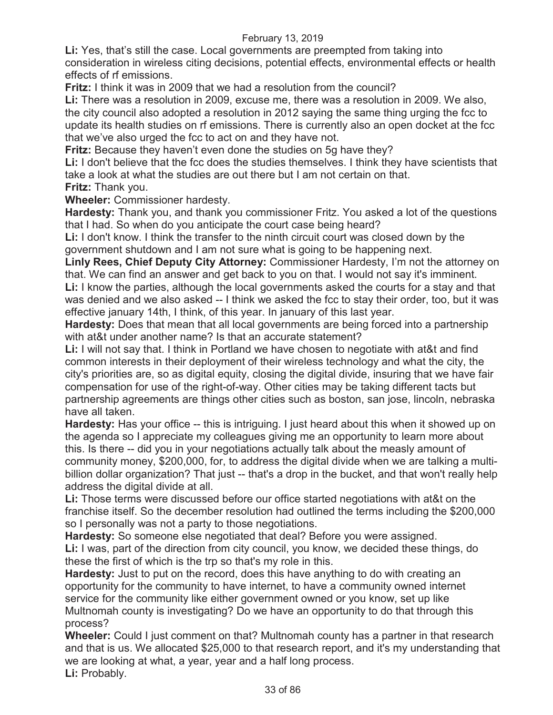**Li:** Yes, that's still the case. Local governments are preempted from taking into consideration in wireless citing decisions, potential effects, environmental effects or health effects of rf emissions.

**Fritz:** I think it was in 2009 that we had a resolution from the council?

**Li:** There was a resolution in 2009, excuse me, there was a resolution in 2009. We also, the city council also adopted a resolution in 2012 saying the same thing urging the fcc to update its health studies on rf emissions. There is currently also an open docket at the fcc that we've also urged the fcc to act on and they have not.

**Fritz:** Because they haven't even done the studies on 5g have they?

Li: I don't believe that the fcc does the studies themselves. I think they have scientists that take a look at what the studies are out there but I am not certain on that.

**Fritz:** Thank you.

**Wheeler:** Commissioner hardesty.

**Hardesty:** Thank you, and thank you commissioner Fritz. You asked a lot of the questions that I had. So when do you anticipate the court case being heard?

**Li:** I don't know. I think the transfer to the ninth circuit court was closed down by the government shutdown and I am not sure what is going to be happening next.

**Linly Rees, Chief Deputy City Attorney:** Commissioner Hardesty, I'm not the attorney on that. We can find an answer and get back to you on that. I would not say it's imminent.

Li: I know the parties, although the local governments asked the courts for a stay and that was denied and we also asked -- I think we asked the fcc to stay their order, too, but it was effective january 14th, I think, of this year. In january of this last year.

**Hardesty:** Does that mean that all local governments are being forced into a partnership with at&t under another name? Is that an accurate statement?

**Li:** I will not say that. I think in Portland we have chosen to negotiate with at&t and find common interests in their deployment of their wireless technology and what the city, the city's priorities are, so as digital equity, closing the digital divide, insuring that we have fair compensation for use of the right-of-way. Other cities may be taking different tacts but partnership agreements are things other cities such as boston, san jose, lincoln, nebraska have all taken.

**Hardesty:** Has your office -- this is intriguing. I just heard about this when it showed up on the agenda so I appreciate my colleagues giving me an opportunity to learn more about this. Is there -- did you in your negotiations actually talk about the measly amount of community money, \$200,000, for, to address the digital divide when we are talking a multibillion dollar organization? That just -- that's a drop in the bucket, and that won't really help address the digital divide at all.

**Li:** Those terms were discussed before our office started negotiations with at&t on the franchise itself. So the december resolution had outlined the terms including the \$200,000 so I personally was not a party to those negotiations.

**Hardesty:** So someone else negotiated that deal? Before you were assigned.

**Li:** I was, part of the direction from city council, you know, we decided these things, do these the first of which is the trp so that's my role in this.

**Hardesty:** Just to put on the record, does this have anything to do with creating an opportunity for the community to have internet, to have a community owned internet service for the community like either government owned or you know, set up like Multnomah county is investigating? Do we have an opportunity to do that through this process?

**Wheeler:** Could I just comment on that? Multnomah county has a partner in that research and that is us. We allocated \$25,000 to that research report, and it's my understanding that we are looking at what, a year, year and a half long process. Li: Probably.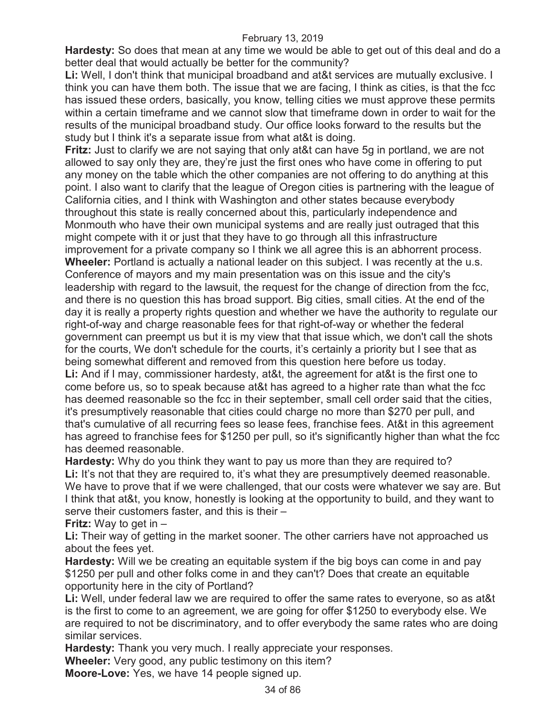**Hardesty:** So does that mean at any time we would be able to get out of this deal and do a better deal that would actually be better for the community?

**Li:** Well, I don't think that municipal broadband and at&t services are mutually exclusive. I think you can have them both. The issue that we are facing, I think as cities, is that the fcc has issued these orders, basically, you know, telling cities we must approve these permits within a certain timeframe and we cannot slow that timeframe down in order to wait for the results of the municipal broadband study. Our office looks forward to the results but the study but I think it's a separate issue from what at&t is doing.

**Fritz:** Just to clarify we are not saying that only at&t can have 5g in portland, we are not allowed to say only they are, they're just the first ones who have come in offering to put any money on the table which the other companies are not offering to do anything at this point. I also want to clarify that the league of Oregon cities is partnering with the league of California cities, and I think with Washington and other states because everybody throughout this state is really concerned about this, particularly independence and Monmouth who have their own municipal systems and are really just outraged that this might compete with it or just that they have to go through all this infrastructure improvement for a private company so I think we all agree this is an abhorrent process. **Wheeler:** Portland is actually a national leader on this subject. I was recently at the u.s. Conference of mayors and my main presentation was on this issue and the city's leadership with regard to the lawsuit, the request for the change of direction from the fcc, and there is no question this has broad support. Big cities, small cities. At the end of the day it is really a property rights question and whether we have the authority to regulate our right-of-way and charge reasonable fees for that right-of-way or whether the federal government can preempt us but it is my view that that issue which, we don't call the shots for the courts, We don't schedule for the courts, it's certainly a priority but I see that as being somewhat different and removed from this question here before us today.

**Li:** And if I may, commissioner hardesty, at&t, the agreement for at&t is the first one to come before us, so to speak because at&t has agreed to a higher rate than what the fcc has deemed reasonable so the fcc in their september, small cell order said that the cities, it's presumptively reasonable that cities could charge no more than \$270 per pull, and that's cumulative of all recurring fees so lease fees, franchise fees. At&t in this agreement has agreed to franchise fees for \$1250 per pull, so it's significantly higher than what the fcc has deemed reasonable.

**Hardesty:** Why do you think they want to pay us more than they are required to? Li: It's not that they are required to, it's what they are presumptively deemed reasonable. We have to prove that if we were challenged, that our costs were whatever we say are. But I think that at&t, you know, honestly is looking at the opportunity to build, and they want to serve their customers faster, and this is their –

**Fritz:** Way to get in –

**Li:** Their way of getting in the market sooner. The other carriers have not approached us about the fees yet.

**Hardesty:** Will we be creating an equitable system if the big boys can come in and pay \$1250 per pull and other folks come in and they can't? Does that create an equitable opportunity here in the city of Portland?

**Li:** Well, under federal law we are required to offer the same rates to everyone, so as at&t is the first to come to an agreement, we are going for offer \$1250 to everybody else. We are required to not be discriminatory, and to offer everybody the same rates who are doing similar services.

**Hardesty:** Thank you very much. I really appreciate your responses.

**Wheeler:** Very good, any public testimony on this item?

**Moore-Love:** Yes, we have 14 people signed up.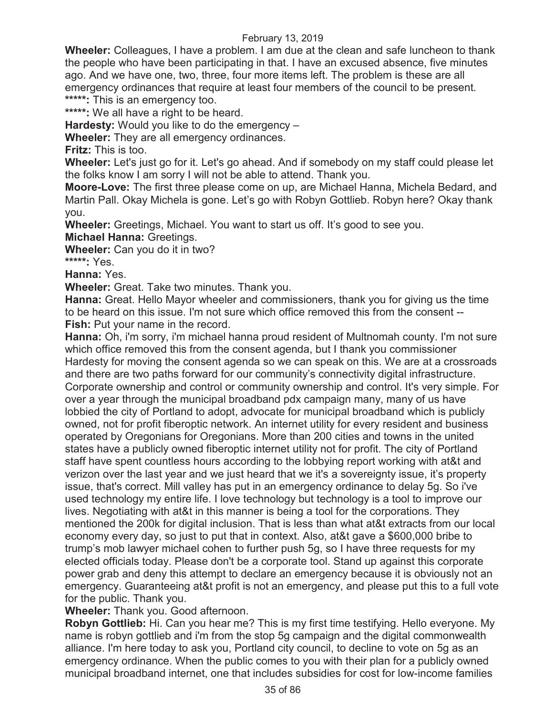**Wheeler:** Colleagues, I have a problem. I am due at the clean and safe luncheon to thank the people who have been participating in that. I have an excused absence, five minutes ago. And we have one, two, three, four more items left. The problem is these are all emergency ordinances that require at least four members of the council to be present. **\*\*\*\*\*:** This is an emergency too.

**\*\*\*\*\*:** We all have a right to be heard.

**Hardesty:** Would you like to do the emergency –

**Wheeler:** They are all emergency ordinances.

**Fritz:** This is too.

**Wheeler:** Let's just go for it. Let's go ahead. And if somebody on my staff could please let the folks know I am sorry I will not be able to attend. Thank you.

**Moore-Love:** The first three please come on up, are Michael Hanna, Michela Bedard, and Martin Pall. Okay Michela is gone. Let's go with Robyn Gottlieb. Robyn here? Okay thank you.

**Wheeler:** Greetings, Michael. You want to start us off. It's good to see you.

**Michael Hanna:** Greetings.

**Wheeler:** Can you do it in two?

**\*\*\*\*\*:** Yes.

**Hanna:** Yes.

**Wheeler:** Great. Take two minutes. Thank you.

**Hanna:** Great. Hello Mayor wheeler and commissioners, thank you for giving us the time to be heard on this issue. I'm not sure which office removed this from the consent -- **Fish:** Put your name in the record.

**Hanna:** Oh, i'm sorry, i'm michael hanna proud resident of Multnomah county. I'm not sure which office removed this from the consent agenda, but I thank you commissioner Hardesty for moving the consent agenda so we can speak on this. We are at a crossroads and there are two paths forward for our community's connectivity digital infrastructure. Corporate ownership and control or community ownership and control. It's very simple. For over a year through the municipal broadband pdx campaign many, many of us have lobbied the city of Portland to adopt, advocate for municipal broadband which is publicly owned, not for profit fiberoptic network. An internet utility for every resident and business operated by Oregonians for Oregonians. More than 200 cities and towns in the united states have a publicly owned fiberoptic internet utility not for profit. The city of Portland staff have spent countless hours according to the lobbying report working with at&t and verizon over the last year and we just heard that we it's a sovereignty issue, it's property issue, that's correct. Mill valley has put in an emergency ordinance to delay 5g. So i've used technology my entire life. I love technology but technology is a tool to improve our lives. Negotiating with at&t in this manner is being a tool for the corporations. They mentioned the 200k for digital inclusion. That is less than what at&t extracts from our local economy every day, so just to put that in context. Also, at&t gave a \$600,000 bribe to trump's mob lawyer michael cohen to further push 5g, so I have three requests for my elected officials today. Please don't be a corporate tool. Stand up against this corporate power grab and deny this attempt to declare an emergency because it is obviously not an emergency. Guaranteeing at&t profit is not an emergency, and please put this to a full vote for the public. Thank you.

**Wheeler:** Thank you. Good afternoon.

**Robyn Gottlieb:** Hi. Can you hear me? This is my first time testifying. Hello everyone. My name is robyn gottlieb and i'm from the stop 5g campaign and the digital commonwealth alliance. I'm here today to ask you, Portland city council, to decline to vote on 5g as an emergency ordinance. When the public comes to you with their plan for a publicly owned municipal broadband internet, one that includes subsidies for cost for low-income families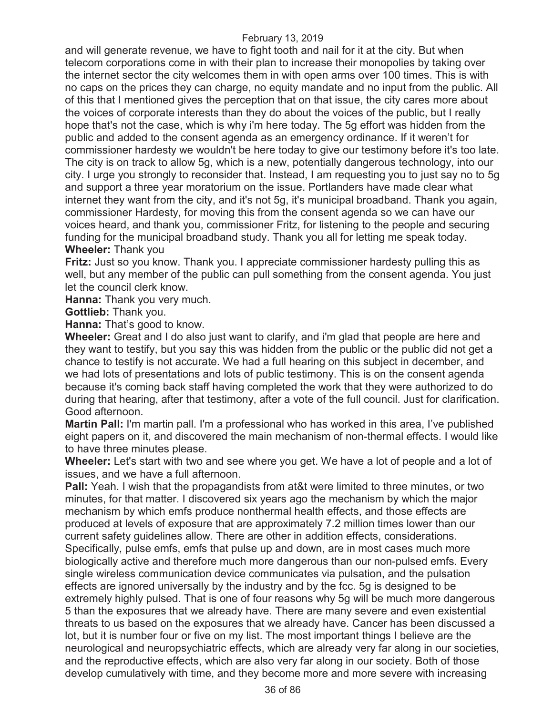and will generate revenue, we have to fight tooth and nail for it at the city. But when telecom corporations come in with their plan to increase their monopolies by taking over the internet sector the city welcomes them in with open arms over 100 times. This is with no caps on the prices they can charge, no equity mandate and no input from the public. All of this that I mentioned gives the perception that on that issue, the city cares more about the voices of corporate interests than they do about the voices of the public, but I really hope that's not the case, which is why i'm here today. The 5g effort was hidden from the public and added to the consent agenda as an emergency ordinance. If it weren't for commissioner hardesty we wouldn't be here today to give our testimony before it's too late. The city is on track to allow 5g, which is a new, potentially dangerous technology, into our city. I urge you strongly to reconsider that. Instead, I am requesting you to just say no to 5g and support a three year moratorium on the issue. Portlanders have made clear what internet they want from the city, and it's not 5g, it's municipal broadband. Thank you again, commissioner Hardesty, for moving this from the consent agenda so we can have our voices heard, and thank you, commissioner Fritz, for listening to the people and securing funding for the municipal broadband study. Thank you all for letting me speak today. **Wheeler:** Thank you

**Fritz:** Just so you know. Thank you. I appreciate commissioner hardesty pulling this as well, but any member of the public can pull something from the consent agenda. You just let the council clerk know.

**Hanna:** Thank you very much.

**Gottlieb:** Thank you.

**Hanna:** That's good to know.

**Wheeler:** Great and I do also just want to clarify, and i'm glad that people are here and they want to testify, but you say this was hidden from the public or the public did not get a chance to testify is not accurate. We had a full hearing on this subject in december, and we had lots of presentations and lots of public testimony. This is on the consent agenda because it's coming back staff having completed the work that they were authorized to do during that hearing, after that testimony, after a vote of the full council. Just for clarification. Good afternoon.

**Martin Pall:** I'm martin pall. I'm a professional who has worked in this area, I've published eight papers on it, and discovered the main mechanism of non-thermal effects. I would like to have three minutes please.

**Wheeler:** Let's start with two and see where you get. We have a lot of people and a lot of issues, and we have a full afternoon.

**Pall:** Yeah. I wish that the propagandists from at&t were limited to three minutes, or two minutes, for that matter. I discovered six years ago the mechanism by which the major mechanism by which emfs produce nonthermal health effects, and those effects are produced at levels of exposure that are approximately 7.2 million times lower than our current safety guidelines allow. There are other in addition effects, considerations. Specifically, pulse emfs, emfs that pulse up and down, are in most cases much more biologically active and therefore much more dangerous than our non-pulsed emfs. Every single wireless communication device communicates via pulsation, and the pulsation effects are ignored universally by the industry and by the fcc. 5g is designed to be extremely highly pulsed. That is one of four reasons why 5g will be much more dangerous 5 than the exposures that we already have. There are many severe and even existential threats to us based on the exposures that we already have. Cancer has been discussed a lot, but it is number four or five on my list. The most important things I believe are the neurological and neuropsychiatric effects, which are already very far along in our societies, and the reproductive effects, which are also very far along in our society. Both of those develop cumulatively with time, and they become more and more severe with increasing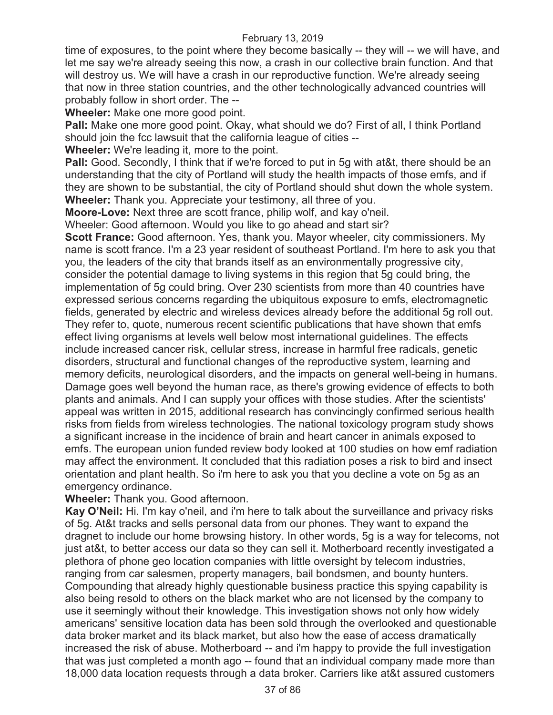time of exposures, to the point where they become basically -- they will -- we will have, and let me say we're already seeing this now, a crash in our collective brain function. And that will destroy us. We will have a crash in our reproductive function. We're already seeing that now in three station countries, and the other technologically advanced countries will probably follow in short order. The --

**Wheeler:** Make one more good point.

**Pall:** Make one more good point. Okay, what should we do? First of all, I think Portland should join the fcc lawsuit that the california league of cities --

**Wheeler:** We're leading it, more to the point.

**Pall:** Good. Secondly, I think that if we're forced to put in 5g with at&t, there should be an understanding that the city of Portland will study the health impacts of those emfs, and if they are shown to be substantial, the city of Portland should shut down the whole system. **Wheeler:** Thank you. Appreciate your testimony, all three of you.

**Moore-Love:** Next three are scott france, philip wolf, and kay o'neil.

Wheeler: Good afternoon. Would you like to go ahead and start sir?

**Scott France:** Good afternoon. Yes, thank you. Mayor wheeler, city commissioners. My name is scott france. I'm a 23 year resident of southeast Portland. I'm here to ask you that you, the leaders of the city that brands itself as an environmentally progressive city, consider the potential damage to living systems in this region that 5g could bring, the implementation of 5g could bring. Over 230 scientists from more than 40 countries have expressed serious concerns regarding the ubiquitous exposure to emfs, electromagnetic fields, generated by electric and wireless devices already before the additional 5g roll out. They refer to, quote, numerous recent scientific publications that have shown that emfs effect living organisms at levels well below most international guidelines. The effects include increased cancer risk, cellular stress, increase in harmful free radicals, genetic disorders, structural and functional changes of the reproductive system, learning and memory deficits, neurological disorders, and the impacts on general well-being in humans. Damage goes well beyond the human race, as there's growing evidence of effects to both plants and animals. And I can supply your offices with those studies. After the scientists' appeal was written in 2015, additional research has convincingly confirmed serious health risks from fields from wireless technologies. The national toxicology program study shows a significant increase in the incidence of brain and heart cancer in animals exposed to emfs. The european union funded review body looked at 100 studies on how emf radiation may affect the environment. It concluded that this radiation poses a risk to bird and insect orientation and plant health. So i'm here to ask you that you decline a vote on 5g as an emergency ordinance.

**Wheeler:** Thank you. Good afternoon.

**Kay O'Neil:** Hi. I'm kay o'neil, and i'm here to talk about the surveillance and privacy risks of 5g. At&t tracks and sells personal data from our phones. They want to expand the dragnet to include our home browsing history. In other words, 5g is a way for telecoms, not just at&t, to better access our data so they can sell it. Motherboard recently investigated a plethora of phone geo location companies with little oversight by telecom industries, ranging from car salesmen, property managers, bail bondsmen, and bounty hunters. Compounding that already highly questionable business practice this spying capability is also being resold to others on the black market who are not licensed by the company to use it seemingly without their knowledge. This investigation shows not only how widely americans' sensitive location data has been sold through the overlooked and questionable data broker market and its black market, but also how the ease of access dramatically increased the risk of abuse. Motherboard -- and i'm happy to provide the full investigation that was just completed a month ago -- found that an individual company made more than 18,000 data location requests through a data broker. Carriers like at&t assured customers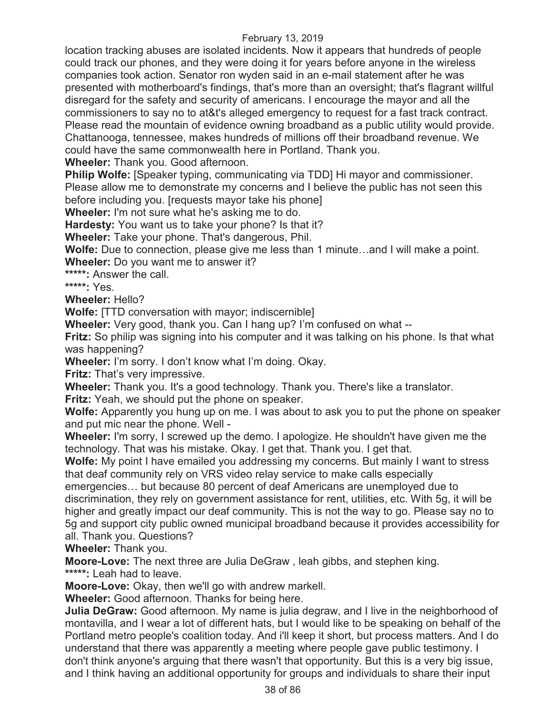location tracking abuses are isolated incidents. Now it appears that hundreds of people could track our phones, and they were doing it for years before anyone in the wireless companies took action. Senator ron wyden said in an e-mail statement after he was presented with motherboard's findings, that's more than an oversight; that's flagrant willful disregard for the safety and security of americans. I encourage the mayor and all the commissioners to say no to at&t's alleged emergency to request for a fast track contract. Please read the mountain of evidence owning broadband as a public utility would provide. Chattanooga, tennessee, makes hundreds of millions off their broadband revenue. We could have the same commonwealth here in Portland. Thank you.

**Wheeler:** Thank you. Good afternoon.

**Philip Wolfe:** [Speaker typing, communicating via TDD] Hi mayor and commissioner. Please allow me to demonstrate my concerns and I believe the public has not seen this before including you. [requests mayor take his phone]

**Wheeler:** I'm not sure what he's asking me to do.

**Hardesty:** You want us to take your phone? Is that it?

**Wheeler:** Take your phone. That's dangerous, Phil.

**Wolfe:** Due to connection, please give me less than 1 minute…and I will make a point.

**Wheeler:** Do you want me to answer it?

**\*\*\*\*\*:** Answer the call.

**\*\*\*\*\*:** Yes.

**Wheeler:** Hello?

**Wolfe:** [TTD conversation with mayor; indiscernible]

**Wheeler:** Very good, thank you. Can I hang up? I'm confused on what --

**Fritz:** So philip was signing into his computer and it was talking on his phone. Is that what was happening?

**Wheeler:** I'm sorry. I don't know what I'm doing. Okay.

**Fritz:** That's very impressive.

**Wheeler:** Thank you. It's a good technology. Thank you. There's like a translator.

**Fritz:** Yeah, we should put the phone on speaker.

**Wolfe:** Apparently you hung up on me. I was about to ask you to put the phone on speaker and put mic near the phone. Well -

**Wheeler:** I'm sorry, I screwed up the demo. I apologize. He shouldn't have given me the technology. That was his mistake. Okay. I get that. Thank you. I get that.

**Wolfe:** My point I have emailed you addressing my concerns. But mainly I want to stress that deaf community rely on VRS video relay service to make calls especially

emergencies… but because 80 percent of deaf Americans are unemployed due to discrimination, they rely on government assistance for rent, utilities, etc. With 5g, it will be higher and greatly impact our deaf community. This is not the way to go. Please say no to 5g and support city public owned municipal broadband because it provides accessibility for all. Thank you. Questions?

**Wheeler:** Thank you.

**Moore-Love:** The next three are Julia DeGraw , leah gibbs, and stephen king.

**\*\*\*\*\*:** Leah had to leave.

**Moore-Love:** Okay, then we'll go with andrew markell.

**Wheeler:** Good afternoon. Thanks for being here.

**Julia DeGraw:** Good afternoon. My name is julia degraw, and I live in the neighborhood of montavilla, and I wear a lot of different hats, but I would like to be speaking on behalf of the Portland metro people's coalition today. And i'll keep it short, but process matters. And I do understand that there was apparently a meeting where people gave public testimony. I don't think anyone's arguing that there wasn't that opportunity. But this is a very big issue, and I think having an additional opportunity for groups and individuals to share their input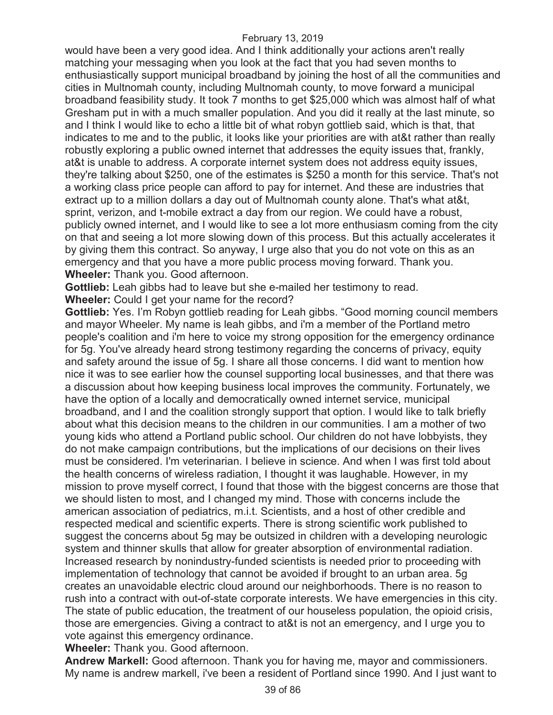would have been a very good idea. And I think additionally your actions aren't really matching your messaging when you look at the fact that you had seven months to enthusiastically support municipal broadband by joining the host of all the communities and cities in Multnomah county, including Multnomah county, to move forward a municipal broadband feasibility study. It took 7 months to get \$25,000 which was almost half of what Gresham put in with a much smaller population. And you did it really at the last minute, so and I think I would like to echo a little bit of what robyn gottlieb said, which is that, that indicates to me and to the public, it looks like your priorities are with at&t rather than really robustly exploring a public owned internet that addresses the equity issues that, frankly, at&t is unable to address. A corporate internet system does not address equity issues, they're talking about \$250, one of the estimates is \$250 a month for this service. That's not a working class price people can afford to pay for internet. And these are industries that extract up to a million dollars a day out of Multnomah county alone. That's what at&t, sprint, verizon, and t-mobile extract a day from our region. We could have a robust, publicly owned internet, and I would like to see a lot more enthusiasm coming from the city on that and seeing a lot more slowing down of this process. But this actually accelerates it by giving them this contract. So anyway, I urge also that you do not vote on this as an emergency and that you have a more public process moving forward. Thank you. **Wheeler:** Thank you. Good afternoon.

**Gottlieb:** Leah gibbs had to leave but she e-mailed her testimony to read.

**Wheeler:** Could I get your name for the record?

**Gottlieb:** Yes. I'm Robyn gottlieb reading for Leah gibbs. "Good morning council members and mayor Wheeler. My name is leah gibbs, and i'm a member of the Portland metro people's coalition and i'm here to voice my strong opposition for the emergency ordinance for 5g. You've already heard strong testimony regarding the concerns of privacy, equity and safety around the issue of 5g. I share all those concerns. I did want to mention how nice it was to see earlier how the counsel supporting local businesses, and that there was a discussion about how keeping business local improves the community. Fortunately, we have the option of a locally and democratically owned internet service, municipal broadband, and I and the coalition strongly support that option. I would like to talk briefly about what this decision means to the children in our communities. I am a mother of two young kids who attend a Portland public school. Our children do not have lobbyists, they do not make campaign contributions, but the implications of our decisions on their lives must be considered. I'm veterinarian. I believe in science. And when I was first told about the health concerns of wireless radiation, I thought it was laughable. However, in my mission to prove myself correct, I found that those with the biggest concerns are those that we should listen to most, and I changed my mind. Those with concerns include the american association of pediatrics, m.i.t. Scientists, and a host of other credible and respected medical and scientific experts. There is strong scientific work published to suggest the concerns about 5g may be outsized in children with a developing neurologic system and thinner skulls that allow for greater absorption of environmental radiation. Increased research by nonindustry-funded scientists is needed prior to proceeding with implementation of technology that cannot be avoided if brought to an urban area. 5g creates an unavoidable electric cloud around our neighborhoods. There is no reason to rush into a contract with out-of-state corporate interests. We have emergencies in this city. The state of public education, the treatment of our houseless population, the opioid crisis, those are emergencies. Giving a contract to at&t is not an emergency, and I urge you to vote against this emergency ordinance.

**Wheeler:** Thank you. Good afternoon.

**Andrew Markell:** Good afternoon. Thank you for having me, mayor and commissioners. My name is andrew markell, i've been a resident of Portland since 1990. And I just want to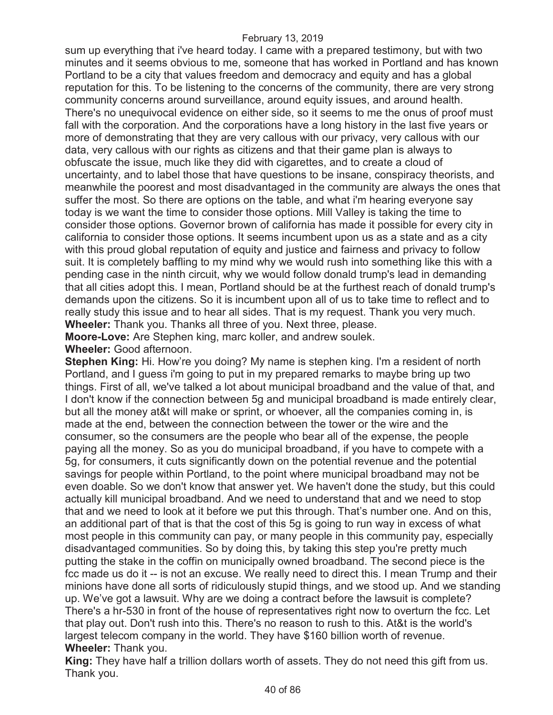sum up everything that i've heard today. I came with a prepared testimony, but with two minutes and it seems obvious to me, someone that has worked in Portland and has known Portland to be a city that values freedom and democracy and equity and has a global reputation for this. To be listening to the concerns of the community, there are very strong community concerns around surveillance, around equity issues, and around health. There's no unequivocal evidence on either side, so it seems to me the onus of proof must fall with the corporation. And the corporations have a long history in the last five years or more of demonstrating that they are very callous with our privacy, very callous with our data, very callous with our rights as citizens and that their game plan is always to obfuscate the issue, much like they did with cigarettes, and to create a cloud of uncertainty, and to label those that have questions to be insane, conspiracy theorists, and meanwhile the poorest and most disadvantaged in the community are always the ones that suffer the most. So there are options on the table, and what i'm hearing everyone say today is we want the time to consider those options. Mill Valley is taking the time to consider those options. Governor brown of california has made it possible for every city in california to consider those options. It seems incumbent upon us as a state and as a city with this proud global reputation of equity and justice and fairness and privacy to follow suit. It is completely baffling to my mind why we would rush into something like this with a pending case in the ninth circuit, why we would follow donald trump's lead in demanding that all cities adopt this. I mean, Portland should be at the furthest reach of donald trump's demands upon the citizens. So it is incumbent upon all of us to take time to reflect and to really study this issue and to hear all sides. That is my request. Thank you very much. **Wheeler:** Thank you. Thanks all three of you. Next three, please.

**Moore-Love:** Are Stephen king, marc koller, and andrew soulek.

**Wheeler:** Good afternoon.

**Stephen King:** Hi. How're you doing? My name is stephen king. I'm a resident of north Portland, and I guess i'm going to put in my prepared remarks to maybe bring up two things. First of all, we've talked a lot about municipal broadband and the value of that, and I don't know if the connection between 5g and municipal broadband is made entirely clear, but all the money at&t will make or sprint, or whoever, all the companies coming in, is made at the end, between the connection between the tower or the wire and the consumer, so the consumers are the people who bear all of the expense, the people paying all the money. So as you do municipal broadband, if you have to compete with a 5g, for consumers, it cuts significantly down on the potential revenue and the potential savings for people within Portland, to the point where municipal broadband may not be even doable. So we don't know that answer yet. We haven't done the study, but this could actually kill municipal broadband. And we need to understand that and we need to stop that and we need to look at it before we put this through. That's number one. And on this, an additional part of that is that the cost of this 5g is going to run way in excess of what most people in this community can pay, or many people in this community pay, especially disadvantaged communities. So by doing this, by taking this step you're pretty much putting the stake in the coffin on municipally owned broadband. The second piece is the fcc made us do it -- is not an excuse. We really need to direct this. I mean Trump and their minions have done all sorts of ridiculously stupid things, and we stood up. And we standing up. We've got a lawsuit. Why are we doing a contract before the lawsuit is complete? There's a hr-530 in front of the house of representatives right now to overturn the fcc. Let that play out. Don't rush into this. There's no reason to rush to this. At&t is the world's largest telecom company in the world. They have \$160 billion worth of revenue. **Wheeler:** Thank you.

**King:** They have half a trillion dollars worth of assets. They do not need this gift from us. Thank you.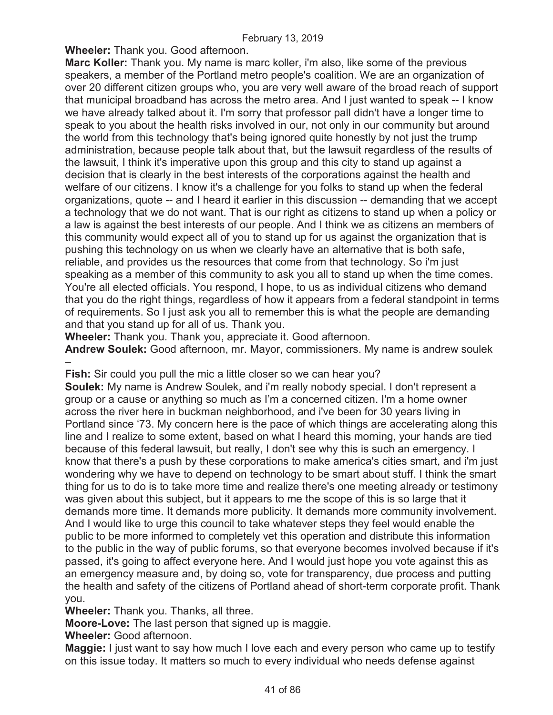**Wheeler:** Thank you. Good afternoon.

**Marc Koller:** Thank you. My name is marc koller, i'm also, like some of the previous speakers, a member of the Portland metro people's coalition. We are an organization of over 20 different citizen groups who, you are very well aware of the broad reach of support that municipal broadband has across the metro area. And I just wanted to speak -- I know we have already talked about it. I'm sorry that professor pall didn't have a longer time to speak to you about the health risks involved in our, not only in our community but around the world from this technology that's being ignored quite honestly by not just the trump administration, because people talk about that, but the lawsuit regardless of the results of the lawsuit, I think it's imperative upon this group and this city to stand up against a decision that is clearly in the best interests of the corporations against the health and welfare of our citizens. I know it's a challenge for you folks to stand up when the federal organizations, quote -- and I heard it earlier in this discussion -- demanding that we accept a technology that we do not want. That is our right as citizens to stand up when a policy or a law is against the best interests of our people. And I think we as citizens an members of this community would expect all of you to stand up for us against the organization that is pushing this technology on us when we clearly have an alternative that is both safe, reliable, and provides us the resources that come from that technology. So i'm just speaking as a member of this community to ask you all to stand up when the time comes. You're all elected officials. You respond, I hope, to us as individual citizens who demand that you do the right things, regardless of how it appears from a federal standpoint in terms of requirements. So I just ask you all to remember this is what the people are demanding and that you stand up for all of us. Thank you.

**Wheeler:** Thank you. Thank you, appreciate it. Good afternoon.

**Andrew Soulek:** Good afternoon, mr. Mayor, commissioners. My name is andrew soulek –

**Fish:** Sir could you pull the mic a little closer so we can hear you?

**Soulek:** My name is Andrew Soulek, and i'm really nobody special. I don't represent a group or a cause or anything so much as I'm a concerned citizen. I'm a home owner across the river here in buckman neighborhood, and i've been for 30 years living in Portland since '73. My concern here is the pace of which things are accelerating along this line and I realize to some extent, based on what I heard this morning, your hands are tied because of this federal lawsuit, but really, I don't see why this is such an emergency. I know that there's a push by these corporations to make america's cities smart, and i'm just wondering why we have to depend on technology to be smart about stuff. I think the smart thing for us to do is to take more time and realize there's one meeting already or testimony was given about this subject, but it appears to me the scope of this is so large that it demands more time. It demands more publicity. It demands more community involvement. And I would like to urge this council to take whatever steps they feel would enable the public to be more informed to completely vet this operation and distribute this information to the public in the way of public forums, so that everyone becomes involved because if it's passed, it's going to affect everyone here. And I would just hope you vote against this as an emergency measure and, by doing so, vote for transparency, due process and putting the health and safety of the citizens of Portland ahead of short-term corporate profit. Thank you.

**Wheeler:** Thank you. Thanks, all three.

**Moore-Love:** The last person that signed up is maggie.

**Wheeler:** Good afternoon.

**Maggie:** I just want to say how much I love each and every person who came up to testify on this issue today. It matters so much to every individual who needs defense against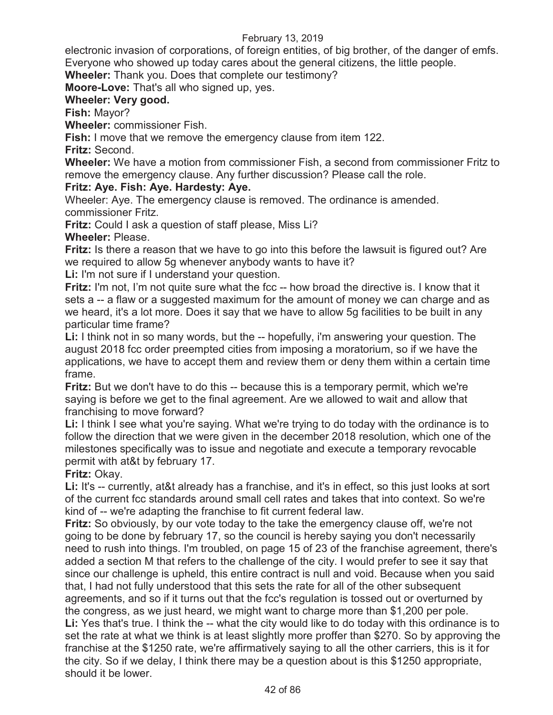electronic invasion of corporations, of foreign entities, of big brother, of the danger of emfs. Everyone who showed up today cares about the general citizens, the little people.

**Wheeler:** Thank you. Does that complete our testimony?

**Moore-Love:** That's all who signed up, yes.

# **Wheeler: Very good.**

**Fish:** Mayor?

**Wheeler:** commissioner Fish.

**Fish:** I move that we remove the emergency clause from item 122.

**Fritz:** Second.

**Wheeler:** We have a motion from commissioner Fish, a second from commissioner Fritz to remove the emergency clause. Any further discussion? Please call the role.

# **Fritz: Aye. Fish: Aye. Hardesty: Aye.**

Wheeler: Aye. The emergency clause is removed. The ordinance is amended. commissioner Fritz.

**Fritz:** Could I ask a question of staff please, Miss Li?

**Wheeler:** Please.

**Fritz:** Is there a reason that we have to go into this before the lawsuit is figured out? Are we required to allow 5g whenever anybody wants to have it?

**Li:** I'm not sure if I understand your question.

**Fritz:** I'm not, I'm not quite sure what the fcc -- how broad the directive is. I know that it sets a -- a flaw or a suggested maximum for the amount of money we can charge and as we heard, it's a lot more. Does it say that we have to allow 5g facilities to be built in any particular time frame?

**Li:** I think not in so many words, but the -- hopefully, i'm answering your question. The august 2018 fcc order preempted cities from imposing a moratorium, so if we have the applications, we have to accept them and review them or deny them within a certain time frame.

**Fritz:** But we don't have to do this -- because this is a temporary permit, which we're saying is before we get to the final agreement. Are we allowed to wait and allow that franchising to move forward?

**Li:** I think I see what you're saying. What we're trying to do today with the ordinance is to follow the direction that we were given in the december 2018 resolution, which one of the milestones specifically was to issue and negotiate and execute a temporary revocable permit with at&t by february 17.

**Fritz:** Okay.

Li: It's -- currently, at&t already has a franchise, and it's in effect, so this just looks at sort of the current fcc standards around small cell rates and takes that into context. So we're kind of -- we're adapting the franchise to fit current federal law.

**Fritz:** So obviously, by our vote today to the take the emergency clause off, we're not going to be done by february 17, so the council is hereby saying you don't necessarily need to rush into things. I'm troubled, on page 15 of 23 of the franchise agreement, there's added a section M that refers to the challenge of the city. I would prefer to see it say that since our challenge is upheld, this entire contract is null and void. Because when you said that, I had not fully understood that this sets the rate for all of the other subsequent agreements, and so if it turns out that the fcc's regulation is tossed out or overturned by the congress, as we just heard, we might want to charge more than \$1,200 per pole. Li: Yes that's true. I think the -- what the city would like to do today with this ordinance is to set the rate at what we think is at least slightly more proffer than \$270. So by approving the franchise at the \$1250 rate, we're affirmatively saying to all the other carriers, this is it for the city. So if we delay, I think there may be a question about is this \$1250 appropriate, should it be lower.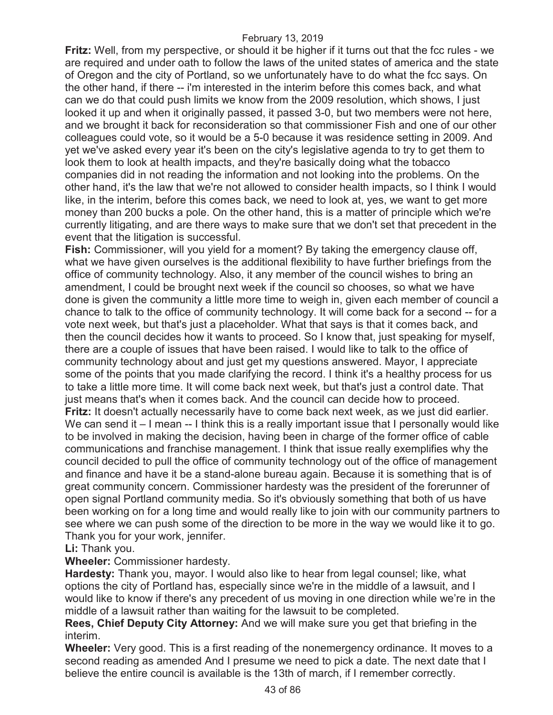**Fritz:** Well, from my perspective, or should it be higher if it turns out that the fcc rules - we are required and under oath to follow the laws of the united states of america and the state of Oregon and the city of Portland, so we unfortunately have to do what the fcc says. On the other hand, if there -- i'm interested in the interim before this comes back, and what can we do that could push limits we know from the 2009 resolution, which shows, I just looked it up and when it originally passed, it passed 3-0, but two members were not here, and we brought it back for reconsideration so that commissioner Fish and one of our other colleagues could vote, so it would be a 5-0 because it was residence setting in 2009. And yet we've asked every year it's been on the city's legislative agenda to try to get them to look them to look at health impacts, and they're basically doing what the tobacco companies did in not reading the information and not looking into the problems. On the other hand, it's the law that we're not allowed to consider health impacts, so I think I would like, in the interim, before this comes back, we need to look at, yes, we want to get more money than 200 bucks a pole. On the other hand, this is a matter of principle which we're currently litigating, and are there ways to make sure that we don't set that precedent in the event that the litigation is successful.

**Fish:** Commissioner, will you yield for a moment? By taking the emergency clause off, what we have given ourselves is the additional flexibility to have further briefings from the office of community technology. Also, it any member of the council wishes to bring an amendment, I could be brought next week if the council so chooses, so what we have done is given the community a little more time to weigh in, given each member of council a chance to talk to the office of community technology. It will come back for a second -- for a vote next week, but that's just a placeholder. What that says is that it comes back, and then the council decides how it wants to proceed. So I know that, just speaking for myself, there are a couple of issues that have been raised. I would like to talk to the office of community technology about and just get my questions answered. Mayor, I appreciate some of the points that you made clarifying the record. I think it's a healthy process for us to take a little more time. It will come back next week, but that's just a control date. That just means that's when it comes back. And the council can decide how to proceed. **Fritz:** It doesn't actually necessarily have to come back next week, as we just did earlier. We can send it – I mean -- I think this is a really important issue that I personally would like to be involved in making the decision, having been in charge of the former office of cable communications and franchise management. I think that issue really exemplifies why the council decided to pull the office of community technology out of the office of management and finance and have it be a stand-alone bureau again. Because it is something that is of great community concern. Commissioner hardesty was the president of the forerunner of open signal Portland community media. So it's obviously something that both of us have been working on for a long time and would really like to join with our community partners to see where we can push some of the direction to be more in the way we would like it to go. Thank you for your work, jennifer.

# **Li:** Thank you.

**Wheeler:** Commissioner hardesty.

**Hardesty:** Thank you, mayor. I would also like to hear from legal counsel; like, what options the city of Portland has, especially since we're in the middle of a lawsuit, and I would like to know if there's any precedent of us moving in one direction while we're in the middle of a lawsuit rather than waiting for the lawsuit to be completed.

**Rees, Chief Deputy City Attorney:** And we will make sure you get that briefing in the interim.

**Wheeler:** Very good. This is a first reading of the nonemergency ordinance. It moves to a second reading as amended And I presume we need to pick a date. The next date that I believe the entire council is available is the 13th of march, if I remember correctly.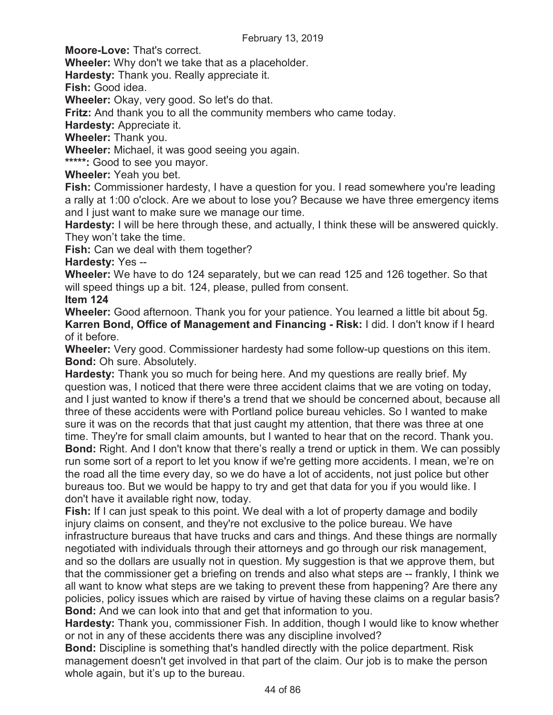**Moore-Love:** That's correct.

**Wheeler:** Why don't we take that as a placeholder.

**Hardesty:** Thank you. Really appreciate it.

**Fish:** Good idea.

**Wheeler:** Okay, very good. So let's do that.

**Fritz:** And thank you to all the community members who came today.

**Hardesty:** Appreciate it.

**Wheeler:** Thank you.

**Wheeler:** Michael, it was good seeing you again.

**\*\*\*\*\*:** Good to see you mayor.

**Wheeler:** Yeah you bet.

**Fish:** Commissioner hardesty, I have a question for you. I read somewhere you're leading a rally at 1:00 o'clock. Are we about to lose you? Because we have three emergency items and I just want to make sure we manage our time.

**Hardesty:** I will be here through these, and actually, I think these will be answered quickly. They won't take the time.

**Fish:** Can we deal with them together?

**Hardesty:** Yes --

**Wheeler:** We have to do 124 separately, but we can read 125 and 126 together. So that will speed things up a bit. 124, please, pulled from consent.

**Item 124** 

**Wheeler:** Good afternoon. Thank you for your patience. You learned a little bit about 5g. **Karren Bond, Office of Management and Financing - Risk:** I did. I don't know if I heard of it before.

**Wheeler:** Very good. Commissioner hardesty had some follow-up questions on this item. **Bond:** Oh sure. Absolutely.

**Hardesty:** Thank you so much for being here. And my questions are really brief. My question was, I noticed that there were three accident claims that we are voting on today, and I just wanted to know if there's a trend that we should be concerned about, because all three of these accidents were with Portland police bureau vehicles. So I wanted to make sure it was on the records that that just caught my attention, that there was three at one time. They're for small claim amounts, but I wanted to hear that on the record. Thank you. **Bond:** Right. And I don't know that there's really a trend or uptick in them. We can possibly run some sort of a report to let you know if we're getting more accidents. I mean, we're on the road all the time every day, so we do have a lot of accidents, not just police but other bureaus too. But we would be happy to try and get that data for you if you would like. I don't have it available right now, today.

**Fish:** If I can just speak to this point. We deal with a lot of property damage and bodily injury claims on consent, and they're not exclusive to the police bureau. We have infrastructure bureaus that have trucks and cars and things. And these things are normally negotiated with individuals through their attorneys and go through our risk management, and so the dollars are usually not in question. My suggestion is that we approve them, but that the commissioner get a briefing on trends and also what steps are -- frankly, I think we all want to know what steps are we taking to prevent these from happening? Are there any policies, policy issues which are raised by virtue of having these claims on a regular basis? **Bond:** And we can look into that and get that information to you.

**Hardesty:** Thank you, commissioner Fish. In addition, though I would like to know whether or not in any of these accidents there was any discipline involved?

**Bond:** Discipline is something that's handled directly with the police department. Risk management doesn't get involved in that part of the claim. Our job is to make the person whole again, but it's up to the bureau.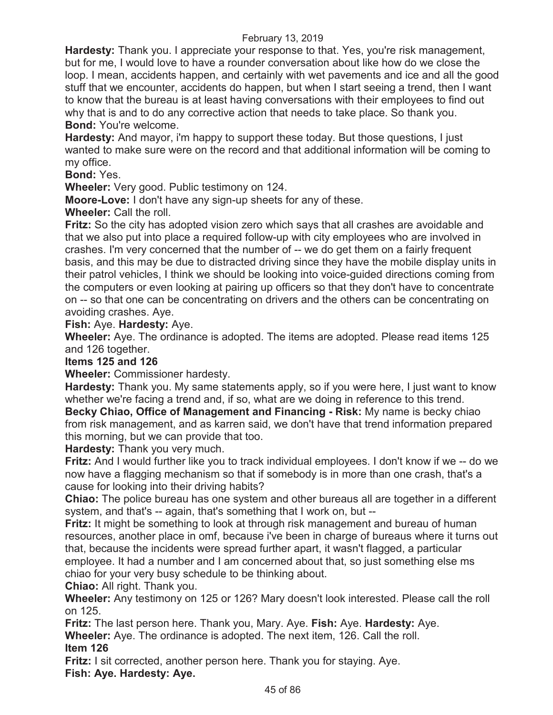**Hardesty:** Thank you. I appreciate your response to that. Yes, you're risk management, but for me, I would love to have a rounder conversation about like how do we close the loop. I mean, accidents happen, and certainly with wet pavements and ice and all the good stuff that we encounter, accidents do happen, but when I start seeing a trend, then I want to know that the bureau is at least having conversations with their employees to find out why that is and to do any corrective action that needs to take place. So thank you. **Bond:** You're welcome.

**Hardesty:** And mayor, i'm happy to support these today. But those questions, I just wanted to make sure were on the record and that additional information will be coming to my office.

**Bond:** Yes.

**Wheeler:** Very good. Public testimony on 124.

**Moore-Love:** I don't have any sign-up sheets for any of these.

**Wheeler:** Call the roll.

**Fritz:** So the city has adopted vision zero which says that all crashes are avoidable and that we also put into place a required follow-up with city employees who are involved in crashes. I'm very concerned that the number of -- we do get them on a fairly frequent basis, and this may be due to distracted driving since they have the mobile display units in their patrol vehicles, I think we should be looking into voice-guided directions coming from the computers or even looking at pairing up officers so that they don't have to concentrate on -- so that one can be concentrating on drivers and the others can be concentrating on avoiding crashes. Aye.

## **Fish:** Aye. **Hardesty:** Aye.

**Wheeler:** Aye. The ordinance is adopted. The items are adopted. Please read items 125 and 126 together.

**Items 125 and 126** 

**Wheeler:** Commissioner hardesty.

**Hardesty:** Thank you. My same statements apply, so if you were here, I just want to know whether we're facing a trend and, if so, what are we doing in reference to this trend. **Becky Chiao, Office of Management and Financing - Risk:** My name is becky chiao from risk management, and as karren said, we don't have that trend information prepared this morning, but we can provide that too.

**Hardesty:** Thank you very much.

**Fritz:** And I would further like you to track individual employees. I don't know if we -- do we now have a flagging mechanism so that if somebody is in more than one crash, that's a cause for looking into their driving habits?

**Chiao:** The police bureau has one system and other bureaus all are together in a different system, and that's -- again, that's something that I work on, but --

**Fritz:** It might be something to look at through risk management and bureau of human resources, another place in omf, because i've been in charge of bureaus where it turns out that, because the incidents were spread further apart, it wasn't flagged, a particular employee. It had a number and I am concerned about that, so just something else ms chiao for your very busy schedule to be thinking about.

**Chiao:** All right. Thank you.

**Wheeler:** Any testimony on 125 or 126? Mary doesn't look interested. Please call the roll on 125.

**Fritz:** The last person here. Thank you, Mary. Aye. **Fish:** Aye. **Hardesty:** Aye. **Wheeler:** Aye. The ordinance is adopted. The next item, 126. Call the roll. **Item 126** 

**Fritz:** I sit corrected, another person here. Thank you for staying. Aye. **Fish: Aye. Hardesty: Aye.**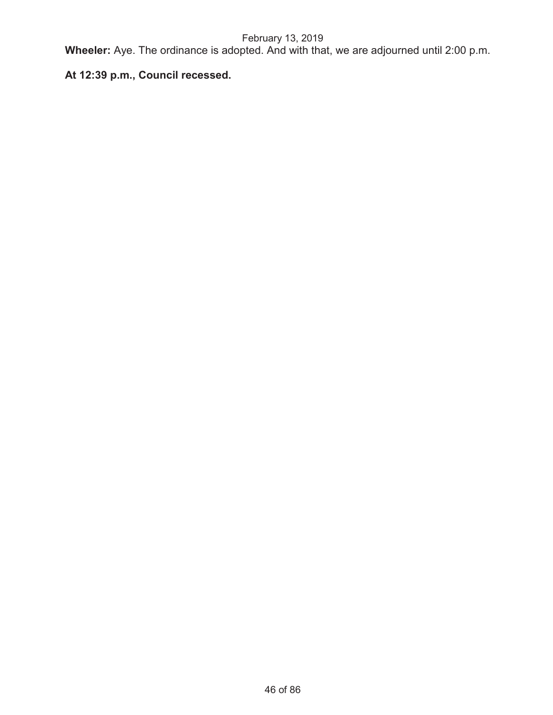**Wheeler:** Aye. The ordinance is adopted. And with that, we are adjourned until 2:00 p.m.

# **At 12:39 p.m., Council recessed.**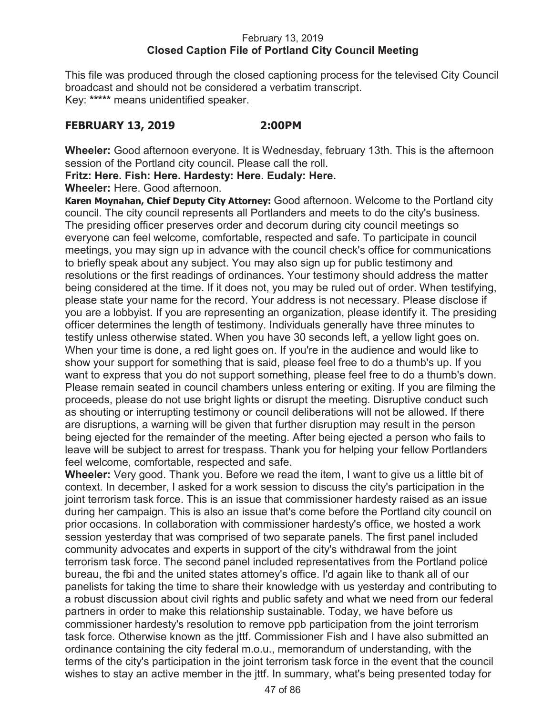## February 13, 2019 **Closed Caption File of Portland City Council Meeting**

This file was produced through the closed captioning process for the televised City Council broadcast and should not be considered a verbatim transcript. Key: **\*\*\*\*\*** means unidentified speaker.

# **FEBRUARY 13, 2019 2:00PM**

**Wheeler:** Good afternoon everyone. It is Wednesday, february 13th. This is the afternoon session of the Portland city council. Please call the roll.

**Fritz: Here. Fish: Here. Hardesty: Here. Eudaly: Here.** 

**Wheeler:** Here. Good afternoon.

**Karen Moynahan, Chief Deputy City Attorney:** Good afternoon. Welcome to the Portland city council. The city council represents all Portlanders and meets to do the city's business. The presiding officer preserves order and decorum during city council meetings so everyone can feel welcome, comfortable, respected and safe. To participate in council meetings, you may sign up in advance with the council check's office for communications to briefly speak about any subject. You may also sign up for public testimony and resolutions or the first readings of ordinances. Your testimony should address the matter being considered at the time. If it does not, you may be ruled out of order. When testifying, please state your name for the record. Your address is not necessary. Please disclose if you are a lobbyist. If you are representing an organization, please identify it. The presiding officer determines the length of testimony. Individuals generally have three minutes to testify unless otherwise stated. When you have 30 seconds left, a yellow light goes on. When your time is done, a red light goes on. If you're in the audience and would like to show your support for something that is said, please feel free to do a thumb's up. If you want to express that you do not support something, please feel free to do a thumb's down. Please remain seated in council chambers unless entering or exiting. If you are filming the proceeds, please do not use bright lights or disrupt the meeting. Disruptive conduct such as shouting or interrupting testimony or council deliberations will not be allowed. If there are disruptions, a warning will be given that further disruption may result in the person being ejected for the remainder of the meeting. After being ejected a person who fails to leave will be subject to arrest for trespass. Thank you for helping your fellow Portlanders feel welcome, comfortable, respected and safe.

**Wheeler:** Very good. Thank you. Before we read the item, I want to give us a little bit of context. In december, I asked for a work session to discuss the city's participation in the joint terrorism task force. This is an issue that commissioner hardesty raised as an issue during her campaign. This is also an issue that's come before the Portland city council on prior occasions. In collaboration with commissioner hardesty's office, we hosted a work session yesterday that was comprised of two separate panels. The first panel included community advocates and experts in support of the city's withdrawal from the joint terrorism task force. The second panel included representatives from the Portland police bureau, the fbi and the united states attorney's office. I'd again like to thank all of our panelists for taking the time to share their knowledge with us yesterday and contributing to a robust discussion about civil rights and public safety and what we need from our federal partners in order to make this relationship sustainable. Today, we have before us commissioner hardesty's resolution to remove ppb participation from the joint terrorism task force. Otherwise known as the jttf. Commissioner Fish and I have also submitted an ordinance containing the city federal m.o.u., memorandum of understanding, with the terms of the city's participation in the joint terrorism task force in the event that the council wishes to stay an active member in the jttf. In summary, what's being presented today for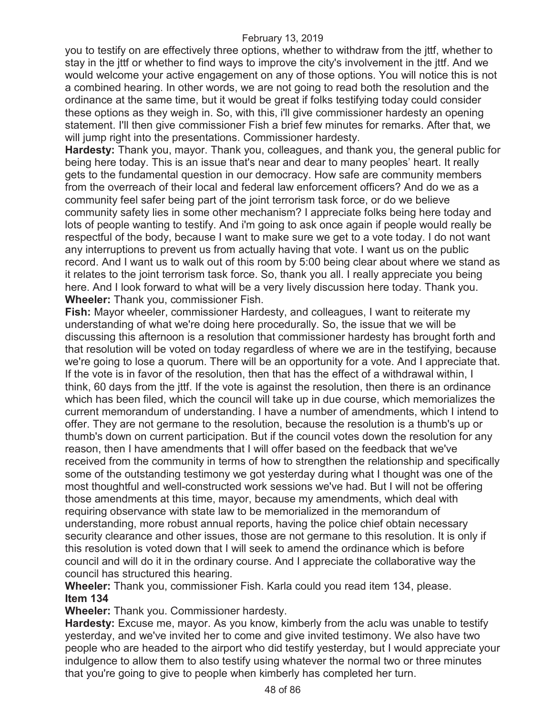you to testify on are effectively three options, whether to withdraw from the jttf, whether to stay in the jttf or whether to find ways to improve the city's involvement in the jttf. And we would welcome your active engagement on any of those options. You will notice this is not a combined hearing. In other words, we are not going to read both the resolution and the ordinance at the same time, but it would be great if folks testifying today could consider these options as they weigh in. So, with this, i'll give commissioner hardesty an opening statement. I'll then give commissioner Fish a brief few minutes for remarks. After that, we will jump right into the presentations. Commissioner hardesty.

**Hardesty:** Thank you, mayor. Thank you, colleagues, and thank you, the general public for being here today. This is an issue that's near and dear to many peoples' heart. It really gets to the fundamental question in our democracy. How safe are community members from the overreach of their local and federal law enforcement officers? And do we as a community feel safer being part of the joint terrorism task force, or do we believe community safety lies in some other mechanism? I appreciate folks being here today and lots of people wanting to testify. And i'm going to ask once again if people would really be respectful of the body, because I want to make sure we get to a vote today. I do not want any interruptions to prevent us from actually having that vote. I want us on the public record. And I want us to walk out of this room by 5:00 being clear about where we stand as it relates to the joint terrorism task force. So, thank you all. I really appreciate you being here. And I look forward to what will be a very lively discussion here today. Thank you. **Wheeler:** Thank you, commissioner Fish.

**Fish:** Mayor wheeler, commissioner Hardesty, and colleagues, I want to reiterate my understanding of what we're doing here procedurally. So, the issue that we will be discussing this afternoon is a resolution that commissioner hardesty has brought forth and that resolution will be voted on today regardless of where we are in the testifying, because we're going to lose a quorum. There will be an opportunity for a vote. And I appreciate that. If the vote is in favor of the resolution, then that has the effect of a withdrawal within, I think, 60 days from the jttf. If the vote is against the resolution, then there is an ordinance which has been filed, which the council will take up in due course, which memorializes the current memorandum of understanding. I have a number of amendments, which I intend to offer. They are not germane to the resolution, because the resolution is a thumb's up or thumb's down on current participation. But if the council votes down the resolution for any reason, then I have amendments that I will offer based on the feedback that we've received from the community in terms of how to strengthen the relationship and specifically some of the outstanding testimony we got yesterday during what I thought was one of the most thoughtful and well-constructed work sessions we've had. But I will not be offering those amendments at this time, mayor, because my amendments, which deal with requiring observance with state law to be memorialized in the memorandum of understanding, more robust annual reports, having the police chief obtain necessary security clearance and other issues, those are not germane to this resolution. It is only if this resolution is voted down that I will seek to amend the ordinance which is before council and will do it in the ordinary course. And I appreciate the collaborative way the council has structured this hearing.

# **Wheeler:** Thank you, commissioner Fish. Karla could you read item 134, please. **Item 134**

**Wheeler:** Thank you. Commissioner hardesty.

**Hardesty:** Excuse me, mayor. As you know, kimberly from the aclu was unable to testify yesterday, and we've invited her to come and give invited testimony. We also have two people who are headed to the airport who did testify yesterday, but I would appreciate your indulgence to allow them to also testify using whatever the normal two or three minutes that you're going to give to people when kimberly has completed her turn.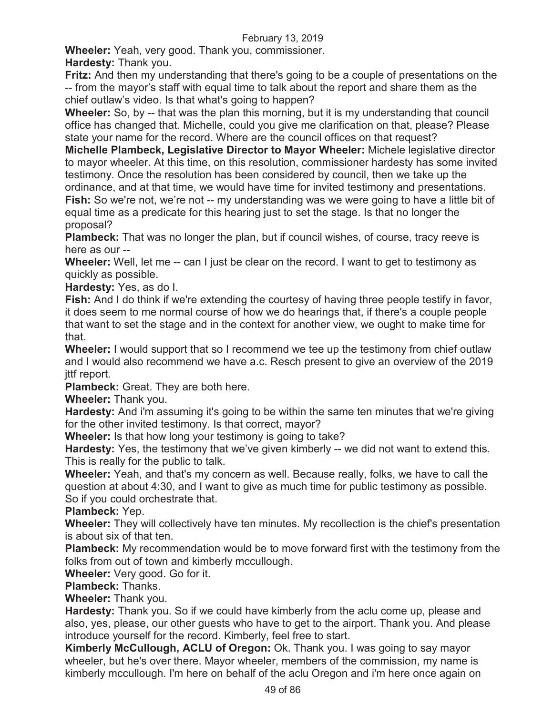**Wheeler:** Yeah, very good. Thank you, commissioner. **Hardesty:** Thank you.

**Fritz:** And then my understanding that there's going to be a couple of presentations on the -- from the mayor's staff with equal time to talk about the report and share them as the chief outlaw's video. Is that what's going to happen?

**Wheeler:** So, by -- that was the plan this morning, but it is my understanding that council office has changed that. Michelle, could you give me clarification on that, please? Please state your name for the record. Where are the council offices on that request?

**Michelle Plambeck, Legislative Director to Mayor Wheeler:** Michele legislative director to mayor wheeler. At this time, on this resolution, commissioner hardesty has some invited testimony. Once the resolution has been considered by council, then we take up the ordinance, and at that time, we would have time for invited testimony and presentations.

**Fish:** So we're not, we're not -- my understanding was we were going to have a little bit of equal time as a predicate for this hearing just to set the stage. Is that no longer the proposal?

**Plambeck:** That was no longer the plan, but if council wishes, of course, tracy reeve is here as our --

**Wheeler:** Well, let me -- can I just be clear on the record. I want to get to testimony as quickly as possible.

**Hardesty:** Yes, as do I.

**Fish:** And I do think if we're extending the courtesy of having three people testify in favor, it does seem to me normal course of how we do hearings that, if there's a couple people that want to set the stage and in the context for another view, we ought to make time for that.

**Wheeler:** I would support that so I recommend we tee up the testimony from chief outlaw and I would also recommend we have a.c. Resch present to give an overview of the 2019 jttf report.

**Plambeck:** Great. They are both here.

**Wheeler:** Thank you.

**Hardesty:** And i'm assuming it's going to be within the same ten minutes that we're giving for the other invited testimony. Is that correct, mayor?

**Wheeler:** Is that how long your testimony is going to take?

**Hardesty:** Yes, the testimony that we've given kimberly -- we did not want to extend this. This is really for the public to talk.

**Wheeler:** Yeah, and that's my concern as well. Because really, folks, we have to call the question at about 4:30, and I want to give as much time for public testimony as possible. So if you could orchestrate that.

**Plambeck:** Yep.

**Wheeler:** They will collectively have ten minutes. My recollection is the chief's presentation is about six of that ten.

**Plambeck:** My recommendation would be to move forward first with the testimony from the folks from out of town and kimberly mccullough.

**Wheeler:** Very good. Go for it.

**Plambeck:** Thanks.

**Wheeler:** Thank you.

**Hardesty:** Thank you. So if we could have kimberly from the aclu come up, please and also, yes, please, our other guests who have to get to the airport. Thank you. And please introduce yourself for the record. Kimberly, feel free to start.

**Kimberly McCullough, ACLU of Oregon:** Ok. Thank you. I was going to say mayor wheeler, but he's over there. Mayor wheeler, members of the commission, my name is kimberly mccullough. I'm here on behalf of the aclu Oregon and i'm here once again on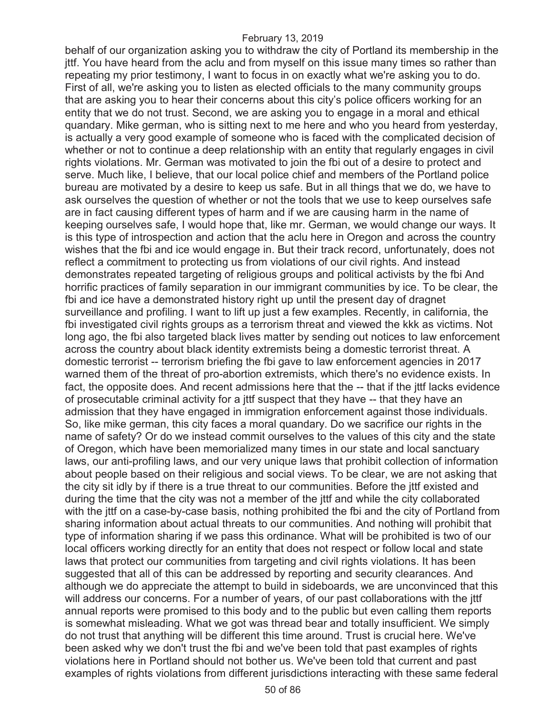behalf of our organization asking you to withdraw the city of Portland its membership in the jttf. You have heard from the aclu and from myself on this issue many times so rather than repeating my prior testimony, I want to focus in on exactly what we're asking you to do. First of all, we're asking you to listen as elected officials to the many community groups that are asking you to hear their concerns about this city's police officers working for an entity that we do not trust. Second, we are asking you to engage in a moral and ethical quandary. Mike german, who is sitting next to me here and who you heard from yesterday, is actually a very good example of someone who is faced with the complicated decision of whether or not to continue a deep relationship with an entity that regularly engages in civil rights violations. Mr. German was motivated to join the fbi out of a desire to protect and serve. Much like, I believe, that our local police chief and members of the Portland police bureau are motivated by a desire to keep us safe. But in all things that we do, we have to ask ourselves the question of whether or not the tools that we use to keep ourselves safe are in fact causing different types of harm and if we are causing harm in the name of keeping ourselves safe, I would hope that, like mr. German, we would change our ways. It is this type of introspection and action that the aclu here in Oregon and across the country wishes that the fbi and ice would engage in. But their track record, unfortunately, does not reflect a commitment to protecting us from violations of our civil rights. And instead demonstrates repeated targeting of religious groups and political activists by the fbi And horrific practices of family separation in our immigrant communities by ice. To be clear, the fbi and ice have a demonstrated history right up until the present day of dragnet surveillance and profiling. I want to lift up just a few examples. Recently, in california, the fbi investigated civil rights groups as a terrorism threat and viewed the kkk as victims. Not long ago, the fbi also targeted black lives matter by sending out notices to law enforcement across the country about black identity extremists being a domestic terrorist threat. A domestic terrorist -- terrorism briefing the fbi gave to law enforcement agencies in 2017 warned them of the threat of pro-abortion extremists, which there's no evidence exists. In fact, the opposite does. And recent admissions here that the -- that if the jttf lacks evidence of prosecutable criminal activity for a jttf suspect that they have -- that they have an admission that they have engaged in immigration enforcement against those individuals. So, like mike german, this city faces a moral quandary. Do we sacrifice our rights in the name of safety? Or do we instead commit ourselves to the values of this city and the state of Oregon, which have been memorialized many times in our state and local sanctuary laws, our anti-profiling laws, and our very unique laws that prohibit collection of information about people based on their religious and social views. To be clear, we are not asking that the city sit idly by if there is a true threat to our communities. Before the jttf existed and during the time that the city was not a member of the jttf and while the city collaborated with the jttf on a case-by-case basis, nothing prohibited the fbi and the city of Portland from sharing information about actual threats to our communities. And nothing will prohibit that type of information sharing if we pass this ordinance. What will be prohibited is two of our local officers working directly for an entity that does not respect or follow local and state laws that protect our communities from targeting and civil rights violations. It has been suggested that all of this can be addressed by reporting and security clearances. And although we do appreciate the attempt to build in sideboards, we are unconvinced that this will address our concerns. For a number of years, of our past collaborations with the jttf annual reports were promised to this body and to the public but even calling them reports is somewhat misleading. What we got was thread bear and totally insufficient. We simply do not trust that anything will be different this time around. Trust is crucial here. We've been asked why we don't trust the fbi and we've been told that past examples of rights violations here in Portland should not bother us. We've been told that current and past examples of rights violations from different jurisdictions interacting with these same federal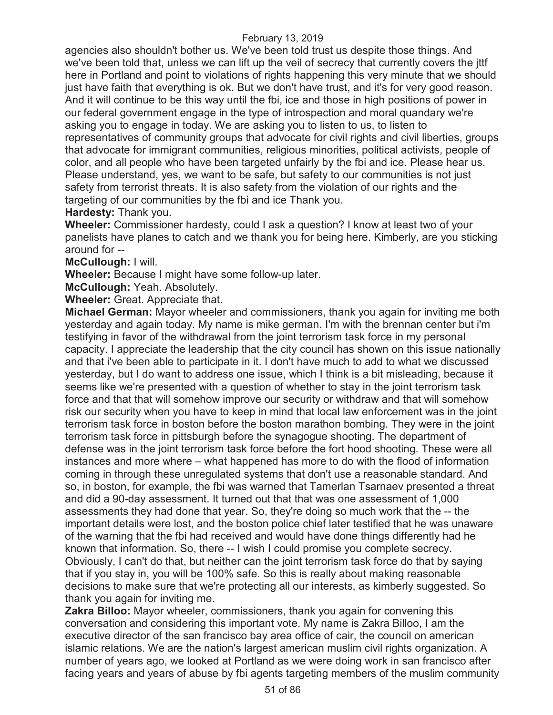agencies also shouldn't bother us. We've been told trust us despite those things. And we've been told that, unless we can lift up the veil of secrecy that currently covers the jttf here in Portland and point to violations of rights happening this very minute that we should just have faith that everything is ok. But we don't have trust, and it's for very good reason. And it will continue to be this way until the fbi, ice and those in high positions of power in our federal government engage in the type of introspection and moral quandary we're asking you to engage in today. We are asking you to listen to us, to listen to representatives of community groups that advocate for civil rights and civil liberties, groups that advocate for immigrant communities, religious minorities, political activists, people of color, and all people who have been targeted unfairly by the fbi and ice. Please hear us. Please understand, yes, we want to be safe, but safety to our communities is not just safety from terrorist threats. It is also safety from the violation of our rights and the targeting of our communities by the fbi and ice Thank you.

**Hardesty:** Thank you.

**Wheeler:** Commissioner hardesty, could I ask a question? I know at least two of your panelists have planes to catch and we thank you for being here. Kimberly, are you sticking around for --

**McCullough:** I will.

**Wheeler:** Because I might have some follow-up later.

**McCullough:** Yeah. Absolutely.

**Wheeler:** Great. Appreciate that.

**Michael German:** Mayor wheeler and commissioners, thank you again for inviting me both yesterday and again today. My name is mike german. I'm with the brennan center but i'm testifying in favor of the withdrawal from the joint terrorism task force in my personal capacity. I appreciate the leadership that the city council has shown on this issue nationally and that i've been able to participate in it. I don't have much to add to what we discussed yesterday, but I do want to address one issue, which I think is a bit misleading, because it seems like we're presented with a question of whether to stay in the joint terrorism task force and that that will somehow improve our security or withdraw and that will somehow risk our security when you have to keep in mind that local law enforcement was in the joint terrorism task force in boston before the boston marathon bombing. They were in the joint terrorism task force in pittsburgh before the synagogue shooting. The department of defense was in the joint terrorism task force before the fort hood shooting. These were all instances and more where – what happened has more to do with the flood of information coming in through these unregulated systems that don't use a reasonable standard. And so, in boston, for example, the fbi was warned that Tamerlan Tsarnaev presented a threat and did a 90-day assessment. It turned out that that was one assessment of 1,000 assessments they had done that year. So, they're doing so much work that the -- the important details were lost, and the boston police chief later testified that he was unaware of the warning that the fbi had received and would have done things differently had he known that information. So, there -- I wish I could promise you complete secrecy. Obviously, I can't do that, but neither can the joint terrorism task force do that by saying that if you stay in, you will be 100% safe. So this is really about making reasonable decisions to make sure that we're protecting all our interests, as kimberly suggested. So thank you again for inviting me.

**Zakra Billoo:** Mayor wheeler, commissioners, thank you again for convening this conversation and considering this important vote. My name is Zakra Billoo, I am the executive director of the san francisco bay area office of cair, the council on american islamic relations. We are the nation's largest american muslim civil rights organization. A number of years ago, we looked at Portland as we were doing work in san francisco after facing years and years of abuse by fbi agents targeting members of the muslim community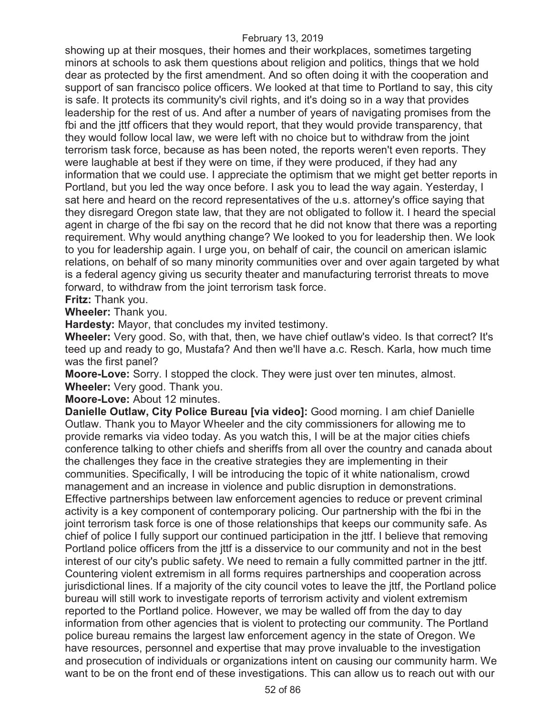showing up at their mosques, their homes and their workplaces, sometimes targeting minors at schools to ask them questions about religion and politics, things that we hold dear as protected by the first amendment. And so often doing it with the cooperation and support of san francisco police officers. We looked at that time to Portland to say, this city is safe. It protects its community's civil rights, and it's doing so in a way that provides leadership for the rest of us. And after a number of years of navigating promises from the fbi and the jttf officers that they would report, that they would provide transparency, that they would follow local law, we were left with no choice but to withdraw from the joint terrorism task force, because as has been noted, the reports weren't even reports. They were laughable at best if they were on time, if they were produced, if they had any information that we could use. I appreciate the optimism that we might get better reports in Portland, but you led the way once before. I ask you to lead the way again. Yesterday, I sat here and heard on the record representatives of the u.s. attorney's office saying that they disregard Oregon state law, that they are not obligated to follow it. I heard the special agent in charge of the fbi say on the record that he did not know that there was a reporting requirement. Why would anything change? We looked to you for leadership then. We look to you for leadership again. I urge you, on behalf of cair, the council on american islamic relations, on behalf of so many minority communities over and over again targeted by what is a federal agency giving us security theater and manufacturing terrorist threats to move forward, to withdraw from the joint terrorism task force.

### **Fritz:** Thank you.

**Wheeler:** Thank you.

**Hardesty:** Mayor, that concludes my invited testimony.

**Wheeler:** Very good. So, with that, then, we have chief outlaw's video. Is that correct? It's teed up and ready to go, Mustafa? And then we'll have a.c. Resch. Karla, how much time was the first panel?

**Moore-Love:** Sorry. I stopped the clock. They were just over ten minutes, almost.

**Wheeler:** Very good. Thank you.

**Moore-Love:** About 12 minutes.

**Danielle Outlaw, City Police Bureau [via video]:** Good morning. I am chief Danielle Outlaw. Thank you to Mayor Wheeler and the city commissioners for allowing me to provide remarks via video today. As you watch this, I will be at the major cities chiefs conference talking to other chiefs and sheriffs from all over the country and canada about the challenges they face in the creative strategies they are implementing in their communities. Specifically, I will be introducing the topic of it white nationalism, crowd management and an increase in violence and public disruption in demonstrations. Effective partnerships between law enforcement agencies to reduce or prevent criminal activity is a key component of contemporary policing. Our partnership with the fbi in the joint terrorism task force is one of those relationships that keeps our community safe. As chief of police I fully support our continued participation in the jttf. I believe that removing Portland police officers from the jttf is a disservice to our community and not in the best interest of our city's public safety. We need to remain a fully committed partner in the jttf. Countering violent extremism in all forms requires partnerships and cooperation across jurisdictional lines. If a majority of the city council votes to leave the jttf, the Portland police bureau will still work to investigate reports of terrorism activity and violent extremism reported to the Portland police. However, we may be walled off from the day to day information from other agencies that is violent to protecting our community. The Portland police bureau remains the largest law enforcement agency in the state of Oregon. We have resources, personnel and expertise that may prove invaluable to the investigation and prosecution of individuals or organizations intent on causing our community harm. We want to be on the front end of these investigations. This can allow us to reach out with our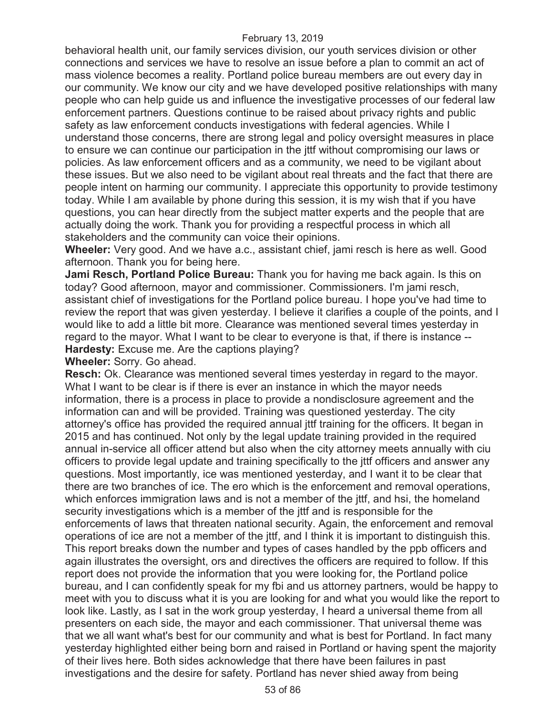behavioral health unit, our family services division, our youth services division or other connections and services we have to resolve an issue before a plan to commit an act of mass violence becomes a reality. Portland police bureau members are out every day in our community. We know our city and we have developed positive relationships with many people who can help guide us and influence the investigative processes of our federal law enforcement partners. Questions continue to be raised about privacy rights and public safety as law enforcement conducts investigations with federal agencies. While I understand those concerns, there are strong legal and policy oversight measures in place to ensure we can continue our participation in the jttf without compromising our laws or policies. As law enforcement officers and as a community, we need to be vigilant about these issues. But we also need to be vigilant about real threats and the fact that there are people intent on harming our community. I appreciate this opportunity to provide testimony today. While I am available by phone during this session, it is my wish that if you have questions, you can hear directly from the subject matter experts and the people that are actually doing the work. Thank you for providing a respectful process in which all stakeholders and the community can voice their opinions.

**Wheeler:** Very good. And we have a.c., assistant chief, jami resch is here as well. Good afternoon. Thank you for being here.

**Jami Resch, Portland Police Bureau:** Thank you for having me back again. Is this on today? Good afternoon, mayor and commissioner. Commissioners. I'm jami resch, assistant chief of investigations for the Portland police bureau. I hope you've had time to review the report that was given yesterday. I believe it clarifies a couple of the points, and I would like to add a little bit more. Clearance was mentioned several times yesterday in regard to the mayor. What I want to be clear to everyone is that, if there is instance -- **Hardesty:** Excuse me. Are the captions playing?

**Wheeler:** Sorry. Go ahead.

**Resch:** Ok. Clearance was mentioned several times yesterday in regard to the mayor. What I want to be clear is if there is ever an instance in which the mayor needs information, there is a process in place to provide a nondisclosure agreement and the information can and will be provided. Training was questioned yesterday. The city attorney's office has provided the required annual jttf training for the officers. It began in 2015 and has continued. Not only by the legal update training provided in the required annual in-service all officer attend but also when the city attorney meets annually with ciu officers to provide legal update and training specifically to the jttf officers and answer any questions. Most importantly, ice was mentioned yesterday, and I want it to be clear that there are two branches of ice. The ero which is the enforcement and removal operations, which enforces immigration laws and is not a member of the jttf, and hsi, the homeland security investigations which is a member of the jttf and is responsible for the enforcements of laws that threaten national security. Again, the enforcement and removal operations of ice are not a member of the jttf, and I think it is important to distinguish this. This report breaks down the number and types of cases handled by the ppb officers and again illustrates the oversight, ors and directives the officers are required to follow. If this report does not provide the information that you were looking for, the Portland police bureau, and I can confidently speak for my fbi and us attorney partners, would be happy to meet with you to discuss what it is you are looking for and what you would like the report to look like. Lastly, as I sat in the work group yesterday, I heard a universal theme from all presenters on each side, the mayor and each commissioner. That universal theme was that we all want what's best for our community and what is best for Portland. In fact many yesterday highlighted either being born and raised in Portland or having spent the majority of their lives here. Both sides acknowledge that there have been failures in past investigations and the desire for safety. Portland has never shied away from being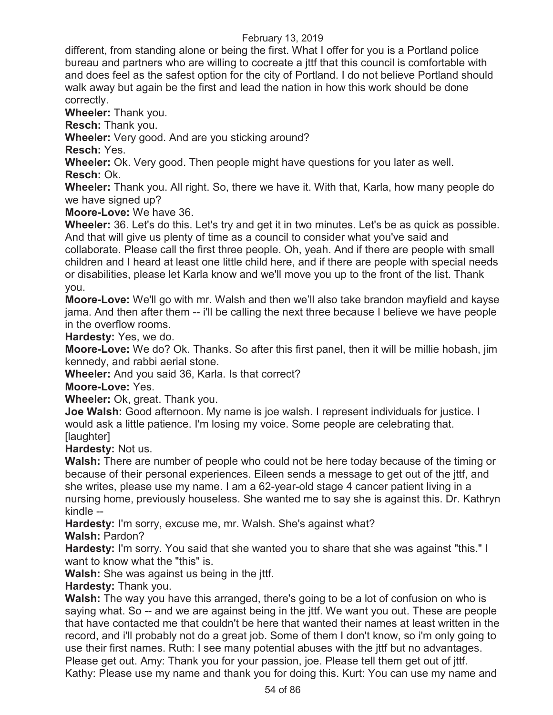different, from standing alone or being the first. What I offer for you is a Portland police bureau and partners who are willing to cocreate a jttf that this council is comfortable with and does feel as the safest option for the city of Portland. I do not believe Portland should walk away but again be the first and lead the nation in how this work should be done correctly.

**Wheeler:** Thank you.

**Resch:** Thank you.

**Wheeler:** Very good. And are you sticking around?

**Resch:** Yes.

**Wheeler:** Ok. Very good. Then people might have questions for you later as well.

**Resch:** Ok.

**Wheeler:** Thank you. All right. So, there we have it. With that, Karla, how many people do we have signed up?

**Moore-Love:** We have 36.

**Wheeler:** 36. Let's do this. Let's try and get it in two minutes. Let's be as quick as possible. And that will give us plenty of time as a council to consider what you've said and

collaborate. Please call the first three people. Oh, yeah. And if there are people with small children and I heard at least one little child here, and if there are people with special needs or disabilities, please let Karla know and we'll move you up to the front of the list. Thank you.

**Moore-Love:** We'll go with mr. Walsh and then we'll also take brandon mayfield and kayse jama. And then after them -- i'll be calling the next three because I believe we have people in the overflow rooms.

**Hardesty:** Yes, we do.

**Moore-Love:** We do? Ok. Thanks. So after this first panel, then it will be millie hobash, jim kennedy, and rabbi aerial stone.

**Wheeler:** And you said 36, Karla. Is that correct?

**Moore-Love:** Yes.

**Wheeler:** Ok, great. Thank you.

**Joe Walsh:** Good afternoon. My name is joe walsh. I represent individuals for justice. I would ask a little patience. I'm losing my voice. Some people are celebrating that. [laughter]

**Hardesty:** Not us.

**Walsh:** There are number of people who could not be here today because of the timing or because of their personal experiences. Eileen sends a message to get out of the jttf, and she writes, please use my name. I am a 62-year-old stage 4 cancer patient living in a nursing home, previously houseless. She wanted me to say she is against this. Dr. Kathryn kindle --

**Hardesty:** I'm sorry, excuse me, mr. Walsh. She's against what?

**Walsh:** Pardon?

**Hardesty:** I'm sorry. You said that she wanted you to share that she was against "this." I want to know what the "this" is.

**Walsh:** She was against us being in the jttf.

**Hardesty:** Thank you.

**Walsh:** The way you have this arranged, there's going to be a lot of confusion on who is saying what. So -- and we are against being in the jttf. We want you out. These are people that have contacted me that couldn't be here that wanted their names at least written in the record, and i'll probably not do a great job. Some of them I don't know, so i'm only going to use their first names. Ruth: I see many potential abuses with the jttf but no advantages. Please get out. Amy: Thank you for your passion, joe. Please tell them get out of jttf. Kathy: Please use my name and thank you for doing this. Kurt: You can use my name and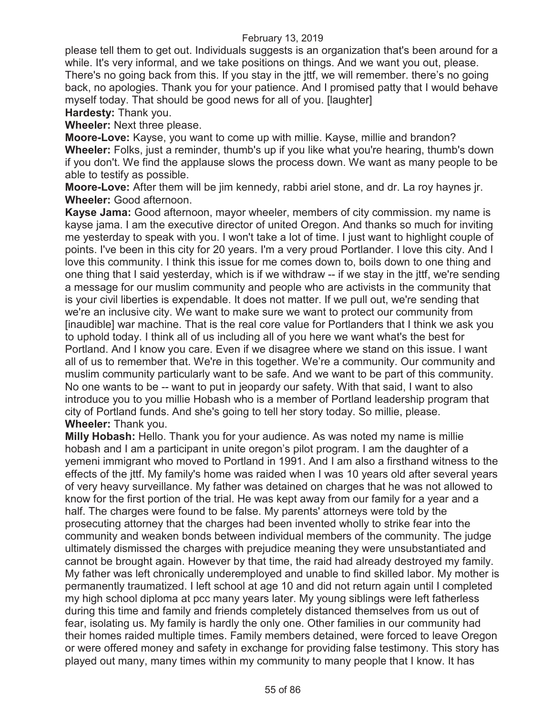please tell them to get out. Individuals suggests is an organization that's been around for a while. It's very informal, and we take positions on things. And we want you out, please. There's no going back from this. If you stay in the jttf, we will remember. there's no going back, no apologies. Thank you for your patience. And I promised patty that I would behave myself today. That should be good news for all of you. [laughter]

**Hardesty:** Thank you.

**Wheeler:** Next three please.

**Moore-Love:** Kayse, you want to come up with millie. Kayse, millie and brandon? **Wheeler:** Folks, just a reminder, thumb's up if you like what you're hearing, thumb's down if you don't. We find the applause slows the process down. We want as many people to be able to testify as possible.

**Moore-Love:** After them will be jim kennedy, rabbi ariel stone, and dr. La roy haynes jr. **Wheeler:** Good afternoon.

**Kayse Jama:** Good afternoon, mayor wheeler, members of city commission. my name is kayse jama. I am the executive director of united Oregon. And thanks so much for inviting me yesterday to speak with you. I won't take a lot of time. I just want to highlight couple of points. I've been in this city for 20 years. I'm a very proud Portlander. I love this city. And I love this community. I think this issue for me comes down to, boils down to one thing and one thing that I said yesterday, which is if we withdraw -- if we stay in the jttf, we're sending a message for our muslim community and people who are activists in the community that is your civil liberties is expendable. It does not matter. If we pull out, we're sending that we're an inclusive city. We want to make sure we want to protect our community from [inaudible] war machine. That is the real core value for Portlanders that I think we ask you to uphold today. I think all of us including all of you here we want what's the best for Portland. And I know you care. Even if we disagree where we stand on this issue. I want all of us to remember that. We're in this together. We're a community. Our community and muslim community particularly want to be safe. And we want to be part of this community. No one wants to be -- want to put in jeopardy our safety. With that said, I want to also introduce you to you millie Hobash who is a member of Portland leadership program that city of Portland funds. And she's going to tell her story today. So millie, please. **Wheeler:** Thank you.

**Milly Hobash:** Hello. Thank you for your audience. As was noted my name is millie hobash and I am a participant in unite oregon's pilot program. I am the daughter of a yemeni immigrant who moved to Portland in 1991. And I am also a firsthand witness to the effects of the jttf. My family's home was raided when I was 10 years old after several years of very heavy surveillance. My father was detained on charges that he was not allowed to know for the first portion of the trial. He was kept away from our family for a year and a half. The charges were found to be false. My parents' attorneys were told by the prosecuting attorney that the charges had been invented wholly to strike fear into the community and weaken bonds between individual members of the community. The judge ultimately dismissed the charges with prejudice meaning they were unsubstantiated and cannot be brought again. However by that time, the raid had already destroyed my family. My father was left chronically underemployed and unable to find skilled labor. My mother is permanently traumatized. I left school at age 10 and did not return again until I completed my high school diploma at pcc many years later. My young siblings were left fatherless during this time and family and friends completely distanced themselves from us out of fear, isolating us. My family is hardly the only one. Other families in our community had their homes raided multiple times. Family members detained, were forced to leave Oregon or were offered money and safety in exchange for providing false testimony. This story has played out many, many times within my community to many people that I know. It has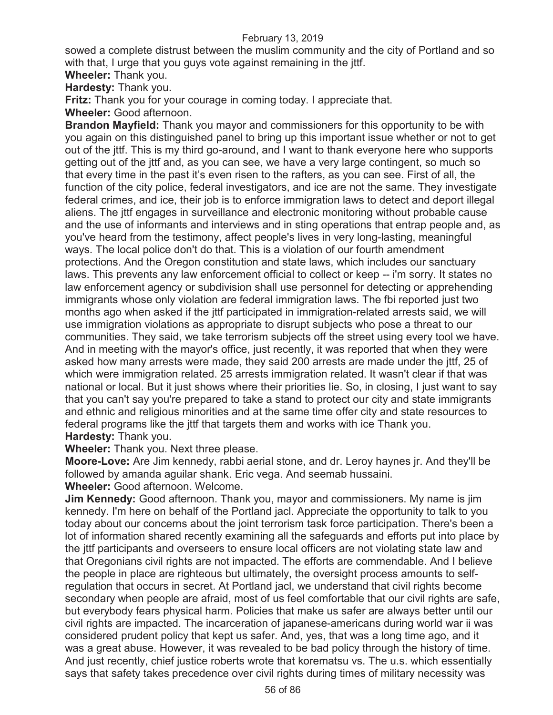sowed a complete distrust between the muslim community and the city of Portland and so with that, I urge that you guys vote against remaining in the jttf.

**Wheeler:** Thank you.

**Hardesty:** Thank you.

**Fritz:** Thank you for your courage in coming today. I appreciate that.

**Wheeler:** Good afternoon.

**Brandon Mayfield:** Thank you mayor and commissioners for this opportunity to be with you again on this distinguished panel to bring up this important issue whether or not to get out of the jttf. This is my third go-around, and I want to thank everyone here who supports getting out of the jttf and, as you can see, we have a very large contingent, so much so that every time in the past it's even risen to the rafters, as you can see. First of all, the function of the city police, federal investigators, and ice are not the same. They investigate federal crimes, and ice, their job is to enforce immigration laws to detect and deport illegal aliens. The jttf engages in surveillance and electronic monitoring without probable cause and the use of informants and interviews and in sting operations that entrap people and, as you've heard from the testimony, affect people's lives in very long-lasting, meaningful ways. The local police don't do that. This is a violation of our fourth amendment protections. And the Oregon constitution and state laws, which includes our sanctuary laws. This prevents any law enforcement official to collect or keep -- i'm sorry. It states no law enforcement agency or subdivision shall use personnel for detecting or apprehending immigrants whose only violation are federal immigration laws. The fbi reported just two months ago when asked if the jttf participated in immigration-related arrests said, we will use immigration violations as appropriate to disrupt subjects who pose a threat to our communities. They said, we take terrorism subjects off the street using every tool we have. And in meeting with the mayor's office, just recently, it was reported that when they were asked how many arrests were made, they said 200 arrests are made under the jttf, 25 of which were immigration related. 25 arrests immigration related. It wasn't clear if that was national or local. But it just shows where their priorities lie. So, in closing, I just want to say that you can't say you're prepared to take a stand to protect our city and state immigrants and ethnic and religious minorities and at the same time offer city and state resources to federal programs like the jttf that targets them and works with ice Thank you. **Hardesty:** Thank you.

**Wheeler:** Thank you. Next three please.

**Moore-Love:** Are Jim kennedy, rabbi aerial stone, and dr. Leroy haynes jr. And they'll be followed by amanda aguilar shank. Eric vega. And seemab hussaini.

**Wheeler:** Good afternoon. Welcome.

**Jim Kennedy:** Good afternoon. Thank you, mayor and commissioners. My name is jim kennedy. I'm here on behalf of the Portland jacl. Appreciate the opportunity to talk to you today about our concerns about the joint terrorism task force participation. There's been a lot of information shared recently examining all the safeguards and efforts put into place by the jttf participants and overseers to ensure local officers are not violating state law and that Oregonians civil rights are not impacted. The efforts are commendable. And I believe the people in place are righteous but ultimately, the oversight process amounts to selfregulation that occurs in secret. At Portland jacl, we understand that civil rights become secondary when people are afraid, most of us feel comfortable that our civil rights are safe, but everybody fears physical harm. Policies that make us safer are always better until our civil rights are impacted. The incarceration of japanese-americans during world war ii was considered prudent policy that kept us safer. And, yes, that was a long time ago, and it was a great abuse. However, it was revealed to be bad policy through the history of time. And just recently, chief justice roberts wrote that korematsu vs. The u.s. which essentially says that safety takes precedence over civil rights during times of military necessity was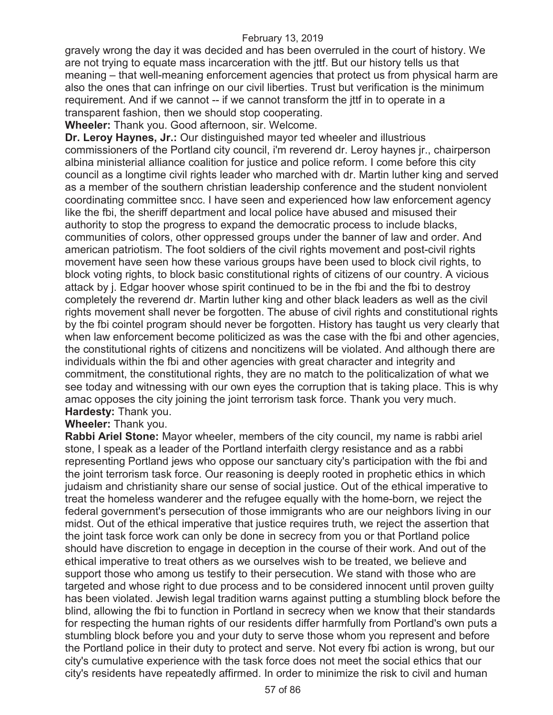gravely wrong the day it was decided and has been overruled in the court of history. We are not trying to equate mass incarceration with the jttf. But our history tells us that meaning – that well-meaning enforcement agencies that protect us from physical harm are also the ones that can infringe on our civil liberties. Trust but verification is the minimum requirement. And if we cannot -- if we cannot transform the jttf in to operate in a transparent fashion, then we should stop cooperating.

**Wheeler:** Thank you. Good afternoon, sir. Welcome.

**Dr. Leroy Haynes, Jr.:** Our distinguished mayor ted wheeler and illustrious commissioners of the Portland city council, i'm reverend dr. Leroy haynes jr., chairperson albina ministerial alliance coalition for justice and police reform. I come before this city council as a longtime civil rights leader who marched with dr. Martin luther king and served as a member of the southern christian leadership conference and the student nonviolent coordinating committee sncc. I have seen and experienced how law enforcement agency like the fbi, the sheriff department and local police have abused and misused their authority to stop the progress to expand the democratic process to include blacks, communities of colors, other oppressed groups under the banner of law and order. And american patriotism. The foot soldiers of the civil rights movement and post-civil rights movement have seen how these various groups have been used to block civil rights, to block voting rights, to block basic constitutional rights of citizens of our country. A vicious attack by j. Edgar hoover whose spirit continued to be in the fbi and the fbi to destroy completely the reverend dr. Martin luther king and other black leaders as well as the civil rights movement shall never be forgotten. The abuse of civil rights and constitutional rights by the fbi cointel program should never be forgotten. History has taught us very clearly that when law enforcement become politicized as was the case with the fbi and other agencies, the constitutional rights of citizens and noncitizens will be violated. And although there are individuals within the fbi and other agencies with great character and integrity and commitment, the constitutional rights, they are no match to the politicalization of what we see today and witnessing with our own eyes the corruption that is taking place. This is why amac opposes the city joining the joint terrorism task force. Thank you very much. **Hardesty:** Thank you.

**Wheeler:** Thank you.

**Rabbi Ariel Stone:** Mayor wheeler, members of the city council, my name is rabbi ariel stone, I speak as a leader of the Portland interfaith clergy resistance and as a rabbi representing Portland jews who oppose our sanctuary city's participation with the fbi and the joint terrorism task force. Our reasoning is deeply rooted in prophetic ethics in which judaism and christianity share our sense of social justice. Out of the ethical imperative to treat the homeless wanderer and the refugee equally with the home-born, we reject the federal government's persecution of those immigrants who are our neighbors living in our midst. Out of the ethical imperative that justice requires truth, we reject the assertion that the joint task force work can only be done in secrecy from you or that Portland police should have discretion to engage in deception in the course of their work. And out of the ethical imperative to treat others as we ourselves wish to be treated, we believe and support those who among us testify to their persecution. We stand with those who are targeted and whose right to due process and to be considered innocent until proven guilty has been violated. Jewish legal tradition warns against putting a stumbling block before the blind, allowing the fbi to function in Portland in secrecy when we know that their standards for respecting the human rights of our residents differ harmfully from Portland's own puts a stumbling block before you and your duty to serve those whom you represent and before the Portland police in their duty to protect and serve. Not every fbi action is wrong, but our city's cumulative experience with the task force does not meet the social ethics that our city's residents have repeatedly affirmed. In order to minimize the risk to civil and human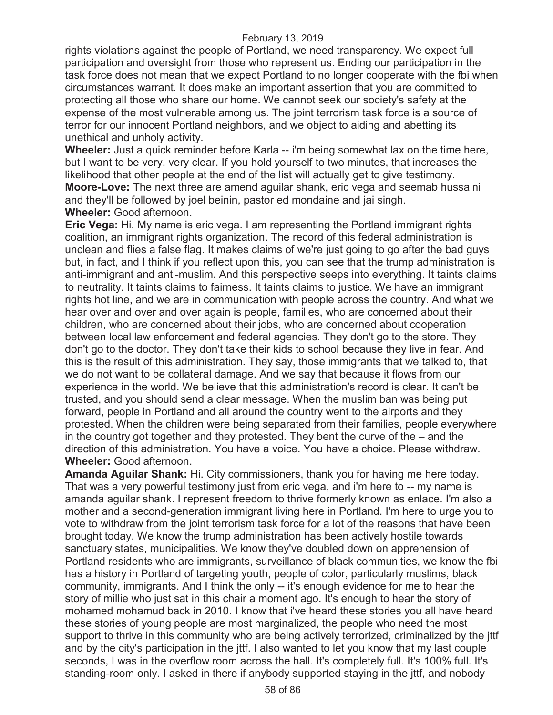rights violations against the people of Portland, we need transparency. We expect full participation and oversight from those who represent us. Ending our participation in the task force does not mean that we expect Portland to no longer cooperate with the fbi when circumstances warrant. It does make an important assertion that you are committed to protecting all those who share our home. We cannot seek our society's safety at the expense of the most vulnerable among us. The joint terrorism task force is a source of terror for our innocent Portland neighbors, and we object to aiding and abetting its unethical and unholy activity.

**Wheeler:** Just a quick reminder before Karla -- i'm being somewhat lax on the time here, but I want to be very, very clear. If you hold yourself to two minutes, that increases the likelihood that other people at the end of the list will actually get to give testimony. **Moore-Love:** The next three are amend aguilar shank, eric vega and seemab hussaini and they'll be followed by joel beinin, pastor ed mondaine and jai singh. **Wheeler:** Good afternoon.

**Eric Vega:** Hi. My name is eric vega. I am representing the Portland immigrant rights coalition, an immigrant rights organization. The record of this federal administration is unclean and flies a false flag. It makes claims of we're just going to go after the bad guys but, in fact, and I think if you reflect upon this, you can see that the trump administration is anti-immigrant and anti-muslim. And this perspective seeps into everything. It taints claims to neutrality. It taints claims to fairness. It taints claims to justice. We have an immigrant rights hot line, and we are in communication with people across the country. And what we hear over and over and over again is people, families, who are concerned about their children, who are concerned about their jobs, who are concerned about cooperation between local law enforcement and federal agencies. They don't go to the store. They don't go to the doctor. They don't take their kids to school because they live in fear. And this is the result of this administration. They say, those immigrants that we talked to, that we do not want to be collateral damage. And we say that because it flows from our experience in the world. We believe that this administration's record is clear. It can't be trusted, and you should send a clear message. When the muslim ban was being put forward, people in Portland and all around the country went to the airports and they protested. When the children were being separated from their families, people everywhere in the country got together and they protested. They bent the curve of the – and the direction of this administration. You have a voice. You have a choice. Please withdraw. **Wheeler:** Good afternoon.

**Amanda Aguilar Shank:** Hi. City commissioners, thank you for having me here today. That was a very powerful testimony just from eric vega, and i'm here to -- my name is amanda aguilar shank. I represent freedom to thrive formerly known as enlace. I'm also a mother and a second-generation immigrant living here in Portland. I'm here to urge you to vote to withdraw from the joint terrorism task force for a lot of the reasons that have been brought today. We know the trump administration has been actively hostile towards sanctuary states, municipalities. We know they've doubled down on apprehension of Portland residents who are immigrants, surveillance of black communities, we know the fbi has a history in Portland of targeting youth, people of color, particularly muslims, black community, immigrants. And I think the only -- it's enough evidence for me to hear the story of millie who just sat in this chair a moment ago. It's enough to hear the story of mohamed mohamud back in 2010. I know that i've heard these stories you all have heard these stories of young people are most marginalized, the people who need the most support to thrive in this community who are being actively terrorized, criminalized by the jttf and by the city's participation in the jttf. I also wanted to let you know that my last couple seconds, I was in the overflow room across the hall. It's completely full. It's 100% full. It's standing-room only. I asked in there if anybody supported staying in the jttf, and nobody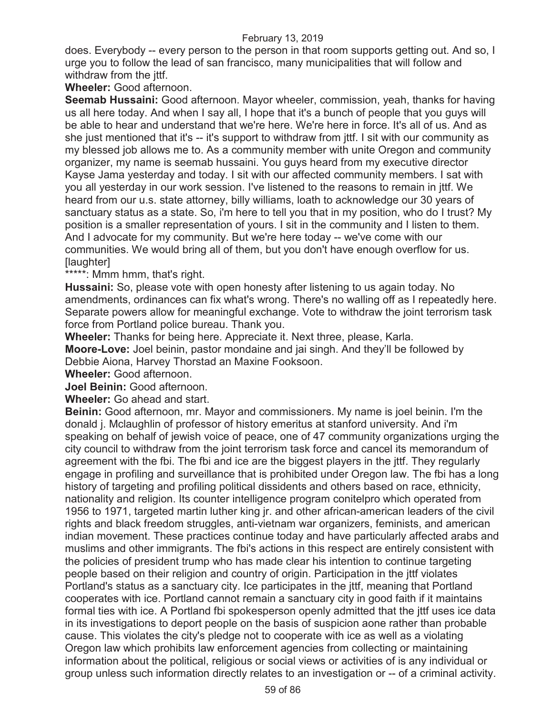does. Everybody -- every person to the person in that room supports getting out. And so, I urge you to follow the lead of san francisco, many municipalities that will follow and withdraw from the jttf.

**Wheeler:** Good afternoon.

**Seemab Hussaini:** Good afternoon. Mayor wheeler, commission, yeah, thanks for having us all here today. And when I say all, I hope that it's a bunch of people that you guys will be able to hear and understand that we're here. We're here in force. It's all of us. And as she just mentioned that it's -- it's support to withdraw from jttf. I sit with our community as my blessed job allows me to. As a community member with unite Oregon and community organizer, my name is seemab hussaini. You guys heard from my executive director Kayse Jama yesterday and today. I sit with our affected community members. I sat with you all yesterday in our work session. I've listened to the reasons to remain in jttf. We heard from our u.s. state attorney, billy williams, loath to acknowledge our 30 years of sanctuary status as a state. So, i'm here to tell you that in my position, who do I trust? My position is a smaller representation of yours. I sit in the community and I listen to them. And I advocate for my community. But we're here today -- we've come with our communities. We would bring all of them, but you don't have enough overflow for us. [laughter]

\*\*\*\*\*: Mmm hmm, that's right.

**Hussaini:** So, please vote with open honesty after listening to us again today. No amendments, ordinances can fix what's wrong. There's no walling off as I repeatedly here. Separate powers allow for meaningful exchange. Vote to withdraw the joint terrorism task force from Portland police bureau. Thank you.

**Wheeler:** Thanks for being here. Appreciate it. Next three, please, Karla.

**Moore-Love:** Joel beinin, pastor mondaine and jai singh. And they'll be followed by Debbie Aiona, Harvey Thorstad an Maxine Fooksoon.

**Wheeler:** Good afternoon.

**Joel Beinin:** Good afternoon.

**Wheeler:** Go ahead and start.

**Beinin:** Good afternoon, mr. Mayor and commissioners. My name is joel beinin. I'm the donald j. Mclaughlin of professor of history emeritus at stanford university. And i'm speaking on behalf of jewish voice of peace, one of 47 community organizations urging the city council to withdraw from the joint terrorism task force and cancel its memorandum of agreement with the fbi. The fbi and ice are the biggest players in the jttf. They regularly engage in profiling and surveillance that is prohibited under Oregon law. The fbi has a long history of targeting and profiling political dissidents and others based on race, ethnicity, nationality and religion. Its counter intelligence program conitelpro which operated from 1956 to 1971, targeted martin luther king jr. and other african-american leaders of the civil rights and black freedom struggles, anti-vietnam war organizers, feminists, and american indian movement. These practices continue today and have particularly affected arabs and muslims and other immigrants. The fbi's actions in this respect are entirely consistent with the policies of president trump who has made clear his intention to continue targeting people based on their religion and country of origin. Participation in the jttf violates Portland's status as a sanctuary city. Ice participates in the jttf, meaning that Portland cooperates with ice. Portland cannot remain a sanctuary city in good faith if it maintains formal ties with ice. A Portland fbi spokesperson openly admitted that the jttf uses ice data in its investigations to deport people on the basis of suspicion aone rather than probable cause. This violates the city's pledge not to cooperate with ice as well as a violating Oregon law which prohibits law enforcement agencies from collecting or maintaining information about the political, religious or social views or activities of is any individual or group unless such information directly relates to an investigation or -- of a criminal activity.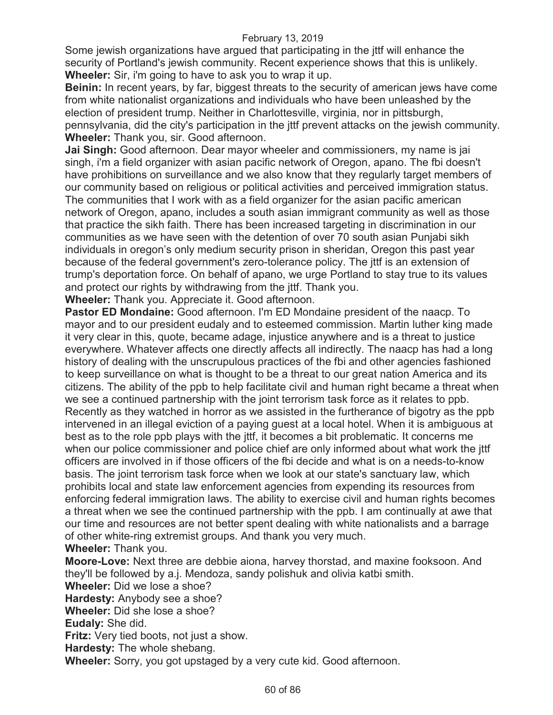Some jewish organizations have argued that participating in the jttf will enhance the security of Portland's jewish community. Recent experience shows that this is unlikely. **Wheeler:** Sir, i'm going to have to ask you to wrap it up.

**Beinin:** In recent years, by far, biggest threats to the security of american jews have come from white nationalist organizations and individuals who have been unleashed by the election of president trump. Neither in Charlottesville, virginia, nor in pittsburgh, pennsylvania, did the city's participation in the jttf prevent attacks on the jewish community. **Wheeler:** Thank you, sir. Good afternoon.

**Jai Singh:** Good afternoon. Dear mayor wheeler and commissioners, my name is jai singh, i'm a field organizer with asian pacific network of Oregon, apano. The fbi doesn't have prohibitions on surveillance and we also know that they regularly target members of our community based on religious or political activities and perceived immigration status. The communities that I work with as a field organizer for the asian pacific american network of Oregon, apano, includes a south asian immigrant community as well as those that practice the sikh faith. There has been increased targeting in discrimination in our communities as we have seen with the detention of over 70 south asian Punjabi sikh individuals in oregon's only medium security prison in sheridan, Oregon this past year because of the federal government's zero-tolerance policy. The jttf is an extension of trump's deportation force. On behalf of apano, we urge Portland to stay true to its values and protect our rights by withdrawing from the jttf. Thank you.

**Wheeler:** Thank you. Appreciate it. Good afternoon.

**Pastor ED Mondaine:** Good afternoon. I'm ED Mondaine president of the naacp. To mayor and to our president eudaly and to esteemed commission. Martin luther king made it very clear in this, quote, became adage, injustice anywhere and is a threat to justice everywhere. Whatever affects one directly affects all indirectly. The naacp has had a long history of dealing with the unscrupulous practices of the fbi and other agencies fashioned to keep surveillance on what is thought to be a threat to our great nation America and its citizens. The ability of the ppb to help facilitate civil and human right became a threat when we see a continued partnership with the joint terrorism task force as it relates to ppb. Recently as they watched in horror as we assisted in the furtherance of bigotry as the ppb intervened in an illegal eviction of a paying guest at a local hotel. When it is ambiguous at best as to the role ppb plays with the jttf, it becomes a bit problematic. It concerns me when our police commissioner and police chief are only informed about what work the jttf officers are involved in if those officers of the fbi decide and what is on a needs-to-know basis. The joint terrorism task force when we look at our state's sanctuary law, which prohibits local and state law enforcement agencies from expending its resources from enforcing federal immigration laws. The ability to exercise civil and human rights becomes a threat when we see the continued partnership with the ppb. I am continually at awe that our time and resources are not better spent dealing with white nationalists and a barrage of other white-ring extremist groups. And thank you very much. **Wheeler:** Thank you.

**Moore-Love:** Next three are debbie aiona, harvey thorstad, and maxine fooksoon. And they'll be followed by a.j. Mendoza, sandy polishuk and olivia katbi smith.

**Wheeler:** Did we lose a shoe? **Hardesty:** Anybody see a shoe? **Wheeler:** Did she lose a shoe? **Eudaly:** She did.

**Fritz:** Very tied boots, not just a show.

**Hardesty:** The whole shebang.

**Wheeler:** Sorry, you got upstaged by a very cute kid. Good afternoon.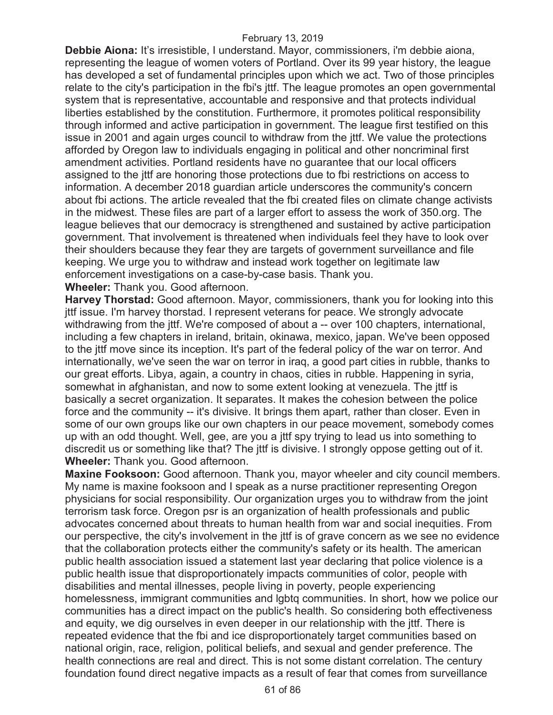**Debbie Aiona:** It's irresistible, I understand. Mayor, commissioners, i'm debbie aiona, representing the league of women voters of Portland. Over its 99 year history, the league has developed a set of fundamental principles upon which we act. Two of those principles relate to the city's participation in the fbi's jttf. The league promotes an open governmental system that is representative, accountable and responsive and that protects individual liberties established by the constitution. Furthermore, it promotes political responsibility through informed and active participation in government. The league first testified on this issue in 2001 and again urges council to withdraw from the jttf. We value the protections afforded by Oregon law to individuals engaging in political and other noncriminal first amendment activities. Portland residents have no guarantee that our local officers assigned to the jttf are honoring those protections due to fbi restrictions on access to information. A december 2018 guardian article underscores the community's concern about fbi actions. The article revealed that the fbi created files on climate change activists in the midwest. These files are part of a larger effort to assess the work of 350.org. The league believes that our democracy is strengthened and sustained by active participation government. That involvement is threatened when individuals feel they have to look over their shoulders because they fear they are targets of government surveillance and file keeping. We urge you to withdraw and instead work together on legitimate law enforcement investigations on a case-by-case basis. Thank you.

**Wheeler:** Thank you. Good afternoon.

**Harvey Thorstad:** Good afternoon. Mayor, commissioners, thank you for looking into this jttf issue. I'm harvey thorstad. I represent veterans for peace. We strongly advocate withdrawing from the jttf. We're composed of about a -- over 100 chapters, international, including a few chapters in ireland, britain, okinawa, mexico, japan. We've been opposed to the jttf move since its inception. It's part of the federal policy of the war on terror. And internationally, we've seen the war on terror in iraq, a good part cities in rubble, thanks to our great efforts. Libya, again, a country in chaos, cities in rubble. Happening in syria, somewhat in afghanistan, and now to some extent looking at venezuela. The jttf is basically a secret organization. It separates. It makes the cohesion between the police force and the community -- it's divisive. It brings them apart, rather than closer. Even in some of our own groups like our own chapters in our peace movement, somebody comes up with an odd thought. Well, gee, are you a jttf spy trying to lead us into something to discredit us or something like that? The jttf is divisive. I strongly oppose getting out of it. **Wheeler:** Thank you. Good afternoon.

**Maxine Fooksoon:** Good afternoon. Thank you, mayor wheeler and city council members. My name is maxine fooksoon and I speak as a nurse practitioner representing Oregon physicians for social responsibility. Our organization urges you to withdraw from the joint terrorism task force. Oregon psr is an organization of health professionals and public advocates concerned about threats to human health from war and social inequities. From our perspective, the city's involvement in the jttf is of grave concern as we see no evidence that the collaboration protects either the community's safety or its health. The american public health association issued a statement last year declaring that police violence is a public health issue that disproportionately impacts communities of color, people with disabilities and mental illnesses, people living in poverty, people experiencing homelessness, immigrant communities and lgbtq communities. In short, how we police our communities has a direct impact on the public's health. So considering both effectiveness and equity, we dig ourselves in even deeper in our relationship with the jttf. There is repeated evidence that the fbi and ice disproportionately target communities based on national origin, race, religion, political beliefs, and sexual and gender preference. The health connections are real and direct. This is not some distant correlation. The century foundation found direct negative impacts as a result of fear that comes from surveillance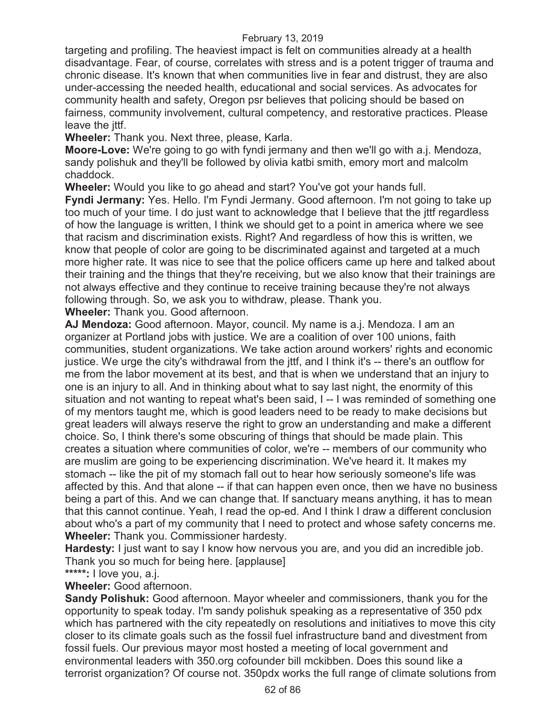targeting and profiling. The heaviest impact is felt on communities already at a health disadvantage. Fear, of course, correlates with stress and is a potent trigger of trauma and chronic disease. It's known that when communities live in fear and distrust, they are also under-accessing the needed health, educational and social services. As advocates for community health and safety, Oregon psr believes that policing should be based on fairness, community involvement, cultural competency, and restorative practices. Please leave the *ittf*.

**Wheeler:** Thank you. Next three, please, Karla.

**Moore-Love:** We're going to go with fyndi jermany and then we'll go with a.j. Mendoza, sandy polishuk and they'll be followed by olivia katbi smith, emory mort and malcolm chaddock.

**Wheeler:** Would you like to go ahead and start? You've got your hands full.

**Fyndi Jermany:** Yes. Hello. I'm Fyndi Jermany. Good afternoon. I'm not going to take up too much of your time. I do just want to acknowledge that I believe that the jttf regardless of how the language is written, I think we should get to a point in america where we see that racism and discrimination exists. Right? And regardless of how this is written, we know that people of color are going to be discriminated against and targeted at a much more higher rate. It was nice to see that the police officers came up here and talked about their training and the things that they're receiving, but we also know that their trainings are not always effective and they continue to receive training because they're not always following through. So, we ask you to withdraw, please. Thank you.

**Wheeler:** Thank you. Good afternoon.

**AJ Mendoza:** Good afternoon. Mayor, council. My name is a.j. Mendoza. I am an organizer at Portland jobs with justice. We are a coalition of over 100 unions, faith communities, student organizations. We take action around workers' rights and economic justice. We urge the city's withdrawal from the jttf, and I think it's -- there's an outflow for me from the labor movement at its best, and that is when we understand that an injury to one is an injury to all. And in thinking about what to say last night, the enormity of this situation and not wanting to repeat what's been said, I -- I was reminded of something one of my mentors taught me, which is good leaders need to be ready to make decisions but great leaders will always reserve the right to grow an understanding and make a different choice. So, I think there's some obscuring of things that should be made plain. This creates a situation where communities of color, we're -- members of our community who are muslim are going to be experiencing discrimination. We've heard it. It makes my stomach -- like the pit of my stomach fall out to hear how seriously someone's life was affected by this. And that alone -- if that can happen even once, then we have no business being a part of this. And we can change that. If sanctuary means anything, it has to mean that this cannot continue. Yeah, I read the op-ed. And I think I draw a different conclusion about who's a part of my community that I need to protect and whose safety concerns me. **Wheeler:** Thank you. Commissioner hardesty.

**Hardesty:** I just want to say I know how nervous you are, and you did an incredible job. Thank you so much for being here. [applause]

**\*\*\*\*\*:** I love you, a.j.

**Wheeler:** Good afternoon.

**Sandy Polishuk:** Good afternoon. Mayor wheeler and commissioners, thank you for the opportunity to speak today. I'm sandy polishuk speaking as a representative of 350 pdx which has partnered with the city repeatedly on resolutions and initiatives to move this city closer to its climate goals such as the fossil fuel infrastructure band and divestment from fossil fuels. Our previous mayor most hosted a meeting of local government and environmental leaders with 350.org cofounder bill mckibben. Does this sound like a terrorist organization? Of course not. 350pdx works the full range of climate solutions from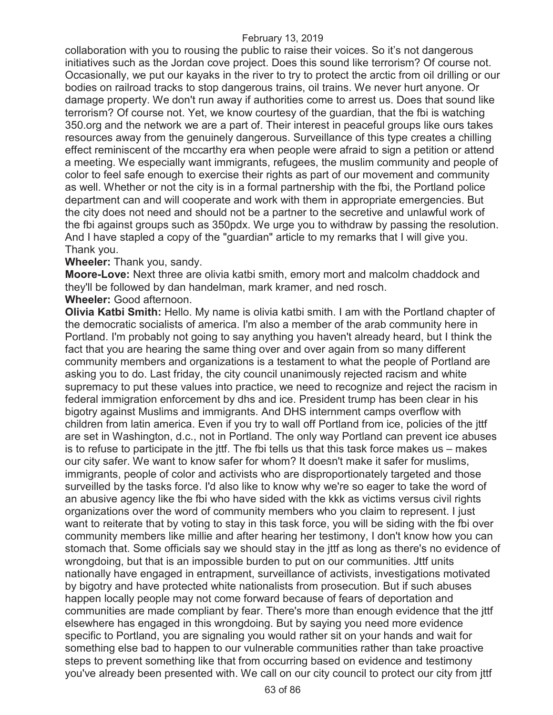collaboration with you to rousing the public to raise their voices. So it's not dangerous initiatives such as the Jordan cove project. Does this sound like terrorism? Of course not. Occasionally, we put our kayaks in the river to try to protect the arctic from oil drilling or our bodies on railroad tracks to stop dangerous trains, oil trains. We never hurt anyone. Or damage property. We don't run away if authorities come to arrest us. Does that sound like terrorism? Of course not. Yet, we know courtesy of the guardian, that the fbi is watching 350.org and the network we are a part of. Their interest in peaceful groups like ours takes resources away from the genuinely dangerous. Surveillance of this type creates a chilling effect reminiscent of the mccarthy era when people were afraid to sign a petition or attend a meeting. We especially want immigrants, refugees, the muslim community and people of color to feel safe enough to exercise their rights as part of our movement and community as well. Whether or not the city is in a formal partnership with the fbi, the Portland police department can and will cooperate and work with them in appropriate emergencies. But the city does not need and should not be a partner to the secretive and unlawful work of the fbi against groups such as 350pdx. We urge you to withdraw by passing the resolution. And I have stapled a copy of the "guardian" article to my remarks that I will give you. Thank you.

### **Wheeler:** Thank you, sandy.

**Moore-Love:** Next three are olivia katbi smith, emory mort and malcolm chaddock and they'll be followed by dan handelman, mark kramer, and ned rosch.

**Wheeler:** Good afternoon.

**Olivia Katbi Smith:** Hello. My name is olivia katbi smith. I am with the Portland chapter of the democratic socialists of america. I'm also a member of the arab community here in Portland. I'm probably not going to say anything you haven't already heard, but I think the fact that you are hearing the same thing over and over again from so many different community members and organizations is a testament to what the people of Portland are asking you to do. Last friday, the city council unanimously rejected racism and white supremacy to put these values into practice, we need to recognize and reject the racism in federal immigration enforcement by dhs and ice. President trump has been clear in his bigotry against Muslims and immigrants. And DHS internment camps overflow with children from latin america. Even if you try to wall off Portland from ice, policies of the jttf are set in Washington, d.c., not in Portland. The only way Portland can prevent ice abuses is to refuse to participate in the jttf. The fbi tells us that this task force makes us – makes our city safer. We want to know safer for whom? It doesn't make it safer for muslims, immigrants, people of color and activists who are disproportionately targeted and those surveilled by the tasks force. I'd also like to know why we're so eager to take the word of an abusive agency like the fbi who have sided with the kkk as victims versus civil rights organizations over the word of community members who you claim to represent. I just want to reiterate that by voting to stay in this task force, you will be siding with the fbi over community members like millie and after hearing her testimony, I don't know how you can stomach that. Some officials say we should stay in the jttf as long as there's no evidence of wrongdoing, but that is an impossible burden to put on our communities. Jttf units nationally have engaged in entrapment, surveillance of activists, investigations motivated by bigotry and have protected white nationalists from prosecution. But if such abuses happen locally people may not come forward because of fears of deportation and communities are made compliant by fear. There's more than enough evidence that the jttf elsewhere has engaged in this wrongdoing. But by saying you need more evidence specific to Portland, you are signaling you would rather sit on your hands and wait for something else bad to happen to our vulnerable communities rather than take proactive steps to prevent something like that from occurring based on evidence and testimony you've already been presented with. We call on our city council to protect our city from jttf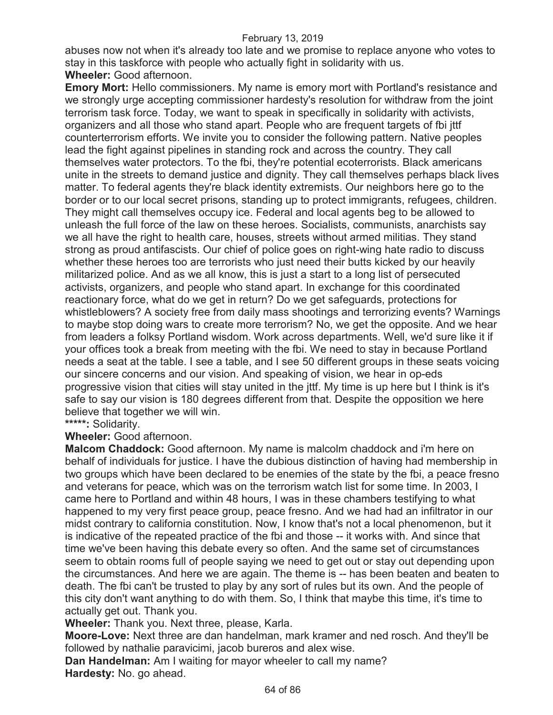abuses now not when it's already too late and we promise to replace anyone who votes to stay in this taskforce with people who actually fight in solidarity with us.

# **Wheeler:** Good afternoon.

**Emory Mort:** Hello commissioners. My name is emory mort with Portland's resistance and we strongly urge accepting commissioner hardesty's resolution for withdraw from the joint terrorism task force. Today, we want to speak in specifically in solidarity with activists, organizers and all those who stand apart. People who are frequent targets of fbi jttf counterterrorism efforts. We invite you to consider the following pattern. Native peoples lead the fight against pipelines in standing rock and across the country. They call themselves water protectors. To the fbi, they're potential ecoterrorists. Black americans unite in the streets to demand justice and dignity. They call themselves perhaps black lives matter. To federal agents they're black identity extremists. Our neighbors here go to the border or to our local secret prisons, standing up to protect immigrants, refugees, children. They might call themselves occupy ice. Federal and local agents beg to be allowed to unleash the full force of the law on these heroes. Socialists, communists, anarchists say we all have the right to health care, houses, streets without armed militias. They stand strong as proud antifascists. Our chief of police goes on right-wing hate radio to discuss whether these heroes too are terrorists who just need their butts kicked by our heavily militarized police. And as we all know, this is just a start to a long list of persecuted activists, organizers, and people who stand apart. In exchange for this coordinated reactionary force, what do we get in return? Do we get safeguards, protections for whistleblowers? A society free from daily mass shootings and terrorizing events? Warnings to maybe stop doing wars to create more terrorism? No, we get the opposite. And we hear from leaders a folksy Portland wisdom. Work across departments. Well, we'd sure like it if your offices took a break from meeting with the fbi. We need to stay in because Portland needs a seat at the table. I see a table, and I see 50 different groups in these seats voicing our sincere concerns and our vision. And speaking of vision, we hear in op-eds progressive vision that cities will stay united in the jttf. My time is up here but I think is it's safe to say our vision is 180 degrees different from that. Despite the opposition we here believe that together we will win.

**\*\*\*\*\*:** Solidarity.

**Wheeler:** Good afternoon.

**Malcom Chaddock:** Good afternoon. My name is malcolm chaddock and i'm here on behalf of individuals for justice. I have the dubious distinction of having had membership in two groups which have been declared to be enemies of the state by the fbi, a peace fresno and veterans for peace, which was on the terrorism watch list for some time. In 2003, I came here to Portland and within 48 hours, I was in these chambers testifying to what happened to my very first peace group, peace fresno. And we had had an infiltrator in our midst contrary to california constitution. Now, I know that's not a local phenomenon, but it is indicative of the repeated practice of the fbi and those -- it works with. And since that time we've been having this debate every so often. And the same set of circumstances seem to obtain rooms full of people saying we need to get out or stay out depending upon the circumstances. And here we are again. The theme is -- has been beaten and beaten to death. The fbi can't be trusted to play by any sort of rules but its own. And the people of this city don't want anything to do with them. So, I think that maybe this time, it's time to actually get out. Thank you.

**Wheeler:** Thank you. Next three, please, Karla.

**Moore-Love:** Next three are dan handelman, mark kramer and ned rosch. And they'll be followed by nathalie paravicimi, jacob bureros and alex wise.

**Dan Handelman:** Am I waiting for mayor wheeler to call my name? **Hardesty:** No. go ahead.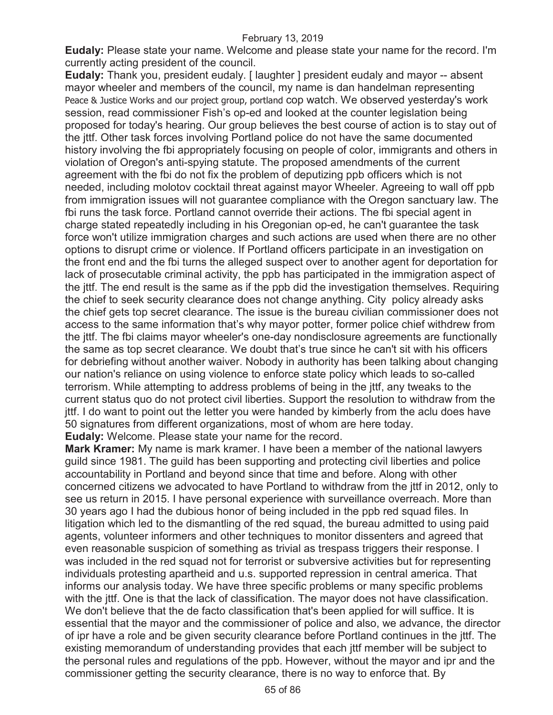**Eudaly:** Please state your name. Welcome and please state your name for the record. I'm currently acting president of the council.

**Eudaly:** Thank you, president eudaly. [ laughter ] president eudaly and mayor -- absent mayor wheeler and members of the council, my name is dan handelman representing Peace & Justice Works and our project group, portland cop watch. We observed yesterday's work session, read commissioner Fish's op-ed and looked at the counter legislation being proposed for today's hearing. Our group believes the best course of action is to stay out of the jttf. Other task forces involving Portland police do not have the same documented history involving the fbi appropriately focusing on people of color, immigrants and others in violation of Oregon's anti-spying statute. The proposed amendments of the current agreement with the fbi do not fix the problem of deputizing ppb officers which is not needed, including molotov cocktail threat against mayor Wheeler. Agreeing to wall off ppb from immigration issues will not guarantee compliance with the Oregon sanctuary law. The fbi runs the task force. Portland cannot override their actions. The fbi special agent in charge stated repeatedly including in his Oregonian op-ed, he can't guarantee the task force won't utilize immigration charges and such actions are used when there are no other options to disrupt crime or violence. If Portland officers participate in an investigation on the front end and the fbi turns the alleged suspect over to another agent for deportation for lack of prosecutable criminal activity, the ppb has participated in the immigration aspect of the jttf. The end result is the same as if the ppb did the investigation themselves. Requiring the chief to seek security clearance does not change anything. City policy already asks the chief gets top secret clearance. The issue is the bureau civilian commissioner does not access to the same information that's why mayor potter, former police chief withdrew from the jttf. The fbi claims mayor wheeler's one-day nondisclosure agreements are functionally the same as top secret clearance. We doubt that's true since he can't sit with his officers for debriefing without another waiver. Nobody in authority has been talking about changing our nation's reliance on using violence to enforce state policy which leads to so-called terrorism. While attempting to address problems of being in the jttf, any tweaks to the current status quo do not protect civil liberties. Support the resolution to withdraw from the jttf. I do want to point out the letter you were handed by kimberly from the aclu does have 50 signatures from different organizations, most of whom are here today. **Eudaly:** Welcome. Please state your name for the record.

**Mark Kramer:** My name is mark kramer. I have been a member of the national lawyers guild since 1981. The guild has been supporting and protecting civil liberties and police accountability in Portland and beyond since that time and before. Along with other concerned citizens we advocated to have Portland to withdraw from the jttf in 2012, only to see us return in 2015. I have personal experience with surveillance overreach. More than 30 years ago I had the dubious honor of being included in the ppb red squad files. In litigation which led to the dismantling of the red squad, the bureau admitted to using paid agents, volunteer informers and other techniques to monitor dissenters and agreed that even reasonable suspicion of something as trivial as trespass triggers their response. I was included in the red squad not for terrorist or subversive activities but for representing individuals protesting apartheid and u.s. supported repression in central america. That informs our analysis today. We have three specific problems or many specific problems with the jttf. One is that the lack of classification. The mayor does not have classification. We don't believe that the de facto classification that's been applied for will suffice. It is essential that the mayor and the commissioner of police and also, we advance, the director of ipr have a role and be given security clearance before Portland continues in the jttf. The existing memorandum of understanding provides that each jttf member will be subject to the personal rules and regulations of the ppb. However, without the mayor and ipr and the commissioner getting the security clearance, there is no way to enforce that. By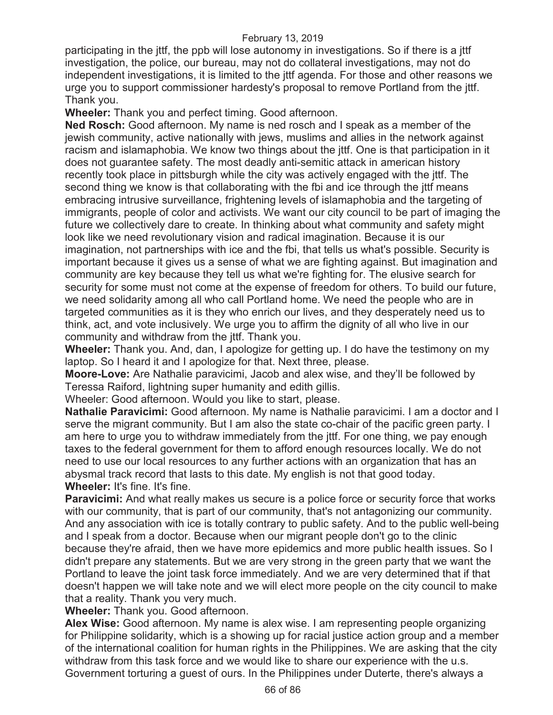participating in the jttf, the ppb will lose autonomy in investigations. So if there is a jttf investigation, the police, our bureau, may not do collateral investigations, may not do independent investigations, it is limited to the jttf agenda. For those and other reasons we urge you to support commissioner hardesty's proposal to remove Portland from the jttf. Thank you.

**Wheeler:** Thank you and perfect timing. Good afternoon.

**Ned Rosch:** Good afternoon. My name is ned rosch and I speak as a member of the jewish community, active nationally with jews, muslims and allies in the network against racism and islamaphobia. We know two things about the jttf. One is that participation in it does not guarantee safety. The most deadly anti-semitic attack in american history recently took place in pittsburgh while the city was actively engaged with the jttf. The second thing we know is that collaborating with the fbi and ice through the jttf means embracing intrusive surveillance, frightening levels of islamaphobia and the targeting of immigrants, people of color and activists. We want our city council to be part of imaging the future we collectively dare to create. In thinking about what community and safety might look like we need revolutionary vision and radical imagination. Because it is our imagination, not partnerships with ice and the fbi, that tells us what's possible. Security is important because it gives us a sense of what we are fighting against. But imagination and community are key because they tell us what we're fighting for. The elusive search for security for some must not come at the expense of freedom for others. To build our future, we need solidarity among all who call Portland home. We need the people who are in targeted communities as it is they who enrich our lives, and they desperately need us to think, act, and vote inclusively. We urge you to affirm the dignity of all who live in our community and withdraw from the jttf. Thank you.

**Wheeler:** Thank you. And, dan, I apologize for getting up. I do have the testimony on my laptop. So I heard it and I apologize for that. Next three, please.

**Moore-Love:** Are Nathalie paravicimi, Jacob and alex wise, and they'll be followed by Teressa Raiford, lightning super humanity and edith gillis.

Wheeler: Good afternoon. Would you like to start, please.

**Nathalie Paravicimi:** Good afternoon. My name is Nathalie paravicimi. I am a doctor and I serve the migrant community. But I am also the state co-chair of the pacific green party. I am here to urge you to withdraw immediately from the jttf. For one thing, we pay enough taxes to the federal government for them to afford enough resources locally. We do not need to use our local resources to any further actions with an organization that has an abysmal track record that lasts to this date. My english is not that good today. **Wheeler:** It's fine. It's fine.

**Paravicimi:** And what really makes us secure is a police force or security force that works with our community, that is part of our community, that's not antagonizing our community. And any association with ice is totally contrary to public safety. And to the public well-being and I speak from a doctor. Because when our migrant people don't go to the clinic because they're afraid, then we have more epidemics and more public health issues. So I didn't prepare any statements. But we are very strong in the green party that we want the Portland to leave the joint task force immediately. And we are very determined that if that doesn't happen we will take note and we will elect more people on the city council to make that a reality. Thank you very much.

**Wheeler:** Thank you. Good afternoon.

**Alex Wise:** Good afternoon. My name is alex wise. I am representing people organizing for Philippine solidarity, which is a showing up for racial justice action group and a member of the international coalition for human rights in the Philippines. We are asking that the city withdraw from this task force and we would like to share our experience with the u.s. Government torturing a guest of ours. In the Philippines under Duterte, there's always a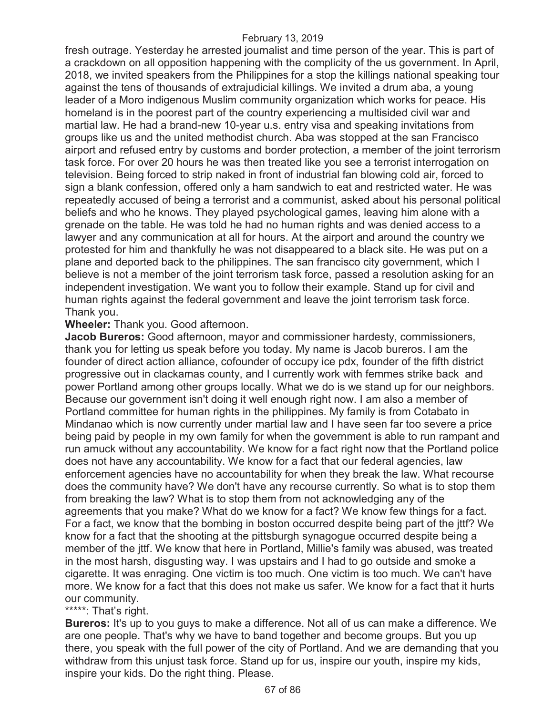fresh outrage. Yesterday he arrested journalist and time person of the year. This is part of a crackdown on all opposition happening with the complicity of the us government. In April, 2018, we invited speakers from the Philippines for a stop the killings national speaking tour against the tens of thousands of extrajudicial killings. We invited a drum aba, a young leader of a Moro indigenous Muslim community organization which works for peace. His homeland is in the poorest part of the country experiencing a multisided civil war and martial law. He had a brand-new 10-year u.s. entry visa and speaking invitations from groups like us and the united methodist church. Aba was stopped at the san Francisco airport and refused entry by customs and border protection, a member of the joint terrorism task force. For over 20 hours he was then treated like you see a terrorist interrogation on television. Being forced to strip naked in front of industrial fan blowing cold air, forced to sign a blank confession, offered only a ham sandwich to eat and restricted water. He was repeatedly accused of being a terrorist and a communist, asked about his personal political beliefs and who he knows. They played psychological games, leaving him alone with a grenade on the table. He was told he had no human rights and was denied access to a lawyer and any communication at all for hours. At the airport and around the country we protested for him and thankfully he was not disappeared to a black site. He was put on a plane and deported back to the philippines. The san francisco city government, which I believe is not a member of the joint terrorism task force, passed a resolution asking for an independent investigation. We want you to follow their example. Stand up for civil and human rights against the federal government and leave the joint terrorism task force. Thank you.

## **Wheeler:** Thank you. Good afternoon.

**Jacob Bureros:** Good afternoon, mayor and commissioner hardesty, commissioners, thank you for letting us speak before you today. My name is Jacob bureros. I am the founder of direct action alliance, cofounder of occupy ice pdx, founder of the fifth district progressive out in clackamas county, and I currently work with femmes strike back and power Portland among other groups locally. What we do is we stand up for our neighbors. Because our government isn't doing it well enough right now. I am also a member of Portland committee for human rights in the philippines. My family is from Cotabato in Mindanao which is now currently under martial law and I have seen far too severe a price being paid by people in my own family for when the government is able to run rampant and run amuck without any accountability. We know for a fact right now that the Portland police does not have any accountability. We know for a fact that our federal agencies, law enforcement agencies have no accountability for when they break the law. What recourse does the community have? We don't have any recourse currently. So what is to stop them from breaking the law? What is to stop them from not acknowledging any of the agreements that you make? What do we know for a fact? We know few things for a fact. For a fact, we know that the bombing in boston occurred despite being part of the jttf? We know for a fact that the shooting at the pittsburgh synagogue occurred despite being a member of the jttf. We know that here in Portland, Millie's family was abused, was treated in the most harsh, disgusting way. I was upstairs and I had to go outside and smoke a cigarette. It was enraging. One victim is too much. One victim is too much. We can't have more. We know for a fact that this does not make us safer. We know for a fact that it hurts our community.

## \*\*\*\*\*: That's right.

**Bureros:** It's up to you guys to make a difference. Not all of us can make a difference. We are one people. That's why we have to band together and become groups. But you up there, you speak with the full power of the city of Portland. And we are demanding that you withdraw from this unjust task force. Stand up for us, inspire our youth, inspire my kids, inspire your kids. Do the right thing. Please.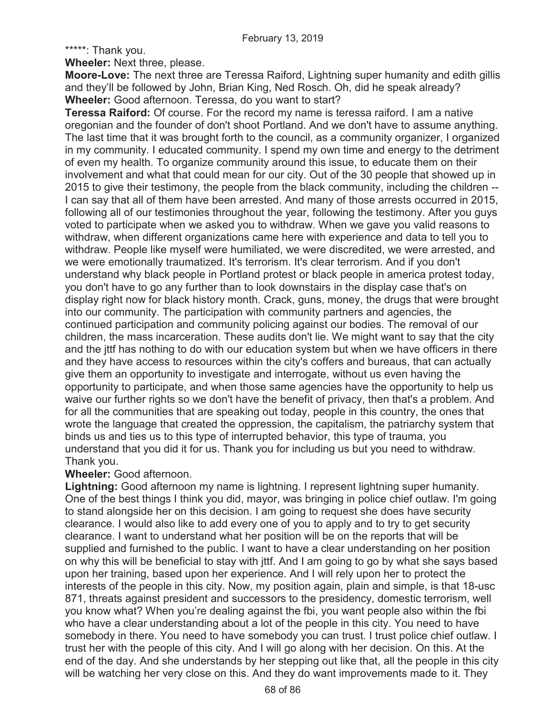\*\*\*\*\*: Thank you.

**Wheeler:** Next three, please.

**Moore-Love:** The next three are Teressa Raiford, Lightning super humanity and edith gillis and they'll be followed by John, Brian King, Ned Rosch. Oh, did he speak already? **Wheeler:** Good afternoon. Teressa, do you want to start?

**Teressa Raiford:** Of course. For the record my name is teressa raiford. I am a native oregonian and the founder of don't shoot Portland. And we don't have to assume anything. The last time that it was brought forth to the council, as a community organizer, I organized in my community. I educated community. I spend my own time and energy to the detriment of even my health. To organize community around this issue, to educate them on their involvement and what that could mean for our city. Out of the 30 people that showed up in 2015 to give their testimony, the people from the black community, including the children -- I can say that all of them have been arrested. And many of those arrests occurred in 2015, following all of our testimonies throughout the year, following the testimony. After you guys voted to participate when we asked you to withdraw. When we gave you valid reasons to withdraw, when different organizations came here with experience and data to tell you to withdraw. People like myself were humiliated, we were discredited, we were arrested, and we were emotionally traumatized. It's terrorism. It's clear terrorism. And if you don't understand why black people in Portland protest or black people in america protest today, you don't have to go any further than to look downstairs in the display case that's on display right now for black history month. Crack, guns, money, the drugs that were brought into our community. The participation with community partners and agencies, the continued participation and community policing against our bodies. The removal of our children, the mass incarceration. These audits don't lie. We might want to say that the city and the jttf has nothing to do with our education system but when we have officers in there and they have access to resources within the city's coffers and bureaus, that can actually give them an opportunity to investigate and interrogate, without us even having the opportunity to participate, and when those same agencies have the opportunity to help us waive our further rights so we don't have the benefit of privacy, then that's a problem. And for all the communities that are speaking out today, people in this country, the ones that wrote the language that created the oppression, the capitalism, the patriarchy system that binds us and ties us to this type of interrupted behavior, this type of trauma, you understand that you did it for us. Thank you for including us but you need to withdraw. Thank you.

# **Wheeler:** Good afternoon.

**Lightning:** Good afternoon my name is lightning. I represent lightning super humanity. One of the best things I think you did, mayor, was bringing in police chief outlaw. I'm going to stand alongside her on this decision. I am going to request she does have security clearance. I would also like to add every one of you to apply and to try to get security clearance. I want to understand what her position will be on the reports that will be supplied and furnished to the public. I want to have a clear understanding on her position on why this will be beneficial to stay with jttf. And I am going to go by what she says based upon her training, based upon her experience. And I will rely upon her to protect the interests of the people in this city. Now, my position again, plain and simple, is that 18-usc 871, threats against president and successors to the presidency, domestic terrorism, well you know what? When you're dealing against the fbi, you want people also within the fbi who have a clear understanding about a lot of the people in this city. You need to have somebody in there. You need to have somebody you can trust. I trust police chief outlaw. I trust her with the people of this city. And I will go along with her decision. On this. At the end of the day. And she understands by her stepping out like that, all the people in this city will be watching her very close on this. And they do want improvements made to it. They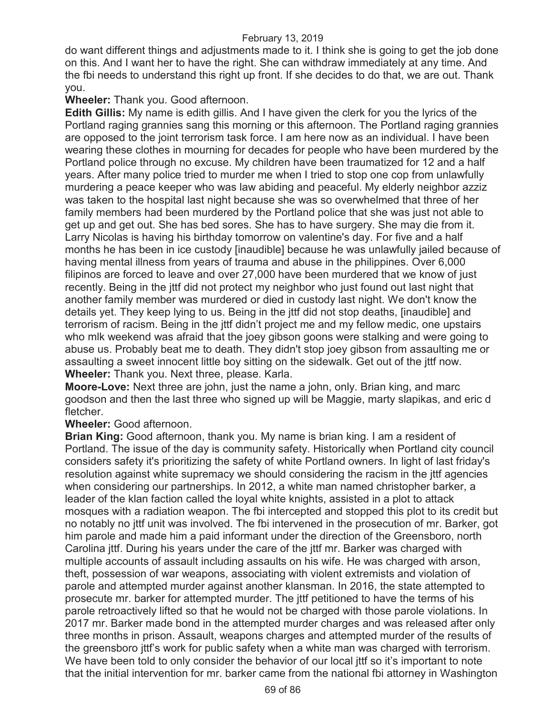do want different things and adjustments made to it. I think she is going to get the job done on this. And I want her to have the right. She can withdraw immediately at any time. And the fbi needs to understand this right up front. If she decides to do that, we are out. Thank you.

# **Wheeler:** Thank you. Good afternoon.

**Edith Gillis:** My name is edith gillis. And I have given the clerk for you the lyrics of the Portland raging grannies sang this morning or this afternoon. The Portland raging grannies are opposed to the joint terrorism task force. I am here now as an individual. I have been wearing these clothes in mourning for decades for people who have been murdered by the Portland police through no excuse. My children have been traumatized for 12 and a half years. After many police tried to murder me when I tried to stop one cop from unlawfully murdering a peace keeper who was law abiding and peaceful. My elderly neighbor azziz was taken to the hospital last night because she was so overwhelmed that three of her family members had been murdered by the Portland police that she was just not able to get up and get out. She has bed sores. She has to have surgery. She may die from it. Larry Nicolas is having his birthday tomorrow on valentine's day. For five and a half months he has been in ice custody [inaudible] because he was unlawfully jailed because of having mental illness from years of trauma and abuse in the philippines. Over 6,000 filipinos are forced to leave and over 27,000 have been murdered that we know of just recently. Being in the jttf did not protect my neighbor who just found out last night that another family member was murdered or died in custody last night. We don't know the details yet. They keep lying to us. Being in the jttf did not stop deaths, [inaudible] and terrorism of racism. Being in the jttf didn't project me and my fellow medic, one upstairs who mlk weekend was afraid that the joey gibson goons were stalking and were going to abuse us. Probably beat me to death. They didn't stop joey gibson from assaulting me or assaulting a sweet innocent little boy sitting on the sidewalk. Get out of the jttf now. **Wheeler:** Thank you. Next three, please. Karla.

**Moore-Love:** Next three are john, just the name a john, only. Brian king, and marc goodson and then the last three who signed up will be Maggie, marty slapikas, and eric d fletcher.

**Wheeler:** Good afternoon.

**Brian King:** Good afternoon, thank you. My name is brian king. I am a resident of Portland. The issue of the day is community safety. Historically when Portland city council considers safety it's prioritizing the safety of white Portland owners. In light of last friday's resolution against white supremacy we should considering the racism in the jttf agencies when considering our partnerships. In 2012, a white man named christopher barker, a leader of the klan faction called the loyal white knights, assisted in a plot to attack mosques with a radiation weapon. The fbi intercepted and stopped this plot to its credit but no notably no jttf unit was involved. The fbi intervened in the prosecution of mr. Barker, got him parole and made him a paid informant under the direction of the Greensboro, north Carolina jttf. During his years under the care of the jttf mr. Barker was charged with multiple accounts of assault including assaults on his wife. He was charged with arson, theft, possession of war weapons, associating with violent extremists and violation of parole and attempted murder against another klansman. In 2016, the state attempted to prosecute mr. barker for attempted murder. The jttf petitioned to have the terms of his parole retroactively lifted so that he would not be charged with those parole violations. In 2017 mr. Barker made bond in the attempted murder charges and was released after only three months in prison. Assault, weapons charges and attempted murder of the results of the greensboro jttf's work for public safety when a white man was charged with terrorism. We have been told to only consider the behavior of our local ittf so it's important to note that the initial intervention for mr. barker came from the national fbi attorney in Washington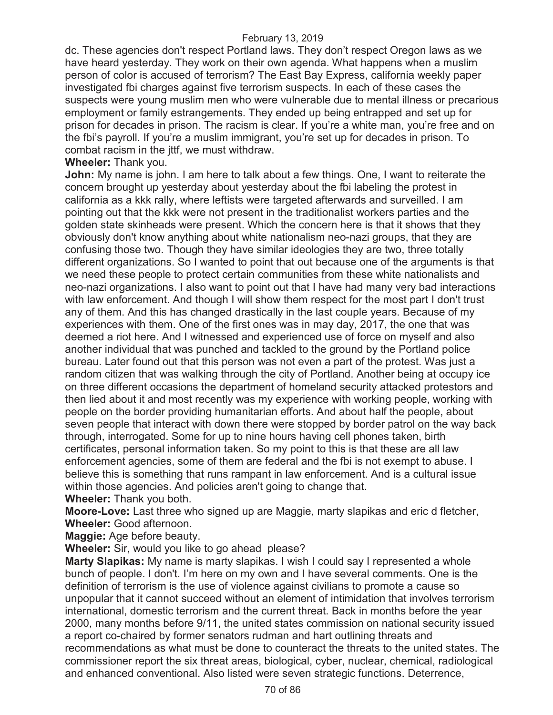dc. These agencies don't respect Portland laws. They don't respect Oregon laws as we have heard yesterday. They work on their own agenda. What happens when a muslim person of color is accused of terrorism? The East Bay Express, california weekly paper investigated fbi charges against five terrorism suspects. In each of these cases the suspects were young muslim men who were vulnerable due to mental illness or precarious employment or family estrangements. They ended up being entrapped and set up for prison for decades in prison. The racism is clear. If you're a white man, you're free and on the fbi's payroll. If you're a muslim immigrant, you're set up for decades in prison. To combat racism in the jttf, we must withdraw.

**Wheeler:** Thank you.

**John:** My name is john. I am here to talk about a few things. One, I want to reiterate the concern brought up yesterday about yesterday about the fbi labeling the protest in california as a kkk rally, where leftists were targeted afterwards and surveilled. I am pointing out that the kkk were not present in the traditionalist workers parties and the golden state skinheads were present. Which the concern here is that it shows that they obviously don't know anything about white nationalism neo-nazi groups, that they are confusing those two. Though they have similar ideologies they are two, three totally different organizations. So I wanted to point that out because one of the arguments is that we need these people to protect certain communities from these white nationalists and neo-nazi organizations. I also want to point out that I have had many very bad interactions with law enforcement. And though I will show them respect for the most part I don't trust any of them. And this has changed drastically in the last couple years. Because of my experiences with them. One of the first ones was in may day, 2017, the one that was deemed a riot here. And I witnessed and experienced use of force on myself and also another individual that was punched and tackled to the ground by the Portland police bureau. Later found out that this person was not even a part of the protest. Was just a random citizen that was walking through the city of Portland. Another being at occupy ice on three different occasions the department of homeland security attacked protestors and then lied about it and most recently was my experience with working people, working with people on the border providing humanitarian efforts. And about half the people, about seven people that interact with down there were stopped by border patrol on the way back through, interrogated. Some for up to nine hours having cell phones taken, birth certificates, personal information taken. So my point to this is that these are all law enforcement agencies, some of them are federal and the fbi is not exempt to abuse. I believe this is something that runs rampant in law enforcement. And is a cultural issue within those agencies. And policies aren't going to change that.

**Wheeler:** Thank you both.

**Moore-Love:** Last three who signed up are Maggie, marty slapikas and eric d fletcher, **Wheeler:** Good afternoon.

**Maggie:** Age before beauty.

**Wheeler:** Sir, would you like to go ahead please?

**Marty Slapikas:** My name is marty slapikas. I wish I could say I represented a whole bunch of people. I don't. I'm here on my own and I have several comments. One is the definition of terrorism is the use of violence against civilians to promote a cause so unpopular that it cannot succeed without an element of intimidation that involves terrorism international, domestic terrorism and the current threat. Back in months before the year 2000, many months before 9/11, the united states commission on national security issued a report co-chaired by former senators rudman and hart outlining threats and recommendations as what must be done to counteract the threats to the united states. The commissioner report the six threat areas, biological, cyber, nuclear, chemical, radiological and enhanced conventional. Also listed were seven strategic functions. Deterrence,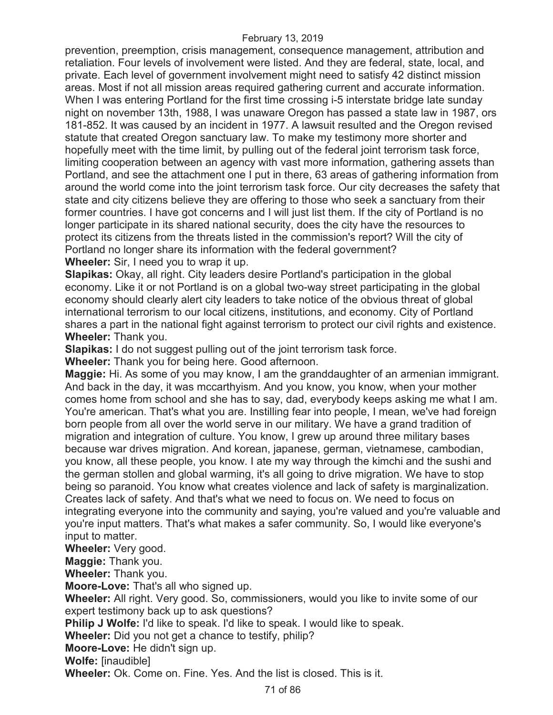prevention, preemption, crisis management, consequence management, attribution and retaliation. Four levels of involvement were listed. And they are federal, state, local, and private. Each level of government involvement might need to satisfy 42 distinct mission areas. Most if not all mission areas required gathering current and accurate information. When I was entering Portland for the first time crossing i-5 interstate bridge late sunday night on november 13th, 1988, I was unaware Oregon has passed a state law in 1987, ors 181-852. It was caused by an incident in 1977. A lawsuit resulted and the Oregon revised statute that created Oregon sanctuary law. To make my testimony more shorter and hopefully meet with the time limit, by pulling out of the federal joint terrorism task force, limiting cooperation between an agency with vast more information, gathering assets than Portland, and see the attachment one I put in there, 63 areas of gathering information from around the world come into the joint terrorism task force. Our city decreases the safety that state and city citizens believe they are offering to those who seek a sanctuary from their former countries. I have got concerns and I will just list them. If the city of Portland is no longer participate in its shared national security, does the city have the resources to protect its citizens from the threats listed in the commission's report? Will the city of Portland no longer share its information with the federal government?

**Wheeler:** Sir, I need you to wrap it up.

**Slapikas:** Okay, all right. City leaders desire Portland's participation in the global economy. Like it or not Portland is on a global two-way street participating in the global economy should clearly alert city leaders to take notice of the obvious threat of global international terrorism to our local citizens, institutions, and economy. City of Portland shares a part in the national fight against terrorism to protect our civil rights and existence. **Wheeler:** Thank you.

**Slapikas:** I do not suggest pulling out of the joint terrorism task force.

**Wheeler:** Thank you for being here. Good afternoon.

**Maggie:** Hi. As some of you may know, I am the granddaughter of an armenian immigrant. And back in the day, it was mccarthyism. And you know, you know, when your mother comes home from school and she has to say, dad, everybody keeps asking me what I am. You're american. That's what you are. Instilling fear into people, I mean, we've had foreign born people from all over the world serve in our military. We have a grand tradition of migration and integration of culture. You know, I grew up around three military bases because war drives migration. And korean, japanese, german, vietnamese, cambodian, you know, all these people, you know. I ate my way through the kimchi and the sushi and the german stollen and global warming, it's all going to drive migration. We have to stop being so paranoid. You know what creates violence and lack of safety is marginalization. Creates lack of safety. And that's what we need to focus on. We need to focus on integrating everyone into the community and saying, you're valued and you're valuable and you're input matters. That's what makes a safer community. So, I would like everyone's input to matter.

**Wheeler:** Very good.

**Maggie:** Thank you.

**Wheeler:** Thank you.

**Moore-Love:** That's all who signed up.

**Wheeler:** All right. Very good. So, commissioners, would you like to invite some of our expert testimony back up to ask questions?

**Philip J Wolfe:** I'd like to speak. I'd like to speak. I would like to speak.

**Wheeler:** Did you not get a chance to testify, philip?

**Moore-Love:** He didn't sign up.

**Wolfe:** [inaudible]

**Wheeler:** Ok. Come on. Fine. Yes. And the list is closed. This is it.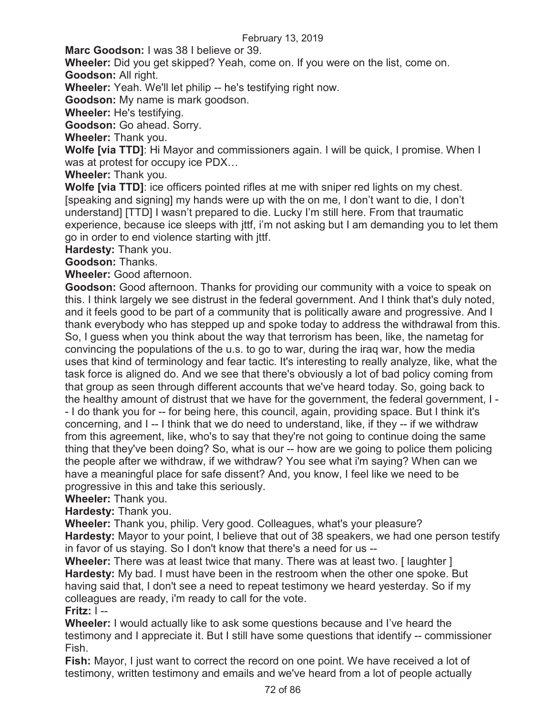**Marc Goodson:** I was 38 I believe or 39.

**Wheeler:** Did you get skipped? Yeah, come on. If you were on the list, come on. **Goodson:** All right.

**Wheeler:** Yeah. We'll let philip -- he's testifying right now.

**Goodson:** My name is mark goodson.

**Wheeler:** He's testifying.

**Goodson:** Go ahead. Sorry.

**Wheeler:** Thank you.

**Wolfe [via TTD]**: Hi Mayor and commissioners again. I will be quick, I promise. When I was at protest for occupy ice PDX…

**Wheeler:** Thank you.

**Wolfe [via TTD]**: ice officers pointed rifles at me with sniper red lights on my chest. [speaking and signing] my hands were up with the on me, I don't want to die, I don't understand] [TTD] I wasn't prepared to die. Lucky I'm still here. From that traumatic experience, because ice sleeps with jttf, i'm not asking but I am demanding you to let them go in order to end violence starting with jttf.

**Hardesty:** Thank you.

**Goodson:** Thanks.

**Wheeler:** Good afternoon.

**Goodson:** Good afternoon. Thanks for providing our community with a voice to speak on this. I think largely we see distrust in the federal government. And I think that's duly noted, and it feels good to be part of a community that is politically aware and progressive. And I thank everybody who has stepped up and spoke today to address the withdrawal from this. So, I guess when you think about the way that terrorism has been, like, the nametag for convincing the populations of the u.s. to go to war, during the iraq war, how the media uses that kind of terminology and fear tactic. It's interesting to really analyze, like, what the task force is aligned do. And we see that there's obviously a lot of bad policy coming from that group as seen through different accounts that we've heard today. So, going back to the healthy amount of distrust that we have for the government, the federal government, I - - I do thank you for -- for being here, this council, again, providing space. But I think it's concerning, and I -- I think that we do need to understand, like, if they -- if we withdraw from this agreement, like, who's to say that they're not going to continue doing the same thing that they've been doing? So, what is our -- how are we going to police them policing the people after we withdraw, if we withdraw? You see what i'm saying? When can we have a meaningful place for safe dissent? And, you know, I feel like we need to be progressive in this and take this seriously.

**Wheeler:** Thank you.

**Hardesty:** Thank you.

**Wheeler:** Thank you, philip. Very good. Colleagues, what's your pleasure? **Hardesty:** Mayor to your point, I believe that out of 38 speakers, we had one person testify in favor of us staying. So I don't know that there's a need for us --

**Wheeler:** There was at least twice that many. There was at least two. [ laughter ] **Hardesty:** My bad. I must have been in the restroom when the other one spoke. But having said that, I don't see a need to repeat testimony we heard yesterday. So if my colleagues are ready, i'm ready to call for the vote.

# **Fritz:** I --

**Wheeler:** I would actually like to ask some questions because and I've heard the testimony and I appreciate it. But I still have some questions that identify -- commissioner Fish.

**Fish:** Mayor, I just want to correct the record on one point. We have received a lot of testimony, written testimony and emails and we've heard from a lot of people actually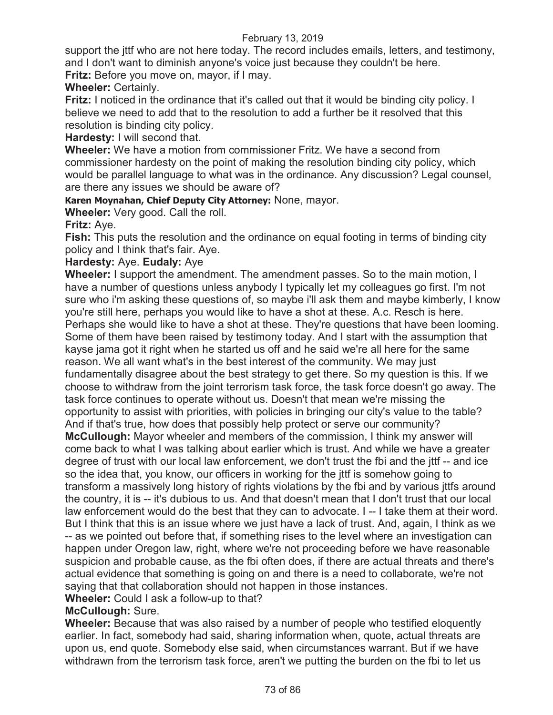support the jttf who are not here today. The record includes emails, letters, and testimony, and I don't want to diminish anyone's voice just because they couldn't be here.

**Fritz:** Before you move on, mayor, if I may.

## **Wheeler:** Certainly.

**Fritz:** I noticed in the ordinance that it's called out that it would be binding city policy. I believe we need to add that to the resolution to add a further be it resolved that this resolution is binding city policy.

**Hardesty:** I will second that.

**Wheeler:** We have a motion from commissioner Fritz. We have a second from commissioner hardesty on the point of making the resolution binding city policy, which would be parallel language to what was in the ordinance. Any discussion? Legal counsel, are there any issues we should be aware of?

**Karen Moynahan, Chief Deputy City Attorney:** None, mayor.

**Wheeler:** Very good. Call the roll.

**Fritz:** Aye.

**Fish:** This puts the resolution and the ordinance on equal footing in terms of binding city policy and I think that's fair. Aye.

## **Hardesty:** Aye. **Eudaly:** Aye

**Wheeler:** I support the amendment. The amendment passes. So to the main motion, I have a number of questions unless anybody I typically let my colleagues go first. I'm not sure who i'm asking these questions of, so maybe i'll ask them and maybe kimberly, I know you're still here, perhaps you would like to have a shot at these. A.c. Resch is here. Perhaps she would like to have a shot at these. They're questions that have been looming. Some of them have been raised by testimony today. And I start with the assumption that kayse jama got it right when he started us off and he said we're all here for the same reason. We all want what's in the best interest of the community. We may just fundamentally disagree about the best strategy to get there. So my question is this. If we choose to withdraw from the joint terrorism task force, the task force doesn't go away. The task force continues to operate without us. Doesn't that mean we're missing the opportunity to assist with priorities, with policies in bringing our city's value to the table? And if that's true, how does that possibly help protect or serve our community? **McCullough:** Mayor wheeler and members of the commission, I think my answer will

come back to what I was talking about earlier which is trust. And while we have a greater degree of trust with our local law enforcement, we don't trust the fbi and the jttf -- and ice so the idea that, you know, our officers in working for the jttf is somehow going to transform a massively long history of rights violations by the fbi and by various jttfs around the country, it is -- it's dubious to us. And that doesn't mean that I don't trust that our local law enforcement would do the best that they can to advocate. I -- I take them at their word. But I think that this is an issue where we just have a lack of trust. And, again, I think as we -- as we pointed out before that, if something rises to the level where an investigation can happen under Oregon law, right, where we're not proceeding before we have reasonable suspicion and probable cause, as the fbi often does, if there are actual threats and there's actual evidence that something is going on and there is a need to collaborate, we're not saying that that collaboration should not happen in those instances.

**Wheeler:** Could I ask a follow-up to that?

# **McCullough:** Sure.

**Wheeler:** Because that was also raised by a number of people who testified eloquently earlier. In fact, somebody had said, sharing information when, quote, actual threats are upon us, end quote. Somebody else said, when circumstances warrant. But if we have withdrawn from the terrorism task force, aren't we putting the burden on the fbi to let us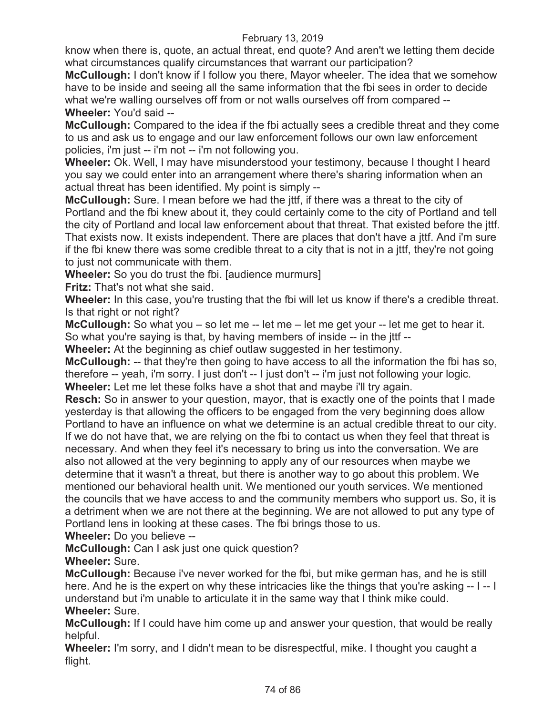know when there is, quote, an actual threat, end quote? And aren't we letting them decide what circumstances qualify circumstances that warrant our participation?

**McCullough:** I don't know if I follow you there, Mayor wheeler. The idea that we somehow have to be inside and seeing all the same information that the fbi sees in order to decide what we're walling ourselves off from or not walls ourselves off from compared -- **Wheeler:** You'd said --

**McCullough:** Compared to the idea if the fbi actually sees a credible threat and they come to us and ask us to engage and our law enforcement follows our own law enforcement policies, i'm just -- i'm not -- i'm not following you.

**Wheeler:** Ok. Well, I may have misunderstood your testimony, because I thought I heard you say we could enter into an arrangement where there's sharing information when an actual threat has been identified. My point is simply --

**McCullough:** Sure. I mean before we had the jttf, if there was a threat to the city of Portland and the fbi knew about it, they could certainly come to the city of Portland and tell the city of Portland and local law enforcement about that threat. That existed before the jttf. That exists now. It exists independent. There are places that don't have a jttf. And i'm sure if the fbi knew there was some credible threat to a city that is not in a jttf, they're not going to just not communicate with them.

**Wheeler:** So you do trust the fbi. [audience murmurs]

**Fritz:** That's not what she said.

**Wheeler:** In this case, you're trusting that the fbi will let us know if there's a credible threat. Is that right or not right?

**McCullough:** So what you – so let me -- let me – let me get your -- let me get to hear it. So what you're saying is that, by having members of inside -- in the jttf --

**Wheeler:** At the beginning as chief outlaw suggested in her testimony.

**McCullough:** -- that they're then going to have access to all the information the fbi has so, therefore -- yeah, i'm sorry. I just don't -- I just don't -- i'm just not following your logic. **Wheeler:** Let me let these folks have a shot that and maybe i'll try again.

**Resch:** So in answer to your question, mayor, that is exactly one of the points that I made yesterday is that allowing the officers to be engaged from the very beginning does allow Portland to have an influence on what we determine is an actual credible threat to our city. If we do not have that, we are relying on the fbi to contact us when they feel that threat is necessary. And when they feel it's necessary to bring us into the conversation. We are also not allowed at the very beginning to apply any of our resources when maybe we determine that it wasn't a threat, but there is another way to go about this problem. We mentioned our behavioral health unit. We mentioned our youth services. We mentioned the councils that we have access to and the community members who support us. So, it is a detriment when we are not there at the beginning. We are not allowed to put any type of Portland lens in looking at these cases. The fbi brings those to us.

**Wheeler:** Do you believe --

**McCullough:** Can I ask just one quick question?

**Wheeler:** Sure.

**McCullough:** Because i've never worked for the fbi, but mike german has, and he is still here. And he is the expert on why these intricacies like the things that you're asking -- I -- I understand but i'm unable to articulate it in the same way that I think mike could. **Wheeler:** Sure.

**McCullough:** If I could have him come up and answer your question, that would be really helpful.

**Wheeler:** I'm sorry, and I didn't mean to be disrespectful, mike. I thought you caught a flight.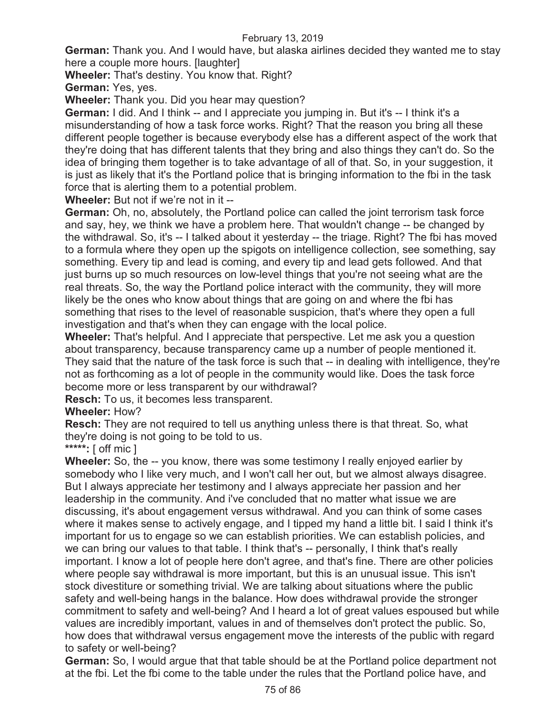**German:** Thank you. And I would have, but alaska airlines decided they wanted me to stay here a couple more hours. [laughter]

**Wheeler:** That's destiny. You know that. Right?

**German:** Yes, yes.

**Wheeler:** Thank you. Did you hear may question?

**German:** I did. And I think -- and I appreciate you jumping in. But it's -- I think it's a misunderstanding of how a task force works. Right? That the reason you bring all these different people together is because everybody else has a different aspect of the work that they're doing that has different talents that they bring and also things they can't do. So the idea of bringing them together is to take advantage of all of that. So, in your suggestion, it is just as likely that it's the Portland police that is bringing information to the fbi in the task force that is alerting them to a potential problem.

**Wheeler:** But not if we're not in it --

**German:** Oh, no, absolutely, the Portland police can called the joint terrorism task force and say, hey, we think we have a problem here. That wouldn't change -- be changed by the withdrawal. So, it's -- I talked about it yesterday -- the triage. Right? The fbi has moved to a formula where they open up the spigots on intelligence collection, see something, say something. Every tip and lead is coming, and every tip and lead gets followed. And that just burns up so much resources on low-level things that you're not seeing what are the real threats. So, the way the Portland police interact with the community, they will more likely be the ones who know about things that are going on and where the fbi has something that rises to the level of reasonable suspicion, that's where they open a full investigation and that's when they can engage with the local police.

**Wheeler:** That's helpful. And I appreciate that perspective. Let me ask you a question about transparency, because transparency came up a number of people mentioned it. They said that the nature of the task force is such that -- in dealing with intelligence, they're not as forthcoming as a lot of people in the community would like. Does the task force become more or less transparent by our withdrawal?

**Resch:** To us, it becomes less transparent.

# **Wheeler:** How?

**Resch:** They are not required to tell us anything unless there is that threat. So, what they're doing is not going to be told to us.

# **\*\*\*\*\*:** [ off mic ]

**Wheeler:** So, the -- you know, there was some testimony I really enjoyed earlier by somebody who I like very much, and I won't call her out, but we almost always disagree. But I always appreciate her testimony and I always appreciate her passion and her leadership in the community. And i've concluded that no matter what issue we are discussing, it's about engagement versus withdrawal. And you can think of some cases where it makes sense to actively engage, and I tipped my hand a little bit. I said I think it's important for us to engage so we can establish priorities. We can establish policies, and we can bring our values to that table. I think that's -- personally, I think that's really important. I know a lot of people here don't agree, and that's fine. There are other policies where people say withdrawal is more important, but this is an unusual issue. This isn't stock divestiture or something trivial. We are talking about situations where the public safety and well-being hangs in the balance. How does withdrawal provide the stronger commitment to safety and well-being? And I heard a lot of great values espoused but while values are incredibly important, values in and of themselves don't protect the public. So, how does that withdrawal versus engagement move the interests of the public with regard to safety or well-being?

**German:** So, I would argue that that table should be at the Portland police department not at the fbi. Let the fbi come to the table under the rules that the Portland police have, and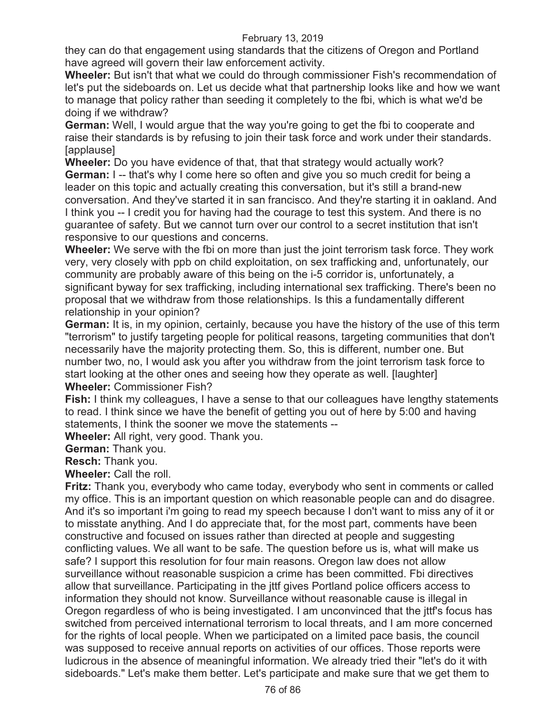they can do that engagement using standards that the citizens of Oregon and Portland have agreed will govern their law enforcement activity.

**Wheeler:** But isn't that what we could do through commissioner Fish's recommendation of let's put the sideboards on. Let us decide what that partnership looks like and how we want to manage that policy rather than seeding it completely to the fbi, which is what we'd be doing if we withdraw?

**German:** Well, I would argue that the way you're going to get the fbi to cooperate and raise their standards is by refusing to join their task force and work under their standards. [applause]

**Wheeler:** Do you have evidence of that, that that strategy would actually work? **German:** I -- that's why I come here so often and give you so much credit for being a leader on this topic and actually creating this conversation, but it's still a brand-new conversation. And they've started it in san francisco. And they're starting it in oakland. And I think you -- I credit you for having had the courage to test this system. And there is no guarantee of safety. But we cannot turn over our control to a secret institution that isn't responsive to our questions and concerns.

**Wheeler:** We serve with the fbi on more than just the joint terrorism task force. They work very, very closely with ppb on child exploitation, on sex trafficking and, unfortunately, our community are probably aware of this being on the i-5 corridor is, unfortunately, a significant byway for sex trafficking, including international sex trafficking. There's been no proposal that we withdraw from those relationships. Is this a fundamentally different relationship in your opinion?

**German:** It is, in my opinion, certainly, because you have the history of the use of this term "terrorism" to justify targeting people for political reasons, targeting communities that don't necessarily have the majority protecting them. So, this is different, number one. But number two, no, I would ask you after you withdraw from the joint terrorism task force to start looking at the other ones and seeing how they operate as well. [laughter] **Wheeler:** Commissioner Fish?

**Fish:** I think my colleagues, I have a sense to that our colleagues have lengthy statements to read. I think since we have the benefit of getting you out of here by 5:00 and having statements, I think the sooner we move the statements --

**Wheeler:** All right, very good. Thank you.

**German:** Thank you.

**Resch:** Thank you.

**Wheeler:** Call the roll.

**Fritz:** Thank you, everybody who came today, everybody who sent in comments or called my office. This is an important question on which reasonable people can and do disagree. And it's so important i'm going to read my speech because I don't want to miss any of it or to misstate anything. And I do appreciate that, for the most part, comments have been constructive and focused on issues rather than directed at people and suggesting conflicting values. We all want to be safe. The question before us is, what will make us safe? I support this resolution for four main reasons. Oregon law does not allow surveillance without reasonable suspicion a crime has been committed. Fbi directives allow that surveillance. Participating in the jttf gives Portland police officers access to information they should not know. Surveillance without reasonable cause is illegal in Oregon regardless of who is being investigated. I am unconvinced that the jttf's focus has switched from perceived international terrorism to local threats, and I am more concerned for the rights of local people. When we participated on a limited pace basis, the council was supposed to receive annual reports on activities of our offices. Those reports were ludicrous in the absence of meaningful information. We already tried their "let's do it with sideboards." Let's make them better. Let's participate and make sure that we get them to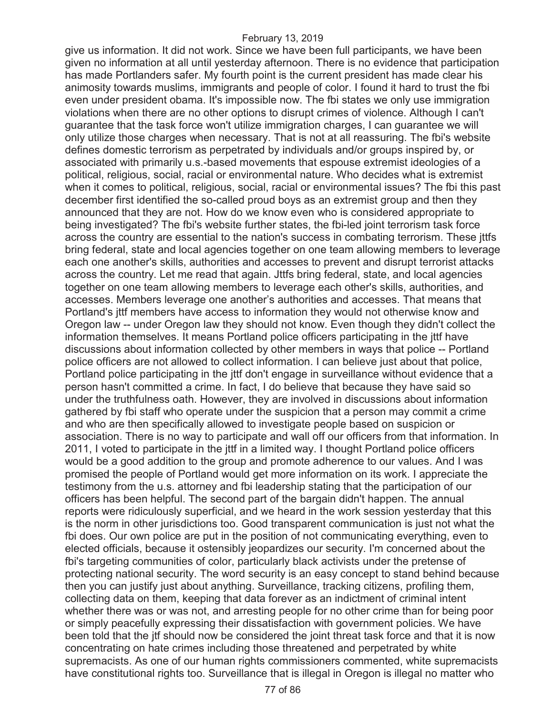give us information. It did not work. Since we have been full participants, we have been given no information at all until yesterday afternoon. There is no evidence that participation has made Portlanders safer. My fourth point is the current president has made clear his animosity towards muslims, immigrants and people of color. I found it hard to trust the fbi even under president obama. It's impossible now. The fbi states we only use immigration violations when there are no other options to disrupt crimes of violence. Although I can't guarantee that the task force won't utilize immigration charges, I can guarantee we will only utilize those charges when necessary. That is not at all reassuring. The fbi's website defines domestic terrorism as perpetrated by individuals and/or groups inspired by, or associated with primarily u.s.-based movements that espouse extremist ideologies of a political, religious, social, racial or environmental nature. Who decides what is extremist when it comes to political, religious, social, racial or environmental issues? The fbi this past december first identified the so-called proud boys as an extremist group and then they announced that they are not. How do we know even who is considered appropriate to being investigated? The fbi's website further states, the fbi-led joint terrorism task force across the country are essential to the nation's success in combating terrorism. These jttfs bring federal, state and local agencies together on one team allowing members to leverage each one another's skills, authorities and accesses to prevent and disrupt terrorist attacks across the country. Let me read that again. Jttfs bring federal, state, and local agencies together on one team allowing members to leverage each other's skills, authorities, and accesses. Members leverage one another's authorities and accesses. That means that Portland's jttf members have access to information they would not otherwise know and Oregon law -- under Oregon law they should not know. Even though they didn't collect the information themselves. It means Portland police officers participating in the jttf have discussions about information collected by other members in ways that police -- Portland police officers are not allowed to collect information. I can believe just about that police, Portland police participating in the jttf don't engage in surveillance without evidence that a person hasn't committed a crime. In fact, I do believe that because they have said so under the truthfulness oath. However, they are involved in discussions about information gathered by fbi staff who operate under the suspicion that a person may commit a crime and who are then specifically allowed to investigate people based on suspicion or association. There is no way to participate and wall off our officers from that information. In 2011, I voted to participate in the jttf in a limited way. I thought Portland police officers would be a good addition to the group and promote adherence to our values. And I was promised the people of Portland would get more information on its work. I appreciate the testimony from the u.s. attorney and fbi leadership stating that the participation of our officers has been helpful. The second part of the bargain didn't happen. The annual reports were ridiculously superficial, and we heard in the work session yesterday that this is the norm in other jurisdictions too. Good transparent communication is just not what the fbi does. Our own police are put in the position of not communicating everything, even to elected officials, because it ostensibly jeopardizes our security. I'm concerned about the fbi's targeting communities of color, particularly black activists under the pretense of protecting national security. The word security is an easy concept to stand behind because then you can justify just about anything. Surveillance, tracking citizens, profiling them, collecting data on them, keeping that data forever as an indictment of criminal intent whether there was or was not, and arresting people for no other crime than for being poor or simply peacefully expressing their dissatisfaction with government policies. We have been told that the jtf should now be considered the joint threat task force and that it is now concentrating on hate crimes including those threatened and perpetrated by white supremacists. As one of our human rights commissioners commented, white supremacists have constitutional rights too. Surveillance that is illegal in Oregon is illegal no matter who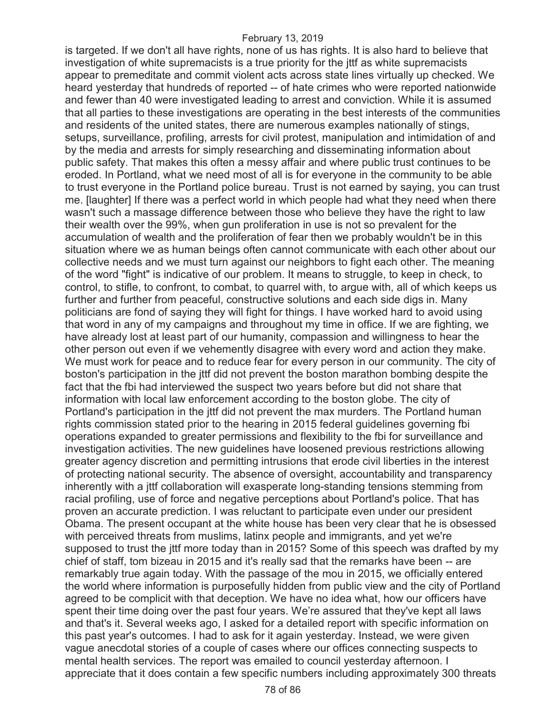is targeted. If we don't all have rights, none of us has rights. It is also hard to believe that investigation of white supremacists is a true priority for the jttf as white supremacists appear to premeditate and commit violent acts across state lines virtually up checked. We heard yesterday that hundreds of reported -- of hate crimes who were reported nationwide and fewer than 40 were investigated leading to arrest and conviction. While it is assumed that all parties to these investigations are operating in the best interests of the communities and residents of the united states, there are numerous examples nationally of stings, setups, surveillance, profiling, arrests for civil protest, manipulation and intimidation of and by the media and arrests for simply researching and disseminating information about public safety. That makes this often a messy affair and where public trust continues to be eroded. In Portland, what we need most of all is for everyone in the community to be able to trust everyone in the Portland police bureau. Trust is not earned by saying, you can trust me. [laughter] If there was a perfect world in which people had what they need when there wasn't such a massage difference between those who believe they have the right to law their wealth over the 99%, when gun proliferation in use is not so prevalent for the accumulation of wealth and the proliferation of fear then we probably wouldn't be in this situation where we as human beings often cannot communicate with each other about our collective needs and we must turn against our neighbors to fight each other. The meaning of the word "fight" is indicative of our problem. It means to struggle, to keep in check, to control, to stifle, to confront, to combat, to quarrel with, to argue with, all of which keeps us further and further from peaceful, constructive solutions and each side digs in. Many politicians are fond of saying they will fight for things. I have worked hard to avoid using that word in any of my campaigns and throughout my time in office. If we are fighting, we have already lost at least part of our humanity, compassion and willingness to hear the other person out even if we vehemently disagree with every word and action they make. We must work for peace and to reduce fear for every person in our community. The city of boston's participation in the jttf did not prevent the boston marathon bombing despite the fact that the fbi had interviewed the suspect two years before but did not share that information with local law enforcement according to the boston globe. The city of Portland's participation in the jttf did not prevent the max murders. The Portland human rights commission stated prior to the hearing in 2015 federal guidelines governing fbi operations expanded to greater permissions and flexibility to the fbi for surveillance and investigation activities. The new guidelines have loosened previous restrictions allowing greater agency discretion and permitting intrusions that erode civil liberties in the interest of protecting national security. The absence of oversight, accountability and transparency inherently with a jttf collaboration will exasperate long-standing tensions stemming from racial profiling, use of force and negative perceptions about Portland's police. That has proven an accurate prediction. I was reluctant to participate even under our president Obama. The present occupant at the white house has been very clear that he is obsessed with perceived threats from muslims, latinx people and immigrants, and yet we're supposed to trust the jttf more today than in 2015? Some of this speech was drafted by my chief of staff, tom bizeau in 2015 and it's really sad that the remarks have been -- are remarkably true again today. With the passage of the mou in 2015, we officially entered the world where information is purposefully hidden from public view and the city of Portland agreed to be complicit with that deception. We have no idea what, how our officers have spent their time doing over the past four years. We're assured that they've kept all laws and that's it. Several weeks ago, I asked for a detailed report with specific information on this past year's outcomes. I had to ask for it again yesterday. Instead, we were given vague anecdotal stories of a couple of cases where our offices connecting suspects to mental health services. The report was emailed to council yesterday afternoon. I appreciate that it does contain a few specific numbers including approximately 300 threats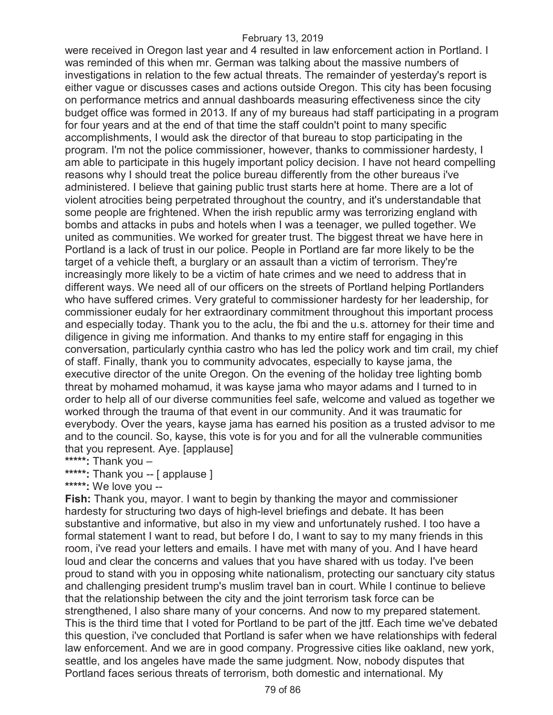were received in Oregon last year and 4 resulted in law enforcement action in Portland. I was reminded of this when mr. German was talking about the massive numbers of investigations in relation to the few actual threats. The remainder of yesterday's report is either vague or discusses cases and actions outside Oregon. This city has been focusing on performance metrics and annual dashboards measuring effectiveness since the city budget office was formed in 2013. If any of my bureaus had staff participating in a program for four years and at the end of that time the staff couldn't point to many specific accomplishments, I would ask the director of that bureau to stop participating in the program. I'm not the police commissioner, however, thanks to commissioner hardesty, I am able to participate in this hugely important policy decision. I have not heard compelling reasons why I should treat the police bureau differently from the other bureaus i've administered. I believe that gaining public trust starts here at home. There are a lot of violent atrocities being perpetrated throughout the country, and it's understandable that some people are frightened. When the irish republic army was terrorizing england with bombs and attacks in pubs and hotels when I was a teenager, we pulled together. We united as communities. We worked for greater trust. The biggest threat we have here in Portland is a lack of trust in our police. People in Portland are far more likely to be the target of a vehicle theft, a burglary or an assault than a victim of terrorism. They're increasingly more likely to be a victim of hate crimes and we need to address that in different ways. We need all of our officers on the streets of Portland helping Portlanders who have suffered crimes. Very grateful to commissioner hardesty for her leadership, for commissioner eudaly for her extraordinary commitment throughout this important process and especially today. Thank you to the aclu, the fbi and the u.s. attorney for their time and diligence in giving me information. And thanks to my entire staff for engaging in this conversation, particularly cynthia castro who has led the policy work and tim crail, my chief of staff. Finally, thank you to community advocates, especially to kayse jama, the executive director of the unite Oregon. On the evening of the holiday tree lighting bomb threat by mohamed mohamud, it was kayse jama who mayor adams and I turned to in order to help all of our diverse communities feel safe, welcome and valued as together we worked through the trauma of that event in our community. And it was traumatic for everybody. Over the years, kayse jama has earned his position as a trusted advisor to me and to the council. So, kayse, this vote is for you and for all the vulnerable communities that you represent. Aye. [applause]

**\*\*\*\*\*:** Thank you –

**\*\*\*\*\*:** Thank you -- [ applause ]

**\*\*\*\*\*:** We love you --

**Fish:** Thank you, mayor. I want to begin by thanking the mayor and commissioner hardesty for structuring two days of high-level briefings and debate. It has been substantive and informative, but also in my view and unfortunately rushed. I too have a formal statement I want to read, but before I do, I want to say to my many friends in this room, i've read your letters and emails. I have met with many of you. And I have heard loud and clear the concerns and values that you have shared with us today. I've been proud to stand with you in opposing white nationalism, protecting our sanctuary city status and challenging president trump's muslim travel ban in court. While I continue to believe that the relationship between the city and the joint terrorism task force can be strengthened, I also share many of your concerns. And now to my prepared statement. This is the third time that I voted for Portland to be part of the jttf. Each time we've debated this question, i've concluded that Portland is safer when we have relationships with federal law enforcement. And we are in good company. Progressive cities like oakland, new york, seattle, and los angeles have made the same judgment. Now, nobody disputes that Portland faces serious threats of terrorism, both domestic and international. My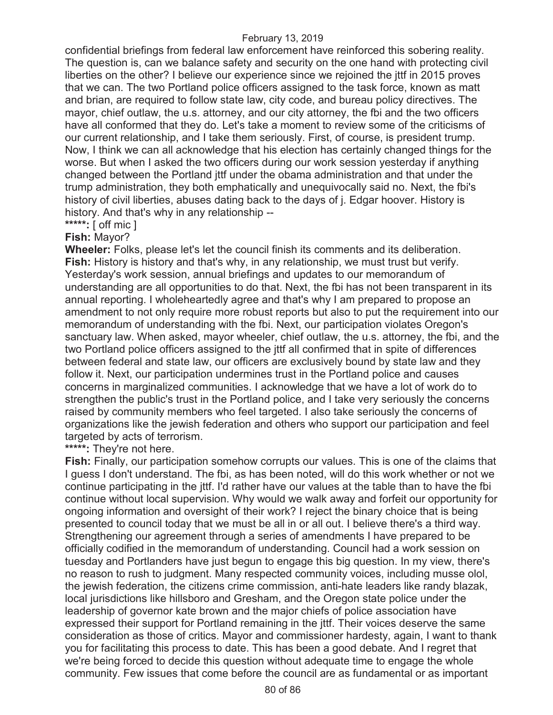confidential briefings from federal law enforcement have reinforced this sobering reality. The question is, can we balance safety and security on the one hand with protecting civil liberties on the other? I believe our experience since we rejoined the jttf in 2015 proves that we can. The two Portland police officers assigned to the task force, known as matt and brian, are required to follow state law, city code, and bureau policy directives. The mayor, chief outlaw, the u.s. attorney, and our city attorney, the fbi and the two officers have all conformed that they do. Let's take a moment to review some of the criticisms of our current relationship, and I take them seriously. First, of course, is president trump. Now, I think we can all acknowledge that his election has certainly changed things for the worse. But when I asked the two officers during our work session yesterday if anything changed between the Portland jttf under the obama administration and that under the trump administration, they both emphatically and unequivocally said no. Next, the fbi's history of civil liberties, abuses dating back to the days of j. Edgar hoover. History is history. And that's why in any relationship --

**\*\*\*\*\*:** [ off mic ]

## **Fish:** Mayor?

**Wheeler:** Folks, please let's let the council finish its comments and its deliberation. **Fish:** History is history and that's why, in any relationship, we must trust but verify. Yesterday's work session, annual briefings and updates to our memorandum of understanding are all opportunities to do that. Next, the fbi has not been transparent in its annual reporting. I wholeheartedly agree and that's why I am prepared to propose an amendment to not only require more robust reports but also to put the requirement into our memorandum of understanding with the fbi. Next, our participation violates Oregon's sanctuary law. When asked, mayor wheeler, chief outlaw, the u.s. attorney, the fbi, and the two Portland police officers assigned to the jttf all confirmed that in spite of differences between federal and state law, our officers are exclusively bound by state law and they follow it. Next, our participation undermines trust in the Portland police and causes concerns in marginalized communities. I acknowledge that we have a lot of work do to strengthen the public's trust in the Portland police, and I take very seriously the concerns raised by community members who feel targeted. I also take seriously the concerns of organizations like the jewish federation and others who support our participation and feel targeted by acts of terrorism.

**\*\*\*\*\*:** They're not here.

**Fish:** Finally, our participation somehow corrupts our values. This is one of the claims that I guess I don't understand. The fbi, as has been noted, will do this work whether or not we continue participating in the jttf. I'd rather have our values at the table than to have the fbi continue without local supervision. Why would we walk away and forfeit our opportunity for ongoing information and oversight of their work? I reject the binary choice that is being presented to council today that we must be all in or all out. I believe there's a third way. Strengthening our agreement through a series of amendments I have prepared to be officially codified in the memorandum of understanding. Council had a work session on tuesday and Portlanders have just begun to engage this big question. In my view, there's no reason to rush to judgment. Many respected community voices, including musse olol, the jewish federation, the citizens crime commission, anti-hate leaders like randy blazak, local jurisdictions like hillsboro and Gresham, and the Oregon state police under the leadership of governor kate brown and the major chiefs of police association have expressed their support for Portland remaining in the jttf. Their voices deserve the same consideration as those of critics. Mayor and commissioner hardesty, again, I want to thank you for facilitating this process to date. This has been a good debate. And I regret that we're being forced to decide this question without adequate time to engage the whole community. Few issues that come before the council are as fundamental or as important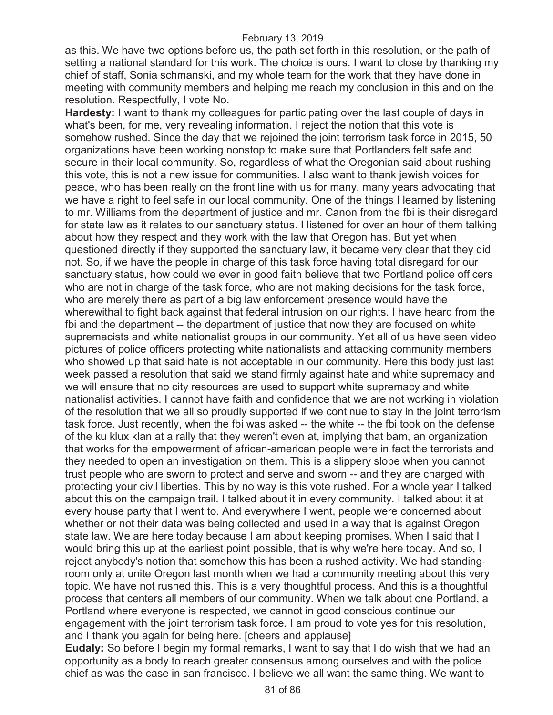as this. We have two options before us, the path set forth in this resolution, or the path of setting a national standard for this work. The choice is ours. I want to close by thanking my chief of staff, Sonia schmanski, and my whole team for the work that they have done in meeting with community members and helping me reach my conclusion in this and on the resolution. Respectfully, I vote No.

**Hardesty:** I want to thank my colleagues for participating over the last couple of days in what's been, for me, very revealing information. I reject the notion that this vote is somehow rushed. Since the day that we rejoined the joint terrorism task force in 2015, 50 organizations have been working nonstop to make sure that Portlanders felt safe and secure in their local community. So, regardless of what the Oregonian said about rushing this vote, this is not a new issue for communities. I also want to thank jewish voices for peace, who has been really on the front line with us for many, many years advocating that we have a right to feel safe in our local community. One of the things I learned by listening to mr. Williams from the department of justice and mr. Canon from the fbi is their disregard for state law as it relates to our sanctuary status. I listened for over an hour of them talking about how they respect and they work with the law that Oregon has. But yet when questioned directly if they supported the sanctuary law, it became very clear that they did not. So, if we have the people in charge of this task force having total disregard for our sanctuary status, how could we ever in good faith believe that two Portland police officers who are not in charge of the task force, who are not making decisions for the task force, who are merely there as part of a big law enforcement presence would have the wherewithal to fight back against that federal intrusion on our rights. I have heard from the fbi and the department -- the department of justice that now they are focused on white supremacists and white nationalist groups in our community. Yet all of us have seen video pictures of police officers protecting white nationalists and attacking community members who showed up that said hate is not acceptable in our community. Here this body just last week passed a resolution that said we stand firmly against hate and white supremacy and we will ensure that no city resources are used to support white supremacy and white nationalist activities. I cannot have faith and confidence that we are not working in violation of the resolution that we all so proudly supported if we continue to stay in the joint terrorism task force. Just recently, when the fbi was asked -- the white -- the fbi took on the defense of the ku klux klan at a rally that they weren't even at, implying that bam, an organization that works for the empowerment of african-american people were in fact the terrorists and they needed to open an investigation on them. This is a slippery slope when you cannot trust people who are sworn to protect and serve and sworn -- and they are charged with protecting your civil liberties. This by no way is this vote rushed. For a whole year I talked about this on the campaign trail. I talked about it in every community. I talked about it at every house party that I went to. And everywhere I went, people were concerned about whether or not their data was being collected and used in a way that is against Oregon state law. We are here today because I am about keeping promises. When I said that I would bring this up at the earliest point possible, that is why we're here today. And so, I reject anybody's notion that somehow this has been a rushed activity. We had standingroom only at unite Oregon last month when we had a community meeting about this very topic. We have not rushed this. This is a very thoughtful process. And this is a thoughtful process that centers all members of our community. When we talk about one Portland, a Portland where everyone is respected, we cannot in good conscious continue our engagement with the joint terrorism task force. I am proud to vote yes for this resolution, and I thank you again for being here. [cheers and applause]

**Eudaly:** So before I begin my formal remarks, I want to say that I do wish that we had an opportunity as a body to reach greater consensus among ourselves and with the police chief as was the case in san francisco. I believe we all want the same thing. We want to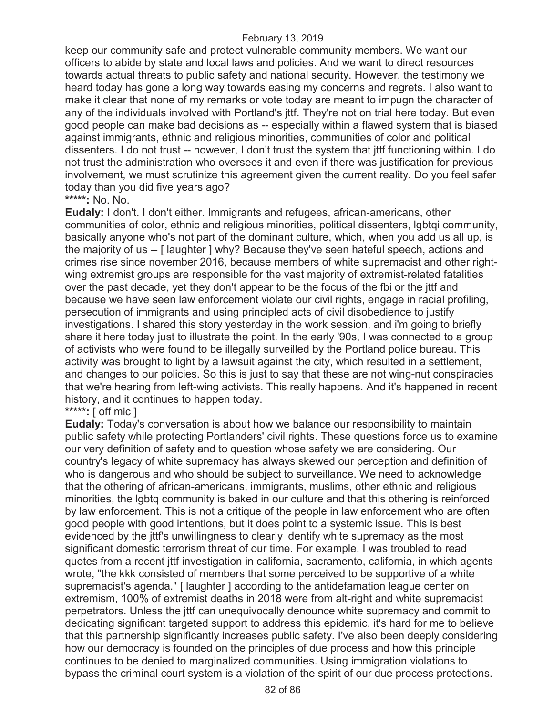keep our community safe and protect vulnerable community members. We want our officers to abide by state and local laws and policies. And we want to direct resources towards actual threats to public safety and national security. However, the testimony we heard today has gone a long way towards easing my concerns and regrets. I also want to make it clear that none of my remarks or vote today are meant to impugn the character of any of the individuals involved with Portland's jttf. They're not on trial here today. But even good people can make bad decisions as -- especially within a flawed system that is biased against immigrants, ethnic and religious minorities, communities of color and political dissenters. I do not trust -- however, I don't trust the system that jttf functioning within. I do not trust the administration who oversees it and even if there was justification for previous involvement, we must scrutinize this agreement given the current reality. Do you feel safer today than you did five years ago?

## **\*\*\*\*\*:** No. No.

**Eudaly:** I don't. I don't either. Immigrants and refugees, african-americans, other communities of color, ethnic and religious minorities, political dissenters, lgbtqi community, basically anyone who's not part of the dominant culture, which, when you add us all up, is the majority of us -- [ laughter ] why? Because they've seen hateful speech, actions and crimes rise since november 2016, because members of white supremacist and other rightwing extremist groups are responsible for the vast majority of extremist-related fatalities over the past decade, yet they don't appear to be the focus of the fbi or the jttf and because we have seen law enforcement violate our civil rights, engage in racial profiling, persecution of immigrants and using principled acts of civil disobedience to justify investigations. I shared this story yesterday in the work session, and i'm going to briefly share it here today just to illustrate the point. In the early '90s, I was connected to a group of activists who were found to be illegally surveilled by the Portland police bureau. This activity was brought to light by a lawsuit against the city, which resulted in a settlement, and changes to our policies. So this is just to say that these are not wing-nut conspiracies that we're hearing from left-wing activists. This really happens. And it's happened in recent history, and it continues to happen today.

# **\*\*\*\*\*:** [ off mic ]

**Eudaly:** Today's conversation is about how we balance our responsibility to maintain public safety while protecting Portlanders' civil rights. These questions force us to examine our very definition of safety and to question whose safety we are considering. Our country's legacy of white supremacy has always skewed our perception and definition of who is dangerous and who should be subject to surveillance. We need to acknowledge that the othering of african-americans, immigrants, muslims, other ethnic and religious minorities, the lgbtq community is baked in our culture and that this othering is reinforced by law enforcement. This is not a critique of the people in law enforcement who are often good people with good intentions, but it does point to a systemic issue. This is best evidenced by the jttf's unwillingness to clearly identify white supremacy as the most significant domestic terrorism threat of our time. For example, I was troubled to read quotes from a recent jttf investigation in california, sacramento, california, in which agents wrote, "the kkk consisted of members that some perceived to be supportive of a white supremacist's agenda." [ laughter ] according to the antidefamation league center on extremism, 100% of extremist deaths in 2018 were from alt-right and white supremacist perpetrators. Unless the jttf can unequivocally denounce white supremacy and commit to dedicating significant targeted support to address this epidemic, it's hard for me to believe that this partnership significantly increases public safety. I've also been deeply considering how our democracy is founded on the principles of due process and how this principle continues to be denied to marginalized communities. Using immigration violations to bypass the criminal court system is a violation of the spirit of our due process protections.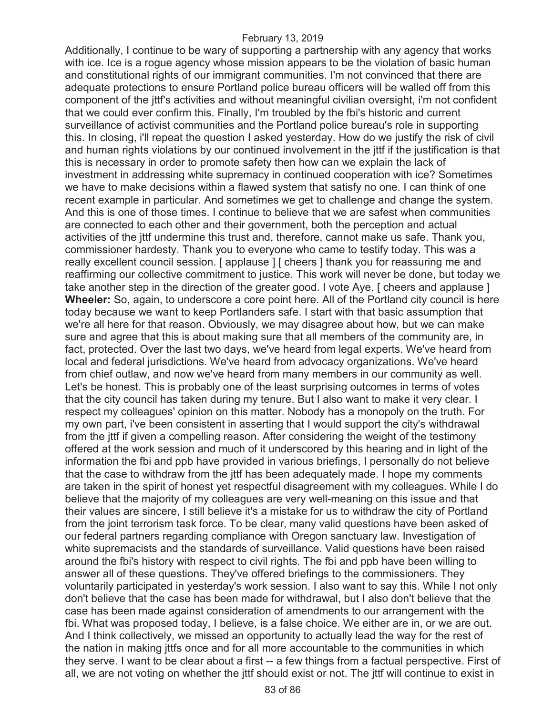Additionally, I continue to be wary of supporting a partnership with any agency that works with ice. Ice is a rogue agency whose mission appears to be the violation of basic human and constitutional rights of our immigrant communities. I'm not convinced that there are adequate protections to ensure Portland police bureau officers will be walled off from this component of the jttf's activities and without meaningful civilian oversight, i'm not confident that we could ever confirm this. Finally, I'm troubled by the fbi's historic and current surveillance of activist communities and the Portland police bureau's role in supporting this. In closing, i'll repeat the question I asked yesterday. How do we justify the risk of civil and human rights violations by our continued involvement in the jttf if the justification is that this is necessary in order to promote safety then how can we explain the lack of investment in addressing white supremacy in continued cooperation with ice? Sometimes we have to make decisions within a flawed system that satisfy no one. I can think of one recent example in particular. And sometimes we get to challenge and change the system. And this is one of those times. I continue to believe that we are safest when communities are connected to each other and their government, both the perception and actual activities of the jttf undermine this trust and, therefore, cannot make us safe. Thank you, commissioner hardesty. Thank you to everyone who came to testify today. This was a really excellent council session. [ applause ] [ cheers ] thank you for reassuring me and reaffirming our collective commitment to justice. This work will never be done, but today we take another step in the direction of the greater good. I vote Aye. [ cheers and applause ] **Wheeler:** So, again, to underscore a core point here. All of the Portland city council is here today because we want to keep Portlanders safe. I start with that basic assumption that we're all here for that reason. Obviously, we may disagree about how, but we can make sure and agree that this is about making sure that all members of the community are, in fact, protected. Over the last two days, we've heard from legal experts. We've heard from local and federal jurisdictions. We've heard from advocacy organizations. We've heard from chief outlaw, and now we've heard from many members in our community as well. Let's be honest. This is probably one of the least surprising outcomes in terms of votes that the city council has taken during my tenure. But I also want to make it very clear. I respect my colleagues' opinion on this matter. Nobody has a monopoly on the truth. For my own part, i've been consistent in asserting that I would support the city's withdrawal from the jttf if given a compelling reason. After considering the weight of the testimony offered at the work session and much of it underscored by this hearing and in light of the information the fbi and ppb have provided in various briefings, I personally do not believe that the case to withdraw from the jttf has been adequately made. I hope my comments are taken in the spirit of honest yet respectful disagreement with my colleagues. While I do believe that the majority of my colleagues are very well-meaning on this issue and that their values are sincere, I still believe it's a mistake for us to withdraw the city of Portland from the joint terrorism task force. To be clear, many valid questions have been asked of our federal partners regarding compliance with Oregon sanctuary law. Investigation of white supremacists and the standards of surveillance. Valid questions have been raised around the fbi's history with respect to civil rights. The fbi and ppb have been willing to answer all of these questions. They've offered briefings to the commissioners. They voluntarily participated in yesterday's work session. I also want to say this. While I not only don't believe that the case has been made for withdrawal, but I also don't believe that the case has been made against consideration of amendments to our arrangement with the fbi. What was proposed today, I believe, is a false choice. We either are in, or we are out. And I think collectively, we missed an opportunity to actually lead the way for the rest of the nation in making jttfs once and for all more accountable to the communities in which they serve. I want to be clear about a first -- a few things from a factual perspective. First of all, we are not voting on whether the jttf should exist or not. The jttf will continue to exist in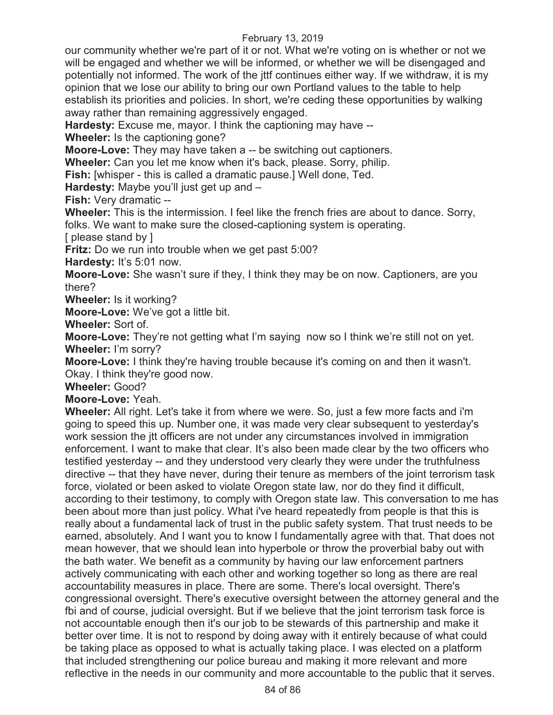our community whether we're part of it or not. What we're voting on is whether or not we will be engaged and whether we will be informed, or whether we will be disengaged and potentially not informed. The work of the jttf continues either way. If we withdraw, it is my opinion that we lose our ability to bring our own Portland values to the table to help establish its priorities and policies. In short, we're ceding these opportunities by walking away rather than remaining aggressively engaged.

**Hardesty:** Excuse me, mayor. I think the captioning may have --

**Wheeler:** Is the captioning gone?

**Moore-Love:** They may have taken a -- be switching out captioners.

**Wheeler:** Can you let me know when it's back, please. Sorry, philip.

**Fish:** [whisper - this is called a dramatic pause.] Well done, Ted.

**Hardesty:** Maybe you'll just get up and –

**Fish:** Very dramatic --

**Wheeler:** This is the intermission. I feel like the french fries are about to dance. Sorry, folks. We want to make sure the closed-captioning system is operating.

[ please stand by ]

**Fritz:** Do we run into trouble when we get past 5:00?

**Hardesty:** It's 5:01 now.

**Moore-Love:** She wasn't sure if they, I think they may be on now. Captioners, are you there?

**Wheeler:** Is it working?

**Moore-Love:** We've got a little bit.

**Wheeler:** Sort of.

**Moore-Love:** They're not getting what I'm saying now so I think we're still not on yet. **Wheeler:** I'm sorry?

**Moore-Love:** I think they're having trouble because it's coming on and then it wasn't. Okay. I think they're good now.

**Wheeler:** Good?

**Moore-Love:** Yeah.

**Wheeler:** All right. Let's take it from where we were. So, just a few more facts and i'm going to speed this up. Number one, it was made very clear subsequent to yesterday's work session the jtt officers are not under any circumstances involved in immigration enforcement. I want to make that clear. It's also been made clear by the two officers who testified yesterday -- and they understood very clearly they were under the truthfulness directive -- that they have never, during their tenure as members of the joint terrorism task force, violated or been asked to violate Oregon state law, nor do they find it difficult, according to their testimony, to comply with Oregon state law. This conversation to me has been about more than just policy. What i've heard repeatedly from people is that this is really about a fundamental lack of trust in the public safety system. That trust needs to be earned, absolutely. And I want you to know I fundamentally agree with that. That does not mean however, that we should lean into hyperbole or throw the proverbial baby out with the bath water. We benefit as a community by having our law enforcement partners actively communicating with each other and working together so long as there are real accountability measures in place. There are some. There's local oversight. There's congressional oversight. There's executive oversight between the attorney general and the fbi and of course, judicial oversight. But if we believe that the joint terrorism task force is not accountable enough then it's our job to be stewards of this partnership and make it better over time. It is not to respond by doing away with it entirely because of what could be taking place as opposed to what is actually taking place. I was elected on a platform that included strengthening our police bureau and making it more relevant and more reflective in the needs in our community and more accountable to the public that it serves.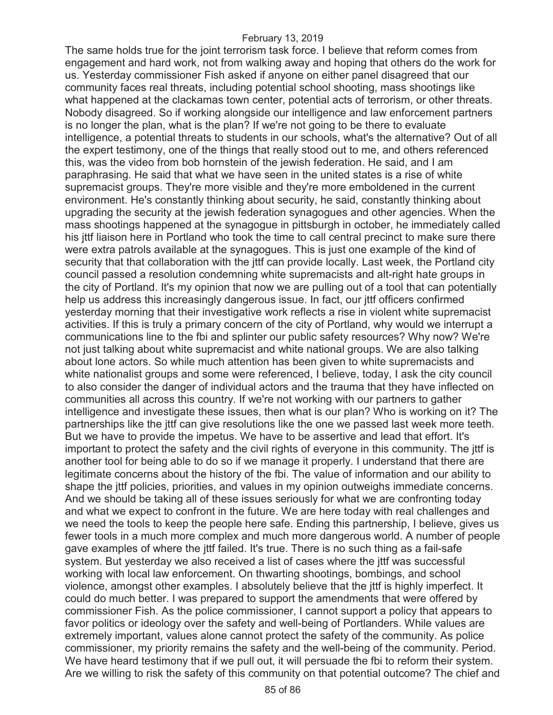The same holds true for the joint terrorism task force. I believe that reform comes from engagement and hard work, not from walking away and hoping that others do the work for us. Yesterday commissioner Fish asked if anyone on either panel disagreed that our community faces real threats, including potential school shooting, mass shootings like what happened at the clackamas town center, potential acts of terrorism, or other threats. Nobody disagreed. So if working alongside our intelligence and law enforcement partners is no longer the plan, what is the plan? If we're not going to be there to evaluate intelligence, a potential threats to students in our schools, what's the alternative? Out of all the expert testimony, one of the things that really stood out to me, and others referenced this, was the video from bob hornstein of the jewish federation. He said, and I am paraphrasing. He said that what we have seen in the united states is a rise of white supremacist groups. They're more visible and they're more emboldened in the current environment. He's constantly thinking about security, he said, constantly thinking about upgrading the security at the jewish federation synagogues and other agencies. When the mass shootings happened at the synagogue in pittsburgh in october, he immediately called his jttf liaison here in Portland who took the time to call central precinct to make sure there were extra patrols available at the synagogues. This is just one example of the kind of security that that collaboration with the jttf can provide locally. Last week, the Portland city council passed a resolution condemning white supremacists and alt-right hate groups in the city of Portland. It's my opinion that now we are pulling out of a tool that can potentially help us address this increasingly dangerous issue. In fact, our jttf officers confirmed yesterday morning that their investigative work reflects a rise in violent white supremacist activities. If this is truly a primary concern of the city of Portland, why would we interrupt a communications line to the fbi and splinter our public safety resources? Why now? We're not just talking about white supremacist and white national groups. We are also talking about lone actors. So while much attention has been given to white supremacists and white nationalist groups and some were referenced, I believe, today, I ask the city council to also consider the danger of individual actors and the trauma that they have inflected on communities all across this country. If we're not working with our partners to gather intelligence and investigate these issues, then what is our plan? Who is working on it? The partnerships like the jttf can give resolutions like the one we passed last week more teeth. But we have to provide the impetus. We have to be assertive and lead that effort. It's important to protect the safety and the civil rights of everyone in this community. The jttf is another tool for being able to do so if we manage it properly. I understand that there are legitimate concerns about the history of the fbi. The value of information and our ability to shape the jttf policies, priorities, and values in my opinion outweighs immediate concerns. And we should be taking all of these issues seriously for what we are confronting today and what we expect to confront in the future. We are here today with real challenges and we need the tools to keep the people here safe. Ending this partnership, I believe, gives us fewer tools in a much more complex and much more dangerous world. A number of people gave examples of where the jttf failed. It's true. There is no such thing as a fail-safe system. But yesterday we also received a list of cases where the jttf was successful working with local law enforcement. On thwarting shootings, bombings, and school violence, amongst other examples. I absolutely believe that the jttf is highly imperfect. It could do much better. I was prepared to support the amendments that were offered by commissioner Fish. As the police commissioner, I cannot support a policy that appears to favor politics or ideology over the safety and well-being of Portlanders. While values are extremely important, values alone cannot protect the safety of the community. As police commissioner, my priority remains the safety and the well-being of the community. Period. We have heard testimony that if we pull out, it will persuade the fbi to reform their system. Are we willing to risk the safety of this community on that potential outcome? The chief and